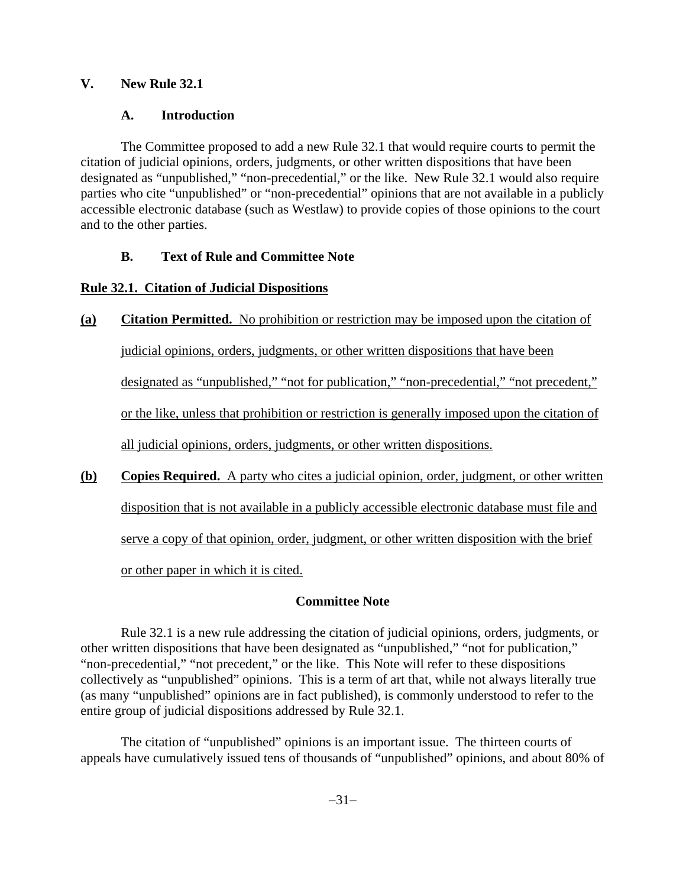### **V. New Rule 32.1**

### **A. Introduction**

The Committee proposed to add a new Rule 32.1 that would require courts to permit the citation of judicial opinions, orders, judgments, or other written dispositions that have been designated as "unpublished," "non-precedential," or the like. New Rule 32.1 would also require parties who cite "unpublished" or "non-precedential" opinions that are not available in a publicly accessible electronic database (such as Westlaw) to provide copies of those opinions to the court and to the other parties.

# **B. Text of Rule and Committee Note**

# **Rule 32.1. Citation of Judicial Dispositions**

# **(a) Citation Permitted.** No prohibition or restriction may be imposed upon the citation of

judicial opinions, orders, judgments, or other written dispositions that have been

designated as "unpublished," "not for publication," "non-precedential," "not precedent,"

or the like, unless that prohibition or restriction is generally imposed upon the citation of

all judicial opinions, orders, judgments, or other written dispositions.

**(b) Copies Required.** A party who cites a judicial opinion, order, judgment, or other written disposition that is not available in a publicly accessible electronic database must file and serve a copy of that opinion, order, judgment, or other written disposition with the brief or other paper in which it is cited.

# **Committee Note**

Rule 32.1 is a new rule addressing the citation of judicial opinions, orders, judgments, or other written dispositions that have been designated as "unpublished," "not for publication," "non-precedential," "not precedent," or the like. This Note will refer to these dispositions collectively as "unpublished" opinions. This is a term of art that, while not always literally true (as many "unpublished" opinions are in fact published), is commonly understood to refer to the entire group of judicial dispositions addressed by Rule 32.1.

The citation of "unpublished" opinions is an important issue. The thirteen courts of appeals have cumulatively issued tens of thousands of "unpublished" opinions, and about 80% of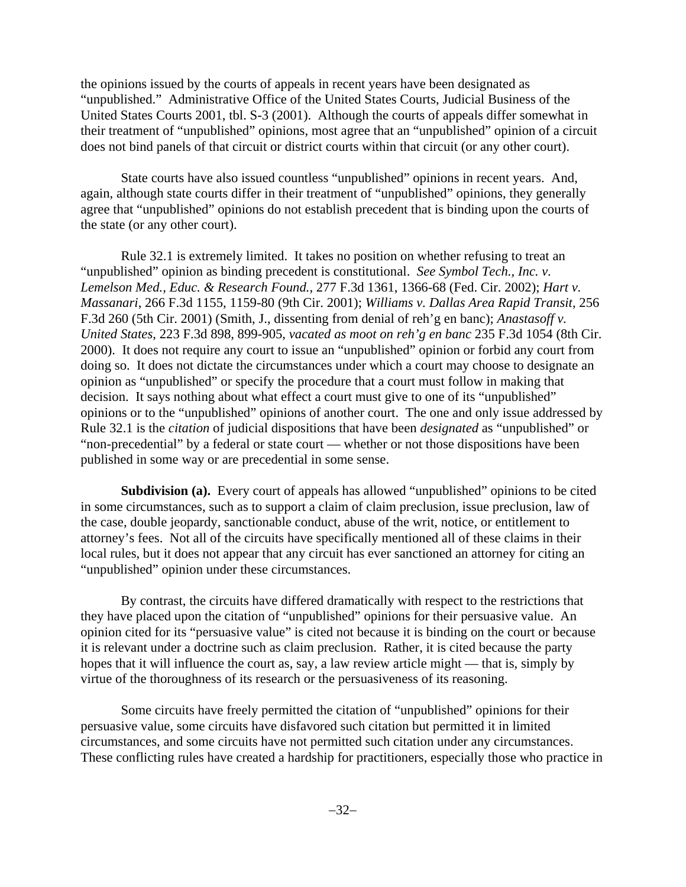the opinions issued by the courts of appeals in recent years have been designated as "unpublished." Administrative Office of the United States Courts, Judicial Business of the United States Courts 2001, tbl. S-3 (2001). Although the courts of appeals differ somewhat in their treatment of "unpublished" opinions, most agree that an "unpublished" opinion of a circuit does not bind panels of that circuit or district courts within that circuit (or any other court).

State courts have also issued countless "unpublished" opinions in recent years. And, again, although state courts differ in their treatment of "unpublished" opinions, they generally agree that "unpublished" opinions do not establish precedent that is binding upon the courts of the state (or any other court).

Rule 32.1 is extremely limited. It takes no position on whether refusing to treat an "unpublished" opinion as binding precedent is constitutional. *See Symbol Tech., Inc. v. Lemelson Med., Educ. & Research Found.*, 277 F.3d 1361, 1366-68 (Fed. Cir. 2002); *Hart v. Massanari*, 266 F.3d 1155, 1159-80 (9th Cir. 2001); *Williams v. Dallas Area Rapid Transit,* 256 F.3d 260 (5th Cir. 2001) (Smith, J., dissenting from denial of reh'g en banc); *Anastasoff v. United States*, 223 F.3d 898, 899-905, *vacated as moot on reh'g en banc* 235 F.3d 1054 (8th Cir. 2000). It does not require any court to issue an "unpublished" opinion or forbid any court from doing so. It does not dictate the circumstances under which a court may choose to designate an opinion as "unpublished" or specify the procedure that a court must follow in making that decision. It says nothing about what effect a court must give to one of its "unpublished" opinions or to the "unpublished" opinions of another court. The one and only issue addressed by Rule 32.1 is the *citation* of judicial dispositions that have been *designated* as "unpublished" or "non-precedential" by a federal or state court — whether or not those dispositions have been published in some way or are precedential in some sense.

**Subdivision (a).** Every court of appeals has allowed "unpublished" opinions to be cited in some circumstances, such as to support a claim of claim preclusion, issue preclusion, law of the case, double jeopardy, sanctionable conduct, abuse of the writ, notice, or entitlement to attorney's fees. Not all of the circuits have specifically mentioned all of these claims in their local rules, but it does not appear that any circuit has ever sanctioned an attorney for citing an "unpublished" opinion under these circumstances.

By contrast, the circuits have differed dramatically with respect to the restrictions that they have placed upon the citation of "unpublished" opinions for their persuasive value. An opinion cited for its "persuasive value" is cited not because it is binding on the court or because it is relevant under a doctrine such as claim preclusion. Rather, it is cited because the party hopes that it will influence the court as, say, a law review article might — that is, simply by virtue of the thoroughness of its research or the persuasiveness of its reasoning.

Some circuits have freely permitted the citation of "unpublished" opinions for their persuasive value, some circuits have disfavored such citation but permitted it in limited circumstances, and some circuits have not permitted such citation under any circumstances. These conflicting rules have created a hardship for practitioners, especially those who practice in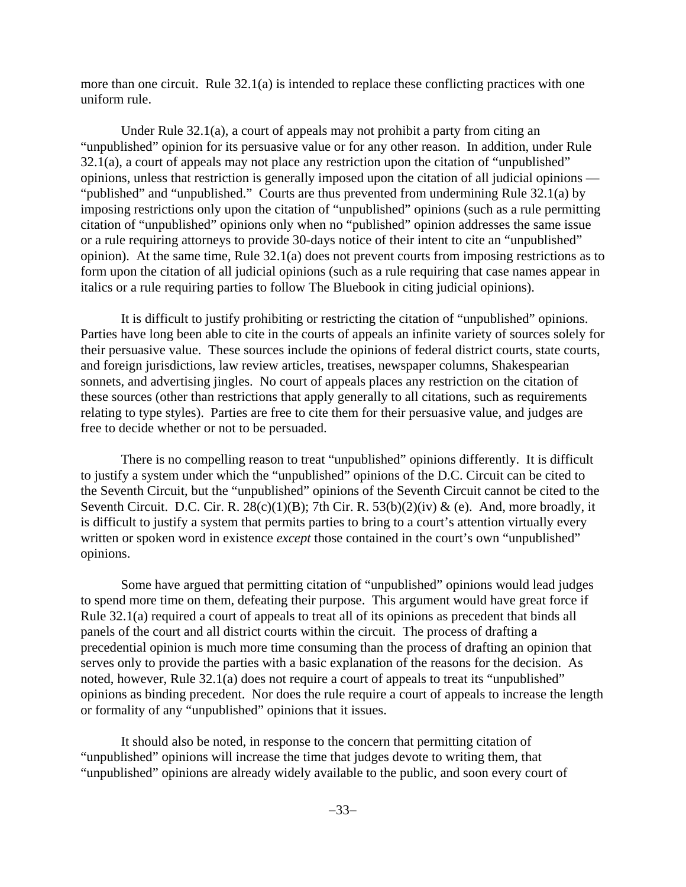more than one circuit. Rule 32.1(a) is intended to replace these conflicting practices with one uniform rule.

Under Rule 32.1(a), a court of appeals may not prohibit a party from citing an "unpublished" opinion for its persuasive value or for any other reason. In addition, under Rule 32.1(a), a court of appeals may not place any restriction upon the citation of "unpublished" opinions, unless that restriction is generally imposed upon the citation of all judicial opinions — "published" and "unpublished." Courts are thus prevented from undermining Rule 32.1(a) by imposing restrictions only upon the citation of "unpublished" opinions (such as a rule permitting citation of "unpublished" opinions only when no "published" opinion addresses the same issue or a rule requiring attorneys to provide 30-days notice of their intent to cite an "unpublished" opinion). At the same time, Rule 32.1(a) does not prevent courts from imposing restrictions as to form upon the citation of all judicial opinions (such as a rule requiring that case names appear in italics or a rule requiring parties to follow The Bluebook in citing judicial opinions).

It is difficult to justify prohibiting or restricting the citation of "unpublished" opinions. Parties have long been able to cite in the courts of appeals an infinite variety of sources solely for their persuasive value. These sources include the opinions of federal district courts, state courts, and foreign jurisdictions, law review articles, treatises, newspaper columns, Shakespearian sonnets, and advertising jingles. No court of appeals places any restriction on the citation of these sources (other than restrictions that apply generally to all citations, such as requirements relating to type styles). Parties are free to cite them for their persuasive value, and judges are free to decide whether or not to be persuaded.

There is no compelling reason to treat "unpublished" opinions differently. It is difficult to justify a system under which the "unpublished" opinions of the D.C. Circuit can be cited to the Seventh Circuit, but the "unpublished" opinions of the Seventh Circuit cannot be cited to the Seventh Circuit. D.C. Cir. R.  $28(c)(1)(B)$ ; 7th Cir. R.  $53(b)(2)(iv)$  & (e). And, more broadly, it is difficult to justify a system that permits parties to bring to a court's attention virtually every written or spoken word in existence *except* those contained in the court's own "unpublished" opinions.

Some have argued that permitting citation of "unpublished" opinions would lead judges to spend more time on them, defeating their purpose. This argument would have great force if Rule 32.1(a) required a court of appeals to treat all of its opinions as precedent that binds all panels of the court and all district courts within the circuit. The process of drafting a precedential opinion is much more time consuming than the process of drafting an opinion that serves only to provide the parties with a basic explanation of the reasons for the decision. As noted, however, Rule 32.1(a) does not require a court of appeals to treat its "unpublished" opinions as binding precedent. Nor does the rule require a court of appeals to increase the length or formality of any "unpublished" opinions that it issues.

It should also be noted, in response to the concern that permitting citation of "unpublished" opinions will increase the time that judges devote to writing them, that "unpublished" opinions are already widely available to the public, and soon every court of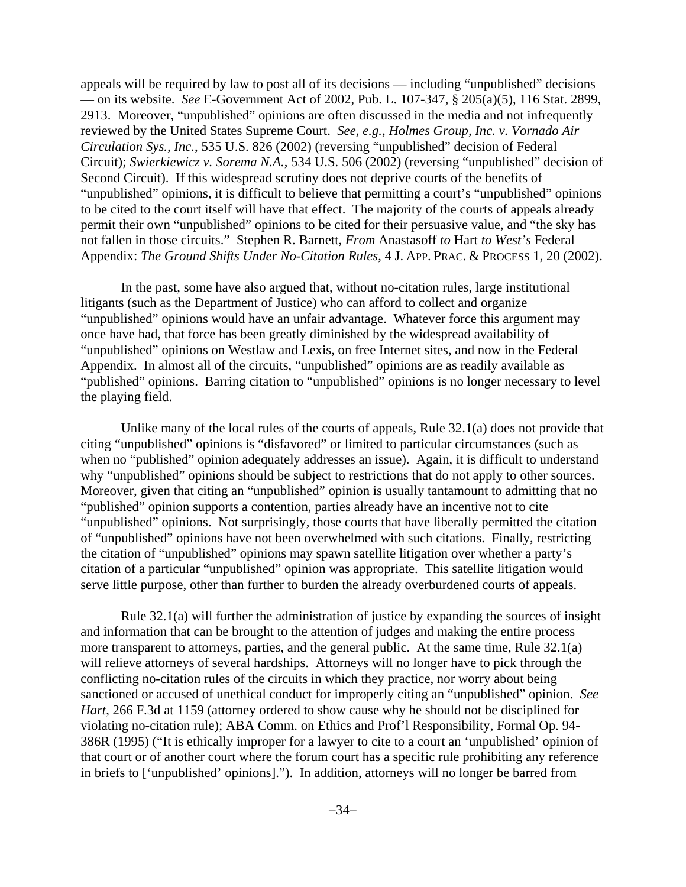appeals will be required by law to post all of its decisions — including "unpublished" decisions — on its website. *See* E-Government Act of 2002, Pub. L. 107-347, § 205(a)(5), 116 Stat. 2899, 2913. Moreover, "unpublished" opinions are often discussed in the media and not infrequently reviewed by the United States Supreme Court. *See, e.g.*, *Holmes Group, Inc. v. Vornado Air Circulation Sys., Inc.*, 535 U.S. 826 (2002) (reversing "unpublished" decision of Federal Circuit); *Swierkiewicz v. Sorema N.A.*, 534 U.S. 506 (2002) (reversing "unpublished" decision of Second Circuit). If this widespread scrutiny does not deprive courts of the benefits of "unpublished" opinions, it is difficult to believe that permitting a court's "unpublished" opinions to be cited to the court itself will have that effect. The majority of the courts of appeals already permit their own "unpublished" opinions to be cited for their persuasive value, and "the sky has not fallen in those circuits." Stephen R. Barnett, *From* Anastasoff *to* Hart *to West's* Federal Appendix: *The Ground Shifts Under No-Citation Rules*, 4 J. APP. PRAC. & PROCESS 1, 20 (2002).

In the past, some have also argued that, without no-citation rules, large institutional litigants (such as the Department of Justice) who can afford to collect and organize "unpublished" opinions would have an unfair advantage. Whatever force this argument may once have had, that force has been greatly diminished by the widespread availability of "unpublished" opinions on Westlaw and Lexis, on free Internet sites, and now in the Federal Appendix. In almost all of the circuits, "unpublished" opinions are as readily available as "published" opinions. Barring citation to "unpublished" opinions is no longer necessary to level the playing field.

Unlike many of the local rules of the courts of appeals, Rule 32.1(a) does not provide that citing "unpublished" opinions is "disfavored" or limited to particular circumstances (such as when no "published" opinion adequately addresses an issue). Again, it is difficult to understand why "unpublished" opinions should be subject to restrictions that do not apply to other sources. Moreover, given that citing an "unpublished" opinion is usually tantamount to admitting that no "published" opinion supports a contention, parties already have an incentive not to cite "unpublished" opinions. Not surprisingly, those courts that have liberally permitted the citation of "unpublished" opinions have not been overwhelmed with such citations. Finally, restricting the citation of "unpublished" opinions may spawn satellite litigation over whether a party's citation of a particular "unpublished" opinion was appropriate. This satellite litigation would serve little purpose, other than further to burden the already overburdened courts of appeals.

Rule 32.1(a) will further the administration of justice by expanding the sources of insight and information that can be brought to the attention of judges and making the entire process more transparent to attorneys, parties, and the general public. At the same time, Rule 32.1(a) will relieve attorneys of several hardships. Attorneys will no longer have to pick through the conflicting no-citation rules of the circuits in which they practice, nor worry about being sanctioned or accused of unethical conduct for improperly citing an "unpublished" opinion. *See Hart*, 266 F.3d at 1159 (attorney ordered to show cause why he should not be disciplined for violating no-citation rule); ABA Comm. on Ethics and Prof'l Responsibility, Formal Op. 94- 386R (1995) ("It is ethically improper for a lawyer to cite to a court an 'unpublished' opinion of that court or of another court where the forum court has a specific rule prohibiting any reference in briefs to ['unpublished' opinions]."). In addition, attorneys will no longer be barred from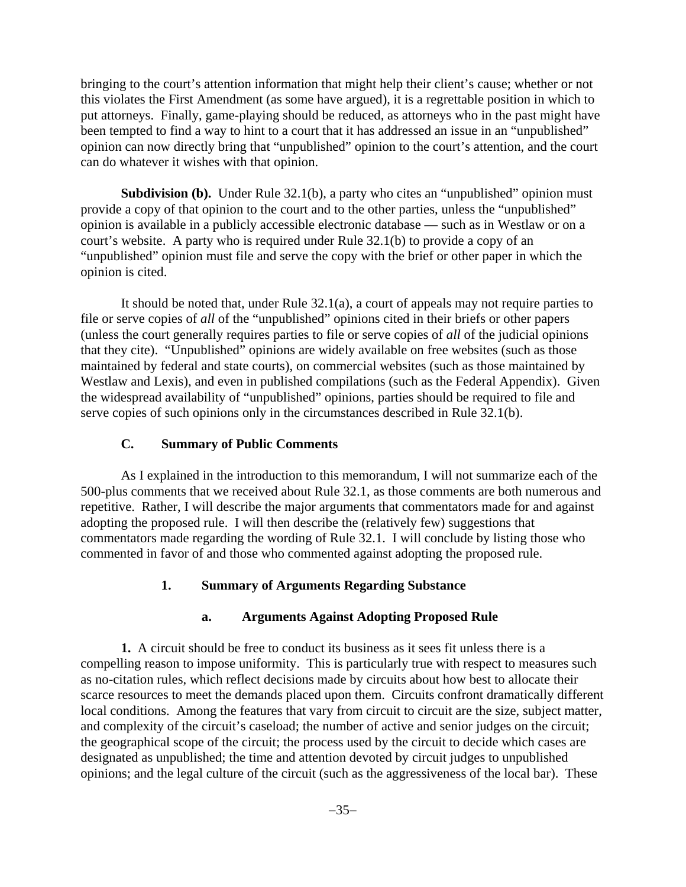bringing to the court's attention information that might help their client's cause; whether or not this violates the First Amendment (as some have argued), it is a regrettable position in which to put attorneys. Finally, game-playing should be reduced, as attorneys who in the past might have been tempted to find a way to hint to a court that it has addressed an issue in an "unpublished" opinion can now directly bring that "unpublished" opinion to the court's attention, and the court can do whatever it wishes with that opinion.

**Subdivision (b).** Under Rule 32.1(b), a party who cites an "unpublished" opinion must provide a copy of that opinion to the court and to the other parties, unless the "unpublished" opinion is available in a publicly accessible electronic database — such as in Westlaw or on a court's website. A party who is required under Rule 32.1(b) to provide a copy of an "unpublished" opinion must file and serve the copy with the brief or other paper in which the opinion is cited.

It should be noted that, under Rule 32.1(a), a court of appeals may not require parties to file or serve copies of *all* of the "unpublished" opinions cited in their briefs or other papers (unless the court generally requires parties to file or serve copies of *all* of the judicial opinions that they cite). "Unpublished" opinions are widely available on free websites (such as those maintained by federal and state courts), on commercial websites (such as those maintained by Westlaw and Lexis), and even in published compilations (such as the Federal Appendix). Given the widespread availability of "unpublished" opinions, parties should be required to file and serve copies of such opinions only in the circumstances described in Rule 32.1(b).

#### **C. Summary of Public Comments**

As I explained in the introduction to this memorandum, I will not summarize each of the 500-plus comments that we received about Rule 32.1, as those comments are both numerous and repetitive. Rather, I will describe the major arguments that commentators made for and against adopting the proposed rule. I will then describe the (relatively few) suggestions that commentators made regarding the wording of Rule 32.1. I will conclude by listing those who commented in favor of and those who commented against adopting the proposed rule.

#### **1. Summary of Arguments Regarding Substance**

### **a. Arguments Against Adopting Proposed Rule**

**1.** A circuit should be free to conduct its business as it sees fit unless there is a compelling reason to impose uniformity. This is particularly true with respect to measures such as no-citation rules, which reflect decisions made by circuits about how best to allocate their scarce resources to meet the demands placed upon them. Circuits confront dramatically different local conditions. Among the features that vary from circuit to circuit are the size, subject matter, and complexity of the circuit's caseload; the number of active and senior judges on the circuit; the geographical scope of the circuit; the process used by the circuit to decide which cases are designated as unpublished; the time and attention devoted by circuit judges to unpublished opinions; and the legal culture of the circuit (such as the aggressiveness of the local bar). These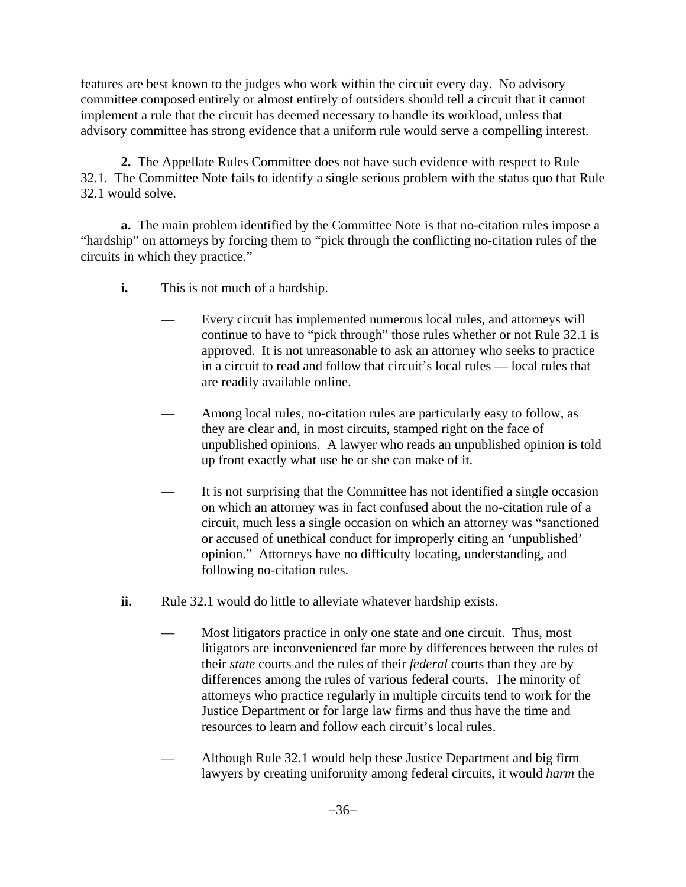features are best known to the judges who work within the circuit every day. No advisory committee composed entirely or almost entirely of outsiders should tell a circuit that it cannot implement a rule that the circuit has deemed necessary to handle its workload, unless that advisory committee has strong evidence that a uniform rule would serve a compelling interest.

**2.** The Appellate Rules Committee does not have such evidence with respect to Rule 32.1. The Committee Note fails to identify a single serious problem with the status quo that Rule 32.1 would solve.

**a.** The main problem identified by the Committee Note is that no-citation rules impose a "hardship" on attorneys by forcing them to "pick through the conflicting no-citation rules of the circuits in which they practice."

- **i.** This is not much of a hardship.
	- Every circuit has implemented numerous local rules, and attorneys will continue to have to "pick through" those rules whether or not Rule 32.1 is approved. It is not unreasonable to ask an attorney who seeks to practice in a circuit to read and follow that circuit's local rules — local rules that are readily available online.
	- Among local rules, no-citation rules are particularly easy to follow, as they are clear and, in most circuits, stamped right on the face of unpublished opinions. A lawyer who reads an unpublished opinion is told up front exactly what use he or she can make of it.
	- It is not surprising that the Committee has not identified a single occasion on which an attorney was in fact confused about the no-citation rule of a circuit, much less a single occasion on which an attorney was "sanctioned or accused of unethical conduct for improperly citing an 'unpublished' opinion." Attorneys have no difficulty locating, understanding, and following no-citation rules.
- **ii.** Rule 32.1 would do little to alleviate whatever hardship exists.
	- Most litigators practice in only one state and one circuit. Thus, most litigators are inconvenienced far more by differences between the rules of their *state* courts and the rules of their *federal* courts than they are by differences among the rules of various federal courts. The minority of attorneys who practice regularly in multiple circuits tend to work for the Justice Department or for large law firms and thus have the time and resources to learn and follow each circuit's local rules.
	- Although Rule 32.1 would help these Justice Department and big firm lawyers by creating uniformity among federal circuits, it would *harm* the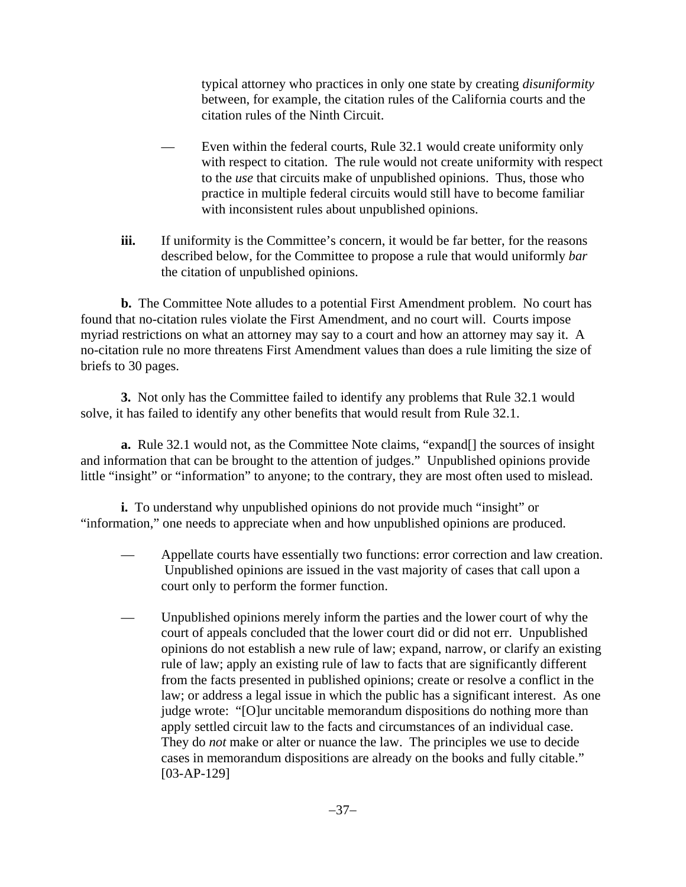typical attorney who practices in only one state by creating *disuniformity* between, for example, the citation rules of the California courts and the citation rules of the Ninth Circuit.

- Even within the federal courts, Rule 32.1 would create uniformity only with respect to citation. The rule would not create uniformity with respect to the *use* that circuits make of unpublished opinions. Thus, those who practice in multiple federal circuits would still have to become familiar with inconsistent rules about unpublished opinions.
- **iii.** If uniformity is the Committee's concern, it would be far better, for the reasons described below, for the Committee to propose a rule that would uniformly *bar* the citation of unpublished opinions.

**b.** The Committee Note alludes to a potential First Amendment problem. No court has found that no-citation rules violate the First Amendment, and no court will. Courts impose myriad restrictions on what an attorney may say to a court and how an attorney may say it. A no-citation rule no more threatens First Amendment values than does a rule limiting the size of briefs to 30 pages.

**3.** Not only has the Committee failed to identify any problems that Rule 32.1 would solve, it has failed to identify any other benefits that would result from Rule 32.1.

**a.** Rule 32.1 would not, as the Committee Note claims, "expand[] the sources of insight and information that can be brought to the attention of judges." Unpublished opinions provide little "insight" or "information" to anyone; to the contrary, they are most often used to mislead.

**i.** To understand why unpublished opinions do not provide much "insight" or "information," one needs to appreciate when and how unpublished opinions are produced.

- Appellate courts have essentially two functions: error correction and law creation. Unpublished opinions are issued in the vast majority of cases that call upon a court only to perform the former function.
- Unpublished opinions merely inform the parties and the lower court of why the court of appeals concluded that the lower court did or did not err. Unpublished opinions do not establish a new rule of law; expand, narrow, or clarify an existing rule of law; apply an existing rule of law to facts that are significantly different from the facts presented in published opinions; create or resolve a conflict in the law; or address a legal issue in which the public has a significant interest. As one judge wrote: "[O]ur uncitable memorandum dispositions do nothing more than apply settled circuit law to the facts and circumstances of an individual case. They do *not* make or alter or nuance the law. The principles we use to decide cases in memorandum dispositions are already on the books and fully citable." [03-AP-129]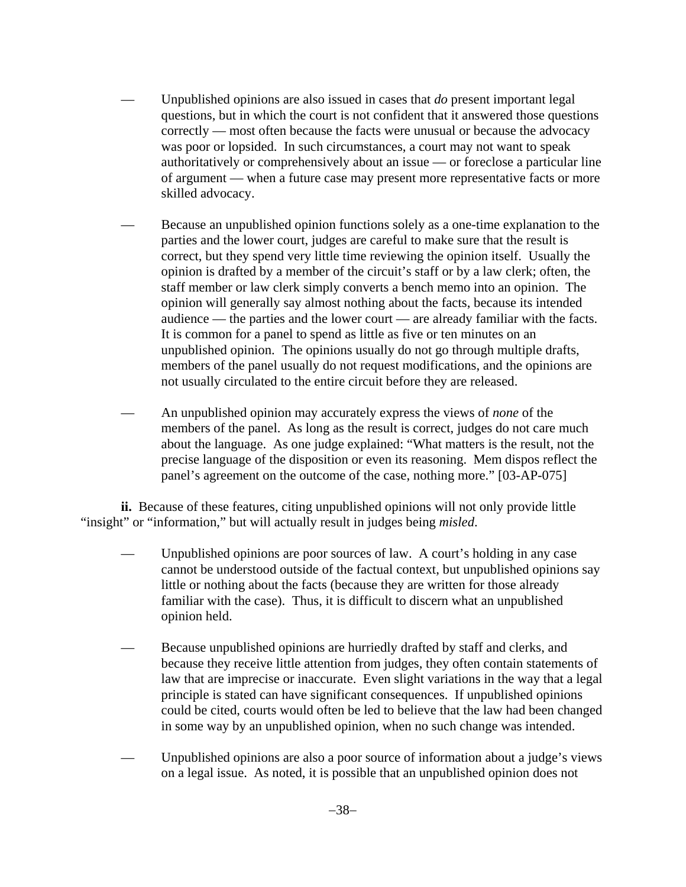- Unpublished opinions are also issued in cases that *do* present important legal questions, but in which the court is not confident that it answered those questions correctly — most often because the facts were unusual or because the advocacy was poor or lopsided. In such circumstances, a court may not want to speak authoritatively or comprehensively about an issue — or foreclose a particular line of argument — when a future case may present more representative facts or more skilled advocacy.
- Because an unpublished opinion functions solely as a one-time explanation to the parties and the lower court, judges are careful to make sure that the result is correct, but they spend very little time reviewing the opinion itself. Usually the opinion is drafted by a member of the circuit's staff or by a law clerk; often, the staff member or law clerk simply converts a bench memo into an opinion. The opinion will generally say almost nothing about the facts, because its intended audience — the parties and the lower court — are already familiar with the facts. It is common for a panel to spend as little as five or ten minutes on an unpublished opinion. The opinions usually do not go through multiple drafts, members of the panel usually do not request modifications, and the opinions are not usually circulated to the entire circuit before they are released.
- An unpublished opinion may accurately express the views of *none* of the members of the panel. As long as the result is correct, judges do not care much about the language. As one judge explained: "What matters is the result, not the precise language of the disposition or even its reasoning. Mem dispos reflect the panel's agreement on the outcome of the case, nothing more." [03-AP-075]

**ii.** Because of these features, citing unpublished opinions will not only provide little "insight" or "information," but will actually result in judges being *misled*.

- Unpublished opinions are poor sources of law. A court's holding in any case cannot be understood outside of the factual context, but unpublished opinions say little or nothing about the facts (because they are written for those already familiar with the case). Thus, it is difficult to discern what an unpublished opinion held.
- Because unpublished opinions are hurriedly drafted by staff and clerks, and because they receive little attention from judges, they often contain statements of law that are imprecise or inaccurate. Even slight variations in the way that a legal principle is stated can have significant consequences. If unpublished opinions could be cited, courts would often be led to believe that the law had been changed in some way by an unpublished opinion, when no such change was intended.
- Unpublished opinions are also a poor source of information about a judge's views on a legal issue. As noted, it is possible that an unpublished opinion does not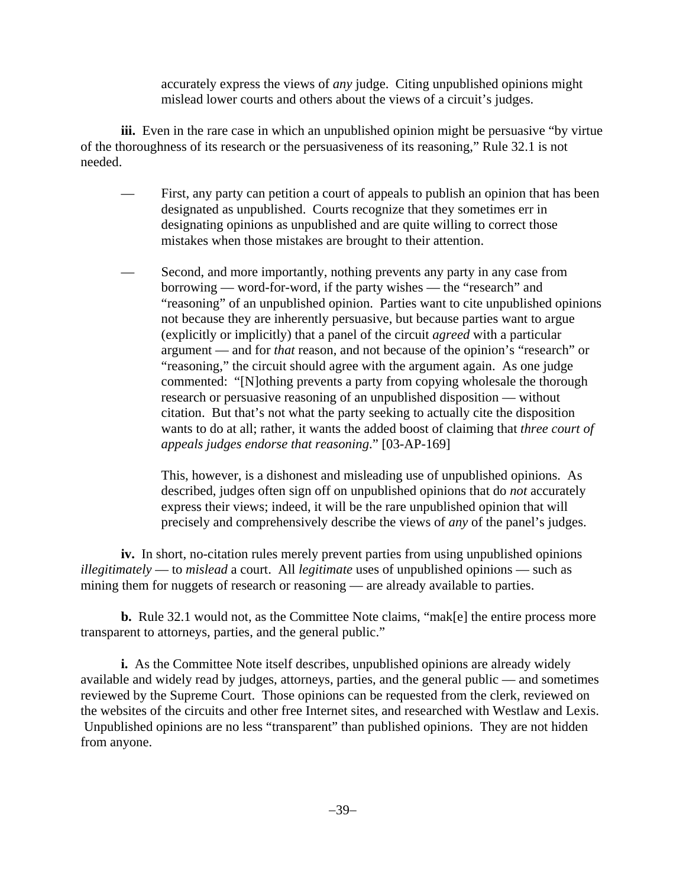accurately express the views of *any* judge. Citing unpublished opinions might mislead lower courts and others about the views of a circuit's judges.

**iii.** Even in the rare case in which an unpublished opinion might be persuasive "by virtue" of the thoroughness of its research or the persuasiveness of its reasoning," Rule 32.1 is not needed.

- First, any party can petition a court of appeals to publish an opinion that has been designated as unpublished. Courts recognize that they sometimes err in designating opinions as unpublished and are quite willing to correct those mistakes when those mistakes are brought to their attention.
- Second, and more importantly, nothing prevents any party in any case from borrowing — word-for-word, if the party wishes — the "research" and "reasoning" of an unpublished opinion. Parties want to cite unpublished opinions not because they are inherently persuasive, but because parties want to argue (explicitly or implicitly) that a panel of the circuit *agreed* with a particular argument — and for *that* reason, and not because of the opinion's "research" or "reasoning," the circuit should agree with the argument again. As one judge commented: "[N]othing prevents a party from copying wholesale the thorough research or persuasive reasoning of an unpublished disposition — without citation. But that's not what the party seeking to actually cite the disposition wants to do at all; rather, it wants the added boost of claiming that *three court of appeals judges endorse that reasoning*." [03-AP-169]

This, however, is a dishonest and misleading use of unpublished opinions. As described, judges often sign off on unpublished opinions that do *not* accurately express their views; indeed, it will be the rare unpublished opinion that will precisely and comprehensively describe the views of *any* of the panel's judges.

**iv.** In short, no-citation rules merely prevent parties from using unpublished opinions *illegitimately* — to *mislead* a court. All *legitimate* uses of unpublished opinions — such as mining them for nuggets of research or reasoning — are already available to parties.

**b.** Rule 32.1 would not, as the Committee Note claims, "mak[e] the entire process more transparent to attorneys, parties, and the general public."

**i.** As the Committee Note itself describes, unpublished opinions are already widely available and widely read by judges, attorneys, parties, and the general public — and sometimes reviewed by the Supreme Court. Those opinions can be requested from the clerk, reviewed on the websites of the circuits and other free Internet sites, and researched with Westlaw and Lexis. Unpublished opinions are no less "transparent" than published opinions. They are not hidden from anyone.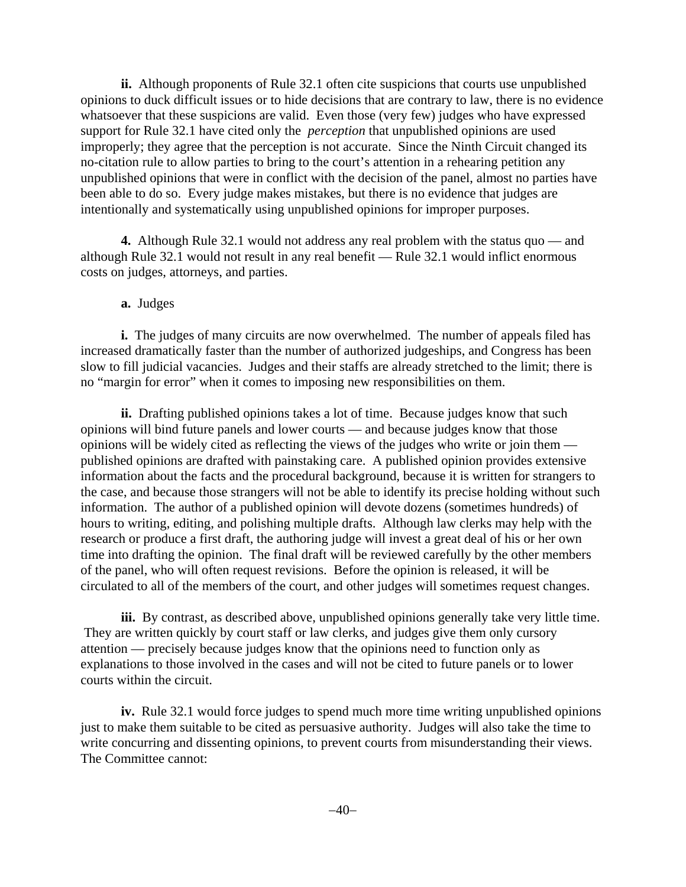**ii.** Although proponents of Rule 32.1 often cite suspicions that courts use unpublished opinions to duck difficult issues or to hide decisions that are contrary to law, there is no evidence whatsoever that these suspicions are valid. Even those (very few) judges who have expressed support for Rule 32.1 have cited only the *perception* that unpublished opinions are used improperly; they agree that the perception is not accurate. Since the Ninth Circuit changed its no-citation rule to allow parties to bring to the court's attention in a rehearing petition any unpublished opinions that were in conflict with the decision of the panel, almost no parties have been able to do so. Every judge makes mistakes, but there is no evidence that judges are intentionally and systematically using unpublished opinions for improper purposes.

**4.** Although Rule 32.1 would not address any real problem with the status quo — and although Rule 32.1 would not result in any real benefit — Rule 32.1 would inflict enormous costs on judges, attorneys, and parties.

#### **a.** Judges

**i.** The judges of many circuits are now overwhelmed. The number of appeals filed has increased dramatically faster than the number of authorized judgeships, and Congress has been slow to fill judicial vacancies. Judges and their staffs are already stretched to the limit; there is no "margin for error" when it comes to imposing new responsibilities on them.

**ii.** Drafting published opinions takes a lot of time. Because judges know that such opinions will bind future panels and lower courts — and because judges know that those opinions will be widely cited as reflecting the views of the judges who write or join them published opinions are drafted with painstaking care. A published opinion provides extensive information about the facts and the procedural background, because it is written for strangers to the case, and because those strangers will not be able to identify its precise holding without such information. The author of a published opinion will devote dozens (sometimes hundreds) of hours to writing, editing, and polishing multiple drafts. Although law clerks may help with the research or produce a first draft, the authoring judge will invest a great deal of his or her own time into drafting the opinion. The final draft will be reviewed carefully by the other members of the panel, who will often request revisions. Before the opinion is released, it will be circulated to all of the members of the court, and other judges will sometimes request changes.

**iii.** By contrast, as described above, unpublished opinions generally take very little time. They are written quickly by court staff or law clerks, and judges give them only cursory attention — precisely because judges know that the opinions need to function only as explanations to those involved in the cases and will not be cited to future panels or to lower courts within the circuit.

**iv.** Rule 32.1 would force judges to spend much more time writing unpublished opinions just to make them suitable to be cited as persuasive authority. Judges will also take the time to write concurring and dissenting opinions, to prevent courts from misunderstanding their views. The Committee cannot: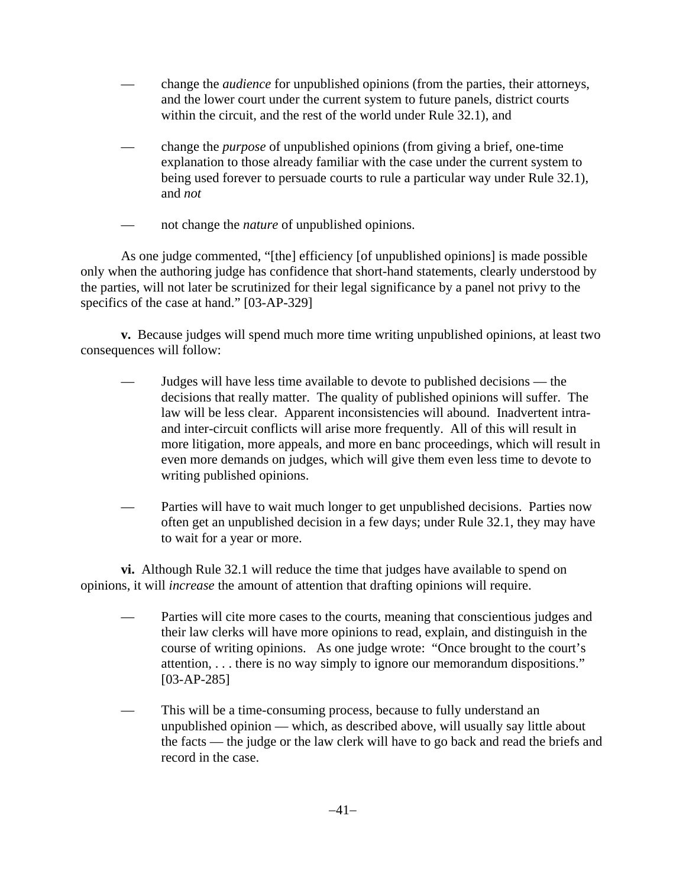- change the *audience* for unpublished opinions (from the parties, their attorneys, and the lower court under the current system to future panels, district courts within the circuit, and the rest of the world under Rule 32.1), and
- change the *purpose* of unpublished opinions (from giving a brief, one-time explanation to those already familiar with the case under the current system to being used forever to persuade courts to rule a particular way under Rule 32.1), and *not*
- not change the *nature* of unpublished opinions.

As one judge commented, "[the] efficiency [of unpublished opinions] is made possible only when the authoring judge has confidence that short-hand statements, clearly understood by the parties, will not later be scrutinized for their legal significance by a panel not privy to the specifics of the case at hand." [03-AP-329]

**v.** Because judges will spend much more time writing unpublished opinions, at least two consequences will follow:

- Judges will have less time available to devote to published decisions the decisions that really matter. The quality of published opinions will suffer. The law will be less clear. Apparent inconsistencies will abound. Inadvertent intraand inter-circuit conflicts will arise more frequently. All of this will result in more litigation, more appeals, and more en banc proceedings, which will result in even more demands on judges, which will give them even less time to devote to writing published opinions.
- Parties will have to wait much longer to get unpublished decisions. Parties now often get an unpublished decision in a few days; under Rule 32.1, they may have to wait for a year or more.

**vi.** Although Rule 32.1 will reduce the time that judges have available to spend on opinions, it will *increase* the amount of attention that drafting opinions will require.

- Parties will cite more cases to the courts, meaning that conscientious judges and their law clerks will have more opinions to read, explain, and distinguish in the course of writing opinions. As one judge wrote: "Once brought to the court's attention, . . . there is no way simply to ignore our memorandum dispositions." [03-AP-285]
- This will be a time-consuming process, because to fully understand an unpublished opinion — which, as described above, will usually say little about the facts — the judge or the law clerk will have to go back and read the briefs and record in the case.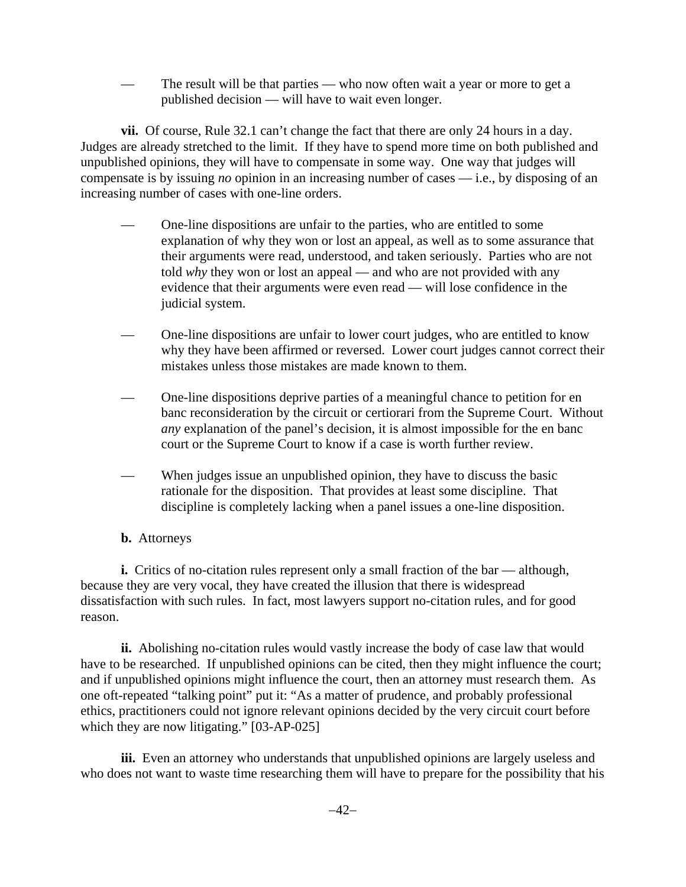— The result will be that parties — who now often wait a year or more to get a published decision — will have to wait even longer.

**vii.** Of course, Rule 32.1 can't change the fact that there are only 24 hours in a day. Judges are already stretched to the limit. If they have to spend more time on both published and unpublished opinions, they will have to compensate in some way. One way that judges will compensate is by issuing *no* opinion in an increasing number of cases — i.e., by disposing of an increasing number of cases with one-line orders.

- One-line dispositions are unfair to the parties, who are entitled to some explanation of why they won or lost an appeal, as well as to some assurance that their arguments were read, understood, and taken seriously. Parties who are not told *why* they won or lost an appeal — and who are not provided with any evidence that their arguments were even read — will lose confidence in the judicial system.
- One-line dispositions are unfair to lower court judges, who are entitled to know why they have been affirmed or reversed. Lower court judges cannot correct their mistakes unless those mistakes are made known to them.
- One-line dispositions deprive parties of a meaningful chance to petition for en banc reconsideration by the circuit or certiorari from the Supreme Court. Without *any* explanation of the panel's decision, it is almost impossible for the en banc court or the Supreme Court to know if a case is worth further review.
- When judges issue an unpublished opinion, they have to discuss the basic rationale for the disposition. That provides at least some discipline. That discipline is completely lacking when a panel issues a one-line disposition.
- **b.** Attorneys

**i.** Critics of no-citation rules represent only a small fraction of the bar — although, because they are very vocal, they have created the illusion that there is widespread dissatisfaction with such rules. In fact, most lawyers support no-citation rules, and for good reason.

**ii.** Abolishing no-citation rules would vastly increase the body of case law that would have to be researched. If unpublished opinions can be cited, then they might influence the court; and if unpublished opinions might influence the court, then an attorney must research them. As one oft-repeated "talking point" put it: "As a matter of prudence, and probably professional ethics, practitioners could not ignore relevant opinions decided by the very circuit court before which they are now litigating." [03-AP-025]

**iii.** Even an attorney who understands that unpublished opinions are largely useless and who does not want to waste time researching them will have to prepare for the possibility that his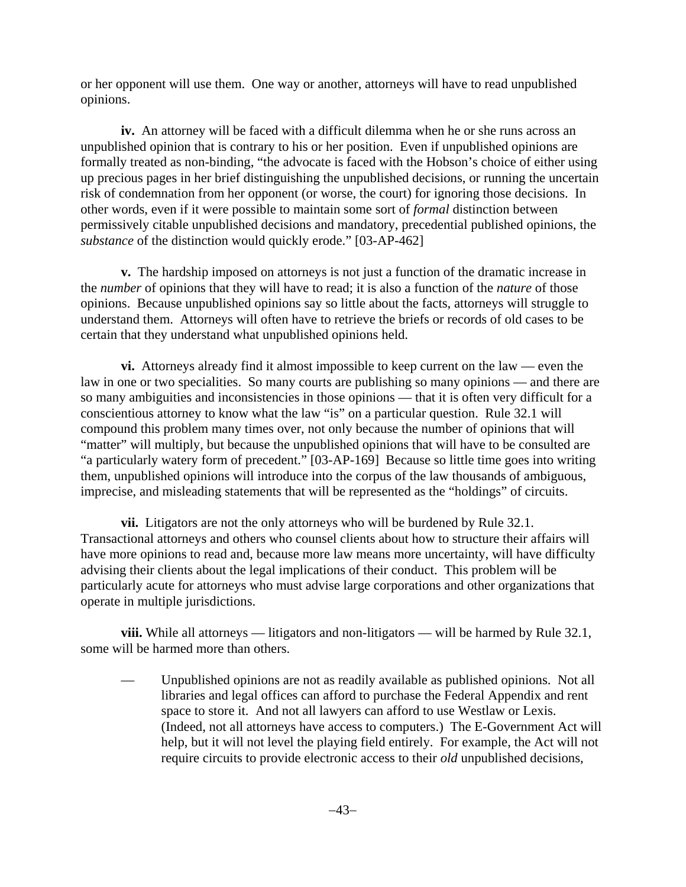or her opponent will use them. One way or another, attorneys will have to read unpublished opinions.

**iv.** An attorney will be faced with a difficult dilemma when he or she runs across an unpublished opinion that is contrary to his or her position. Even if unpublished opinions are formally treated as non-binding, "the advocate is faced with the Hobson's choice of either using up precious pages in her brief distinguishing the unpublished decisions, or running the uncertain risk of condemnation from her opponent (or worse, the court) for ignoring those decisions. In other words, even if it were possible to maintain some sort of *formal* distinction between permissively citable unpublished decisions and mandatory, precedential published opinions, the *substance* of the distinction would quickly erode." [03-AP-462]

**v.** The hardship imposed on attorneys is not just a function of the dramatic increase in the *number* of opinions that they will have to read; it is also a function of the *nature* of those opinions. Because unpublished opinions say so little about the facts, attorneys will struggle to understand them. Attorneys will often have to retrieve the briefs or records of old cases to be certain that they understand what unpublished opinions held.

**vi.** Attorneys already find it almost impossible to keep current on the law — even the law in one or two specialities. So many courts are publishing so many opinions — and there are so many ambiguities and inconsistencies in those opinions — that it is often very difficult for a conscientious attorney to know what the law "is" on a particular question. Rule 32.1 will compound this problem many times over, not only because the number of opinions that will "matter" will multiply, but because the unpublished opinions that will have to be consulted are "a particularly watery form of precedent." [03-AP-169] Because so little time goes into writing them, unpublished opinions will introduce into the corpus of the law thousands of ambiguous, imprecise, and misleading statements that will be represented as the "holdings" of circuits.

**vii.** Litigators are not the only attorneys who will be burdened by Rule 32.1. Transactional attorneys and others who counsel clients about how to structure their affairs will have more opinions to read and, because more law means more uncertainty, will have difficulty advising their clients about the legal implications of their conduct. This problem will be particularly acute for attorneys who must advise large corporations and other organizations that operate in multiple jurisdictions.

**viii.** While all attorneys — litigators and non-litigators — will be harmed by Rule 32.1, some will be harmed more than others.

— Unpublished opinions are not as readily available as published opinions. Not all libraries and legal offices can afford to purchase the Federal Appendix and rent space to store it. And not all lawyers can afford to use Westlaw or Lexis. (Indeed, not all attorneys have access to computers.) The E-Government Act will help, but it will not level the playing field entirely. For example, the Act will not require circuits to provide electronic access to their *old* unpublished decisions,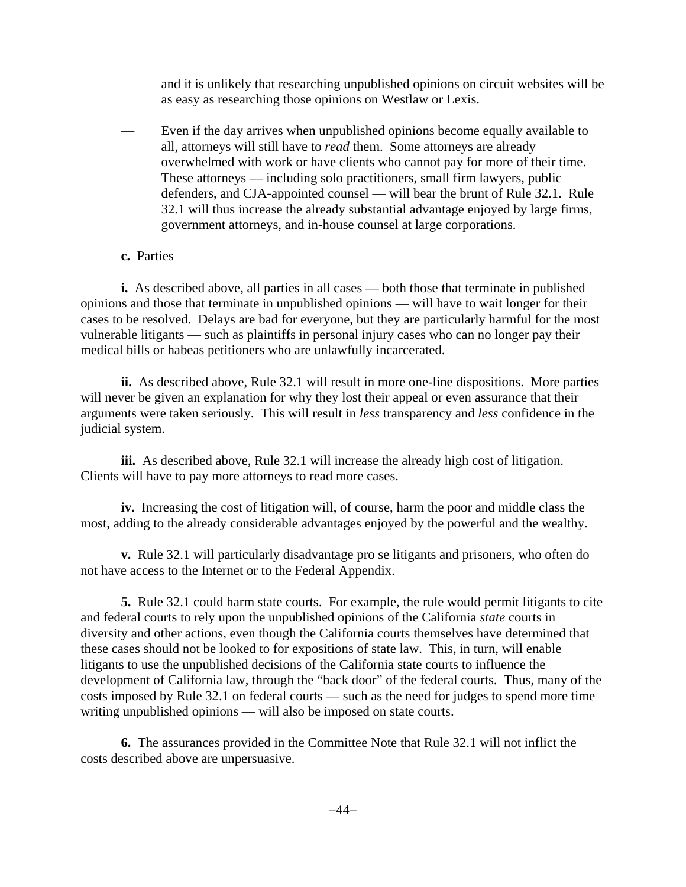and it is unlikely that researching unpublished opinions on circuit websites will be as easy as researching those opinions on Westlaw or Lexis.

- Even if the day arrives when unpublished opinions become equally available to all, attorneys will still have to *read* them. Some attorneys are already overwhelmed with work or have clients who cannot pay for more of their time. These attorneys — including solo practitioners, small firm lawyers, public defenders, and CJA-appointed counsel — will bear the brunt of Rule 32.1. Rule 32.1 will thus increase the already substantial advantage enjoyed by large firms, government attorneys, and in-house counsel at large corporations.
- **c.** Parties

**i.** As described above, all parties in all cases — both those that terminate in published opinions and those that terminate in unpublished opinions — will have to wait longer for their cases to be resolved. Delays are bad for everyone, but they are particularly harmful for the most vulnerable litigants — such as plaintiffs in personal injury cases who can no longer pay their medical bills or habeas petitioners who are unlawfully incarcerated.

**ii.** As described above, Rule 32.1 will result in more one-line dispositions. More parties will never be given an explanation for why they lost their appeal or even assurance that their arguments were taken seriously. This will result in *less* transparency and *less* confidence in the judicial system.

**iii.** As described above, Rule 32.1 will increase the already high cost of litigation. Clients will have to pay more attorneys to read more cases.

**iv.** Increasing the cost of litigation will, of course, harm the poor and middle class the most, adding to the already considerable advantages enjoyed by the powerful and the wealthy.

**v.** Rule 32.1 will particularly disadvantage pro se litigants and prisoners, who often do not have access to the Internet or to the Federal Appendix.

**5.** Rule 32.1 could harm state courts. For example, the rule would permit litigants to cite and federal courts to rely upon the unpublished opinions of the California *state* courts in diversity and other actions, even though the California courts themselves have determined that these cases should not be looked to for expositions of state law. This, in turn, will enable litigants to use the unpublished decisions of the California state courts to influence the development of California law, through the "back door" of the federal courts. Thus, many of the costs imposed by Rule 32.1 on federal courts — such as the need for judges to spend more time writing unpublished opinions — will also be imposed on state courts.

**6.** The assurances provided in the Committee Note that Rule 32.1 will not inflict the costs described above are unpersuasive.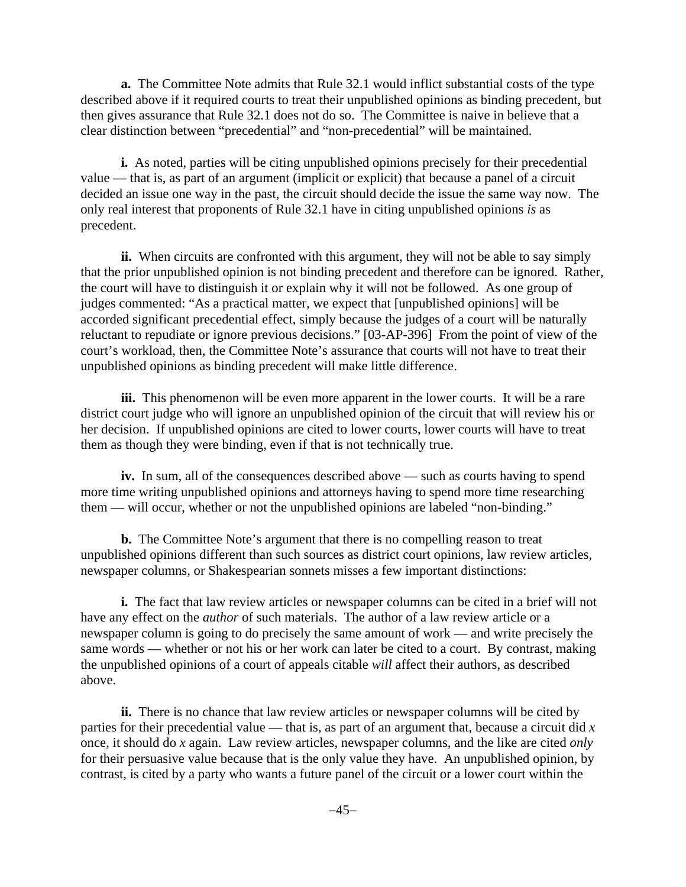**a.** The Committee Note admits that Rule 32.1 would inflict substantial costs of the type described above if it required courts to treat their unpublished opinions as binding precedent, but then gives assurance that Rule 32.1 does not do so. The Committee is naive in believe that a clear distinction between "precedential" and "non-precedential" will be maintained.

**i.** As noted, parties will be citing unpublished opinions precisely for their precedential value — that is, as part of an argument (implicit or explicit) that because a panel of a circuit decided an issue one way in the past, the circuit should decide the issue the same way now. The only real interest that proponents of Rule 32.1 have in citing unpublished opinions *is* as precedent.

**ii.** When circuits are confronted with this argument, they will not be able to say simply that the prior unpublished opinion is not binding precedent and therefore can be ignored. Rather, the court will have to distinguish it or explain why it will not be followed. As one group of judges commented: "As a practical matter, we expect that [unpublished opinions] will be accorded significant precedential effect, simply because the judges of a court will be naturally reluctant to repudiate or ignore previous decisions." [03-AP-396] From the point of view of the court's workload, then, the Committee Note's assurance that courts will not have to treat their unpublished opinions as binding precedent will make little difference.

**iii.** This phenomenon will be even more apparent in the lower courts. It will be a rare district court judge who will ignore an unpublished opinion of the circuit that will review his or her decision. If unpublished opinions are cited to lower courts, lower courts will have to treat them as though they were binding, even if that is not technically true.

**iv.** In sum, all of the consequences described above — such as courts having to spend more time writing unpublished opinions and attorneys having to spend more time researching them — will occur, whether or not the unpublished opinions are labeled "non-binding."

**b.** The Committee Note's argument that there is no compelling reason to treat unpublished opinions different than such sources as district court opinions, law review articles, newspaper columns, or Shakespearian sonnets misses a few important distinctions:

**i.** The fact that law review articles or newspaper columns can be cited in a brief will not have any effect on the *author* of such materials. The author of a law review article or a newspaper column is going to do precisely the same amount of work — and write precisely the same words — whether or not his or her work can later be cited to a court. By contrast, making the unpublished opinions of a court of appeals citable *will* affect their authors, as described above.

**ii.** There is no chance that law review articles or newspaper columns will be cited by parties for their precedential value — that is, as part of an argument that, because a circuit did *x* once, it should do *x* again. Law review articles, newspaper columns, and the like are cited *only* for their persuasive value because that is the only value they have. An unpublished opinion, by contrast, is cited by a party who wants a future panel of the circuit or a lower court within the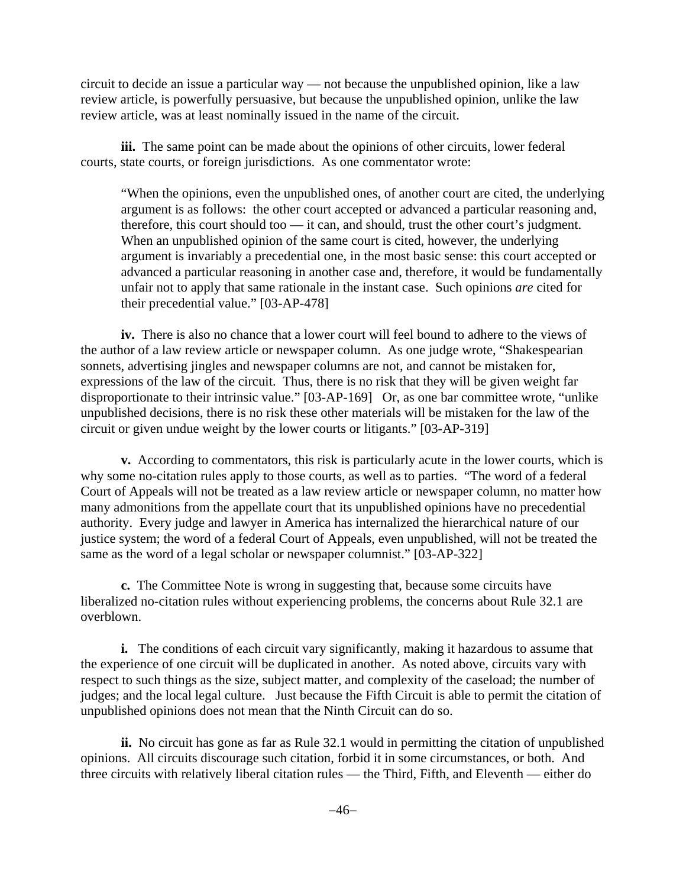circuit to decide an issue a particular way — not because the unpublished opinion, like a law review article, is powerfully persuasive, but because the unpublished opinion, unlike the law review article, was at least nominally issued in the name of the circuit.

**iii.** The same point can be made about the opinions of other circuits, lower federal courts, state courts, or foreign jurisdictions. As one commentator wrote:

 "When the opinions, even the unpublished ones, of another court are cited, the underlying argument is as follows: the other court accepted or advanced a particular reasoning and, therefore, this court should too — it can, and should, trust the other court's judgment. When an unpublished opinion of the same court is cited, however, the underlying argument is invariably a precedential one, in the most basic sense: this court accepted or advanced a particular reasoning in another case and, therefore, it would be fundamentally unfair not to apply that same rationale in the instant case. Such opinions *are* cited for their precedential value." [03-AP-478]

**iv.** There is also no chance that a lower court will feel bound to adhere to the views of the author of a law review article or newspaper column. As one judge wrote, "Shakespearian sonnets, advertising jingles and newspaper columns are not, and cannot be mistaken for, expressions of the law of the circuit. Thus, there is no risk that they will be given weight far disproportionate to their intrinsic value." [03-AP-169] Or, as one bar committee wrote, "unlike unpublished decisions, there is no risk these other materials will be mistaken for the law of the circuit or given undue weight by the lower courts or litigants." [03-AP-319]

**v.** According to commentators, this risk is particularly acute in the lower courts, which is why some no-citation rules apply to those courts, as well as to parties. "The word of a federal Court of Appeals will not be treated as a law review article or newspaper column, no matter how many admonitions from the appellate court that its unpublished opinions have no precedential authority. Every judge and lawyer in America has internalized the hierarchical nature of our justice system; the word of a federal Court of Appeals, even unpublished, will not be treated the same as the word of a legal scholar or newspaper columnist." [03-AP-322]

**c.** The Committee Note is wrong in suggesting that, because some circuits have liberalized no-citation rules without experiencing problems, the concerns about Rule 32.1 are overblown.

**i.** The conditions of each circuit vary significantly, making it hazardous to assume that the experience of one circuit will be duplicated in another. As noted above, circuits vary with respect to such things as the size, subject matter, and complexity of the caseload; the number of judges; and the local legal culture. Just because the Fifth Circuit is able to permit the citation of unpublished opinions does not mean that the Ninth Circuit can do so.

**ii.** No circuit has gone as far as Rule 32.1 would in permitting the citation of unpublished opinions. All circuits discourage such citation, forbid it in some circumstances, or both. And three circuits with relatively liberal citation rules — the Third, Fifth, and Eleventh — either do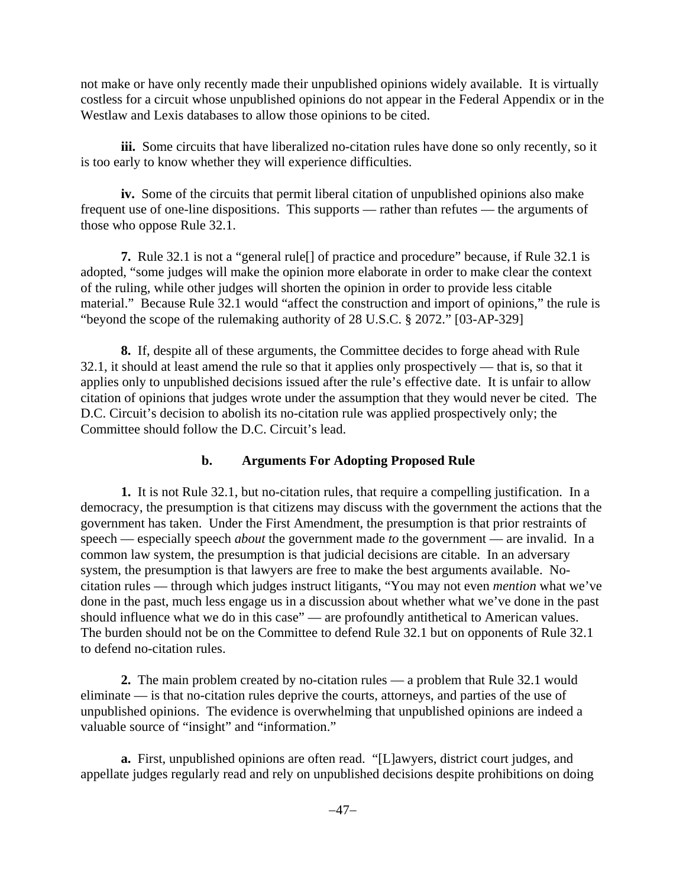not make or have only recently made their unpublished opinions widely available. It is virtually costless for a circuit whose unpublished opinions do not appear in the Federal Appendix or in the Westlaw and Lexis databases to allow those opinions to be cited.

**iii.** Some circuits that have liberalized no-citation rules have done so only recently, so it is too early to know whether they will experience difficulties.

**iv.** Some of the circuits that permit liberal citation of unpublished opinions also make frequent use of one-line dispositions. This supports — rather than refutes — the arguments of those who oppose Rule 32.1.

**7.** Rule 32.1 is not a "general rule[] of practice and procedure" because, if Rule 32.1 is adopted, "some judges will make the opinion more elaborate in order to make clear the context of the ruling, while other judges will shorten the opinion in order to provide less citable material." Because Rule 32.1 would "affect the construction and import of opinions," the rule is "beyond the scope of the rulemaking authority of 28 U.S.C. § 2072." [03-AP-329]

**8.** If, despite all of these arguments, the Committee decides to forge ahead with Rule 32.1, it should at least amend the rule so that it applies only prospectively — that is, so that it applies only to unpublished decisions issued after the rule's effective date. It is unfair to allow citation of opinions that judges wrote under the assumption that they would never be cited. The D.C. Circuit's decision to abolish its no-citation rule was applied prospectively only; the Committee should follow the D.C. Circuit's lead.

#### **b. Arguments For Adopting Proposed Rule**

**1.** It is not Rule 32.1, but no-citation rules, that require a compelling justification. In a democracy, the presumption is that citizens may discuss with the government the actions that the government has taken. Under the First Amendment, the presumption is that prior restraints of speech — especially speech *about* the government made *to* the government — are invalid. In a common law system, the presumption is that judicial decisions are citable. In an adversary system, the presumption is that lawyers are free to make the best arguments available. Nocitation rules — through which judges instruct litigants, "You may not even *mention* what we've done in the past, much less engage us in a discussion about whether what we've done in the past should influence what we do in this case" — are profoundly antithetical to American values. The burden should not be on the Committee to defend Rule 32.1 but on opponents of Rule 32.1 to defend no-citation rules.

**2.** The main problem created by no-citation rules — a problem that Rule 32.1 would eliminate — is that no-citation rules deprive the courts, attorneys, and parties of the use of unpublished opinions. The evidence is overwhelming that unpublished opinions are indeed a valuable source of "insight" and "information."

**a.** First, unpublished opinions are often read. "[L]awyers, district court judges, and appellate judges regularly read and rely on unpublished decisions despite prohibitions on doing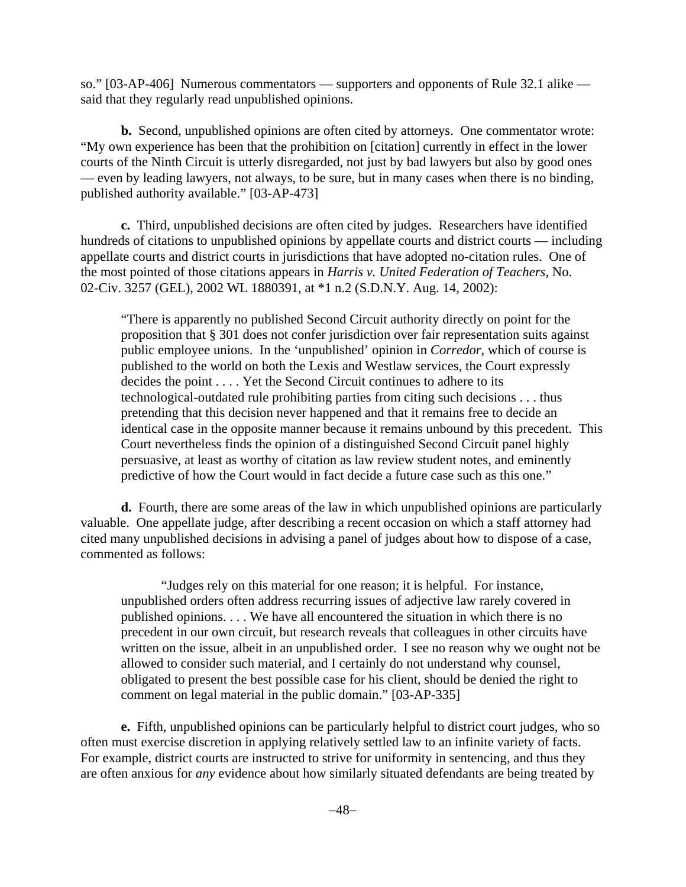so." [03-AP-406] Numerous commentators — supporters and opponents of Rule 32.1 alike said that they regularly read unpublished opinions.

**b.** Second, unpublished opinions are often cited by attorneys. One commentator wrote: "My own experience has been that the prohibition on [citation] currently in effect in the lower courts of the Ninth Circuit is utterly disregarded, not just by bad lawyers but also by good ones — even by leading lawyers, not always, to be sure, but in many cases when there is no binding, published authority available." [03-AP-473]

**c.** Third, unpublished decisions are often cited by judges. Researchers have identified hundreds of citations to unpublished opinions by appellate courts and district courts — including appellate courts and district courts in jurisdictions that have adopted no-citation rules. One of the most pointed of those citations appears in *Harris v. United Federation of Teachers*, No. 02-Civ. 3257 (GEL), 2002 WL 1880391, at \*1 n.2 (S.D.N.Y. Aug. 14, 2002):

"There is apparently no published Second Circuit authority directly on point for the proposition that § 301 does not confer jurisdiction over fair representation suits against public employee unions. In the 'unpublished' opinion in *Corredor*, which of course is published to the world on both the Lexis and Westlaw services, the Court expressly decides the point . . . . Yet the Second Circuit continues to adhere to its technological-outdated rule prohibiting parties from citing such decisions . . . thus pretending that this decision never happened and that it remains free to decide an identical case in the opposite manner because it remains unbound by this precedent. This Court nevertheless finds the opinion of a distinguished Second Circuit panel highly persuasive, at least as worthy of citation as law review student notes, and eminently predictive of how the Court would in fact decide a future case such as this one."

**d.** Fourth, there are some areas of the law in which unpublished opinions are particularly valuable. One appellate judge, after describing a recent occasion on which a staff attorney had cited many unpublished decisions in advising a panel of judges about how to dispose of a case, commented as follows:

"Judges rely on this material for one reason; it is helpful. For instance, unpublished orders often address recurring issues of adjective law rarely covered in published opinions. . . . We have all encountered the situation in which there is no precedent in our own circuit, but research reveals that colleagues in other circuits have written on the issue, albeit in an unpublished order. I see no reason why we ought not be allowed to consider such material, and I certainly do not understand why counsel, obligated to present the best possible case for his client, should be denied the right to comment on legal material in the public domain." [03-AP-335]

**e.** Fifth, unpublished opinions can be particularly helpful to district court judges, who so often must exercise discretion in applying relatively settled law to an infinite variety of facts. For example, district courts are instructed to strive for uniformity in sentencing, and thus they are often anxious for *any* evidence about how similarly situated defendants are being treated by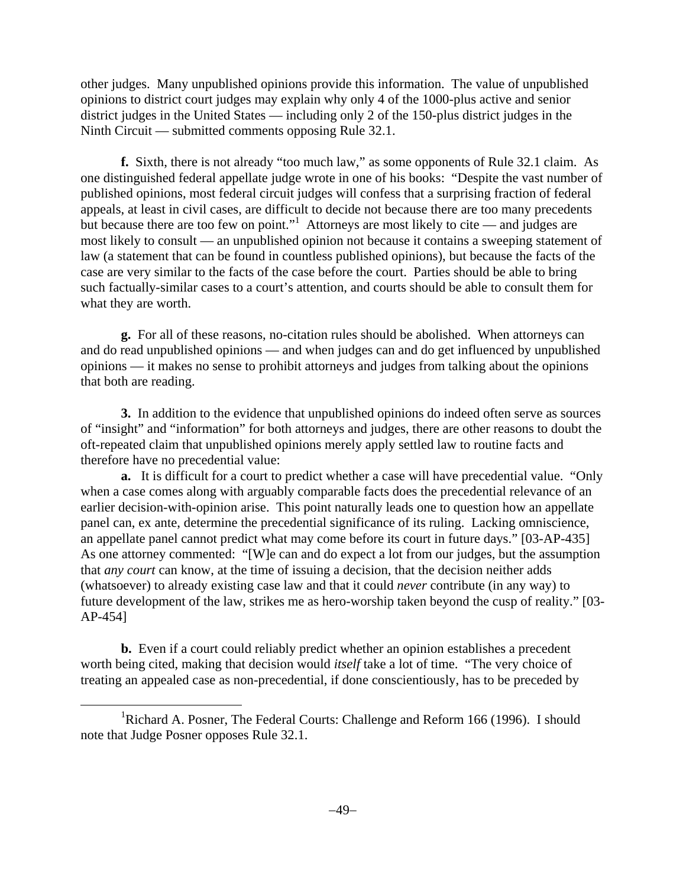other judges. Many unpublished opinions provide this information. The value of unpublished opinions to district court judges may explain why only 4 of the 1000-plus active and senior district judges in the United States — including only 2 of the 150-plus district judges in the Ninth Circuit — submitted comments opposing Rule 32.1.

**f.** Sixth, there is not already "too much law," as some opponents of Rule 32.1 claim. As one distinguished federal appellate judge wrote in one of his books: "Despite the vast number of published opinions, most federal circuit judges will confess that a surprising fraction of federal appeals, at least in civil cases, are difficult to decide not because there are too many precedents but because there are too few on point."<sup>1</sup> Attorneys are most likely to cite — and judges are most likely to consult — an unpublished opinion not because it contains a sweeping statement of law (a statement that can be found in countless published opinions), but because the facts of the case are very similar to the facts of the case before the court. Parties should be able to bring such factually-similar cases to a court's attention, and courts should be able to consult them for what they are worth.

**g.** For all of these reasons, no-citation rules should be abolished. When attorneys can and do read unpublished opinions — and when judges can and do get influenced by unpublished opinions — it makes no sense to prohibit attorneys and judges from talking about the opinions that both are reading.

**3.** In addition to the evidence that unpublished opinions do indeed often serve as sources of "insight" and "information" for both attorneys and judges, there are other reasons to doubt the oft-repeated claim that unpublished opinions merely apply settled law to routine facts and therefore have no precedential value:

**a.** It is difficult for a court to predict whether a case will have precedential value. "Only when a case comes along with arguably comparable facts does the precedential relevance of an earlier decision-with-opinion arise. This point naturally leads one to question how an appellate panel can, ex ante, determine the precedential significance of its ruling. Lacking omniscience, an appellate panel cannot predict what may come before its court in future days." [03-AP-435] As one attorney commented: "[W]e can and do expect a lot from our judges, but the assumption that *any court* can know, at the time of issuing a decision, that the decision neither adds (whatsoever) to already existing case law and that it could *never* contribute (in any way) to future development of the law, strikes me as hero-worship taken beyond the cusp of reality." [03- AP-454]

**b.** Even if a court could reliably predict whether an opinion establishes a precedent worth being cited, making that decision would *itself* take a lot of time. "The very choice of treating an appealed case as non-precedential, if done conscientiously, has to be preceded by

<sup>&</sup>lt;u>1</u> <sup>1</sup>Richard A. Posner, The Federal Courts: Challenge and Reform 166 (1996). I should note that Judge Posner opposes Rule 32.1.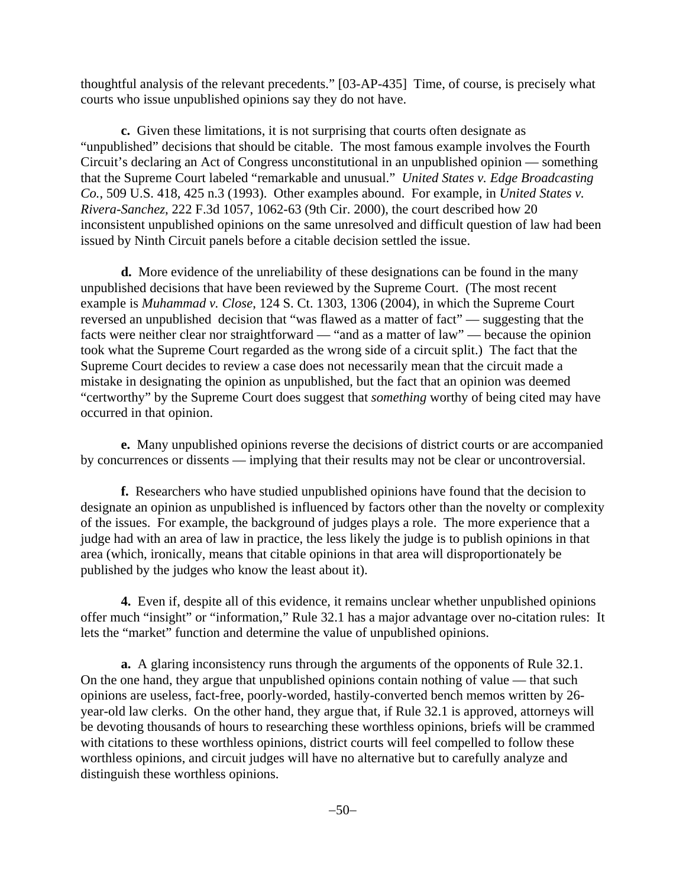thoughtful analysis of the relevant precedents." [03-AP-435] Time, of course, is precisely what courts who issue unpublished opinions say they do not have.

**c.** Given these limitations, it is not surprising that courts often designate as "unpublished" decisions that should be citable. The most famous example involves the Fourth Circuit's declaring an Act of Congress unconstitutional in an unpublished opinion — something that the Supreme Court labeled "remarkable and unusual." *United States v. Edge Broadcasting Co.*, 509 U.S. 418, 425 n.3 (1993). Other examples abound. For example, in *United States v. Rivera-Sanchez*, 222 F.3d 1057, 1062-63 (9th Cir. 2000), the court described how 20 inconsistent unpublished opinions on the same unresolved and difficult question of law had been issued by Ninth Circuit panels before a citable decision settled the issue.

**d.** More evidence of the unreliability of these designations can be found in the many unpublished decisions that have been reviewed by the Supreme Court. (The most recent example is *Muhammad v. Close*, 124 S. Ct. 1303, 1306 (2004), in which the Supreme Court reversed an unpublished decision that "was flawed as a matter of fact" — suggesting that the facts were neither clear nor straightforward — "and as a matter of law" — because the opinion took what the Supreme Court regarded as the wrong side of a circuit split.) The fact that the Supreme Court decides to review a case does not necessarily mean that the circuit made a mistake in designating the opinion as unpublished, but the fact that an opinion was deemed "certworthy" by the Supreme Court does suggest that *something* worthy of being cited may have occurred in that opinion.

**e.** Many unpublished opinions reverse the decisions of district courts or are accompanied by concurrences or dissents — implying that their results may not be clear or uncontroversial.

**f.** Researchers who have studied unpublished opinions have found that the decision to designate an opinion as unpublished is influenced by factors other than the novelty or complexity of the issues. For example, the background of judges plays a role. The more experience that a judge had with an area of law in practice, the less likely the judge is to publish opinions in that area (which, ironically, means that citable opinions in that area will disproportionately be published by the judges who know the least about it).

**4.** Even if, despite all of this evidence, it remains unclear whether unpublished opinions offer much "insight" or "information," Rule 32.1 has a major advantage over no-citation rules: It lets the "market" function and determine the value of unpublished opinions.

**a.** A glaring inconsistency runs through the arguments of the opponents of Rule 32.1. On the one hand, they argue that unpublished opinions contain nothing of value — that such opinions are useless, fact-free, poorly-worded, hastily-converted bench memos written by 26 year-old law clerks. On the other hand, they argue that, if Rule 32.1 is approved, attorneys will be devoting thousands of hours to researching these worthless opinions, briefs will be crammed with citations to these worthless opinions, district courts will feel compelled to follow these worthless opinions, and circuit judges will have no alternative but to carefully analyze and distinguish these worthless opinions.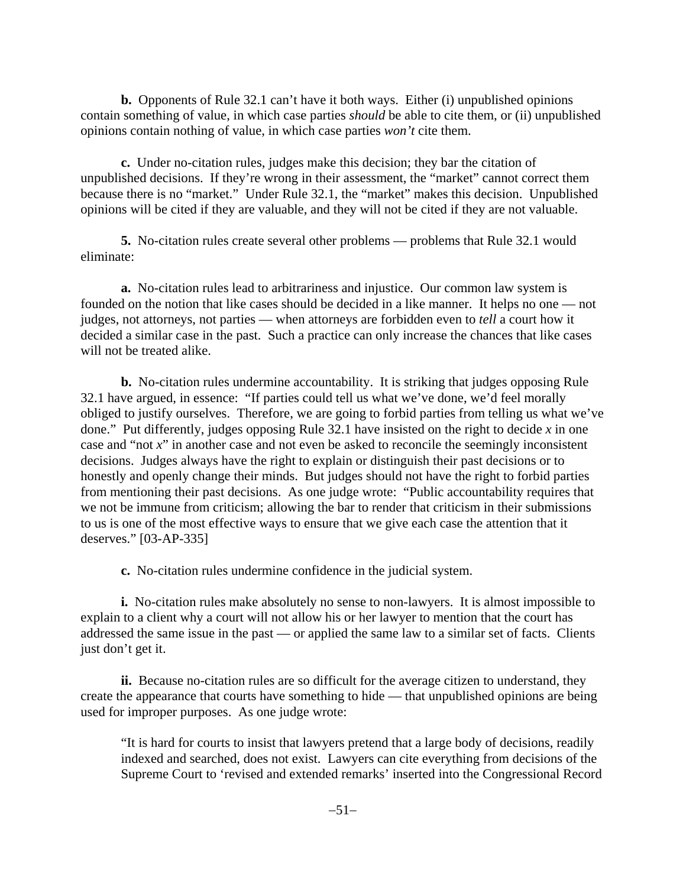**b.** Opponents of Rule 32.1 can't have it both ways. Either (i) unpublished opinions contain something of value, in which case parties *should* be able to cite them, or (ii) unpublished opinions contain nothing of value, in which case parties *won't* cite them.

**c.** Under no-citation rules, judges make this decision; they bar the citation of unpublished decisions. If they're wrong in their assessment, the "market" cannot correct them because there is no "market." Under Rule 32.1, the "market" makes this decision. Unpublished opinions will be cited if they are valuable, and they will not be cited if they are not valuable.

**5.** No-citation rules create several other problems — problems that Rule 32.1 would eliminate:

**a.** No-citation rules lead to arbitrariness and injustice. Our common law system is founded on the notion that like cases should be decided in a like manner. It helps no one — not judges, not attorneys, not parties — when attorneys are forbidden even to *tell* a court how it decided a similar case in the past. Such a practice can only increase the chances that like cases will not be treated alike.

**b.** No-citation rules undermine accountability. It is striking that judges opposing Rule 32.1 have argued, in essence: "If parties could tell us what we've done, we'd feel morally obliged to justify ourselves. Therefore, we are going to forbid parties from telling us what we've done." Put differently, judges opposing Rule 32.1 have insisted on the right to decide *x* in one case and "not *x*" in another case and not even be asked to reconcile the seemingly inconsistent decisions. Judges always have the right to explain or distinguish their past decisions or to honestly and openly change their minds. But judges should not have the right to forbid parties from mentioning their past decisions. As one judge wrote: "Public accountability requires that we not be immune from criticism; allowing the bar to render that criticism in their submissions to us is one of the most effective ways to ensure that we give each case the attention that it deserves." [03-AP-335]

**c.** No-citation rules undermine confidence in the judicial system.

**i.** No-citation rules make absolutely no sense to non-lawyers. It is almost impossible to explain to a client why a court will not allow his or her lawyer to mention that the court has addressed the same issue in the past — or applied the same law to a similar set of facts. Clients just don't get it.

**ii.** Because no-citation rules are so difficult for the average citizen to understand, they create the appearance that courts have something to hide — that unpublished opinions are being used for improper purposes. As one judge wrote:

"It is hard for courts to insist that lawyers pretend that a large body of decisions, readily indexed and searched, does not exist. Lawyers can cite everything from decisions of the Supreme Court to 'revised and extended remarks' inserted into the Congressional Record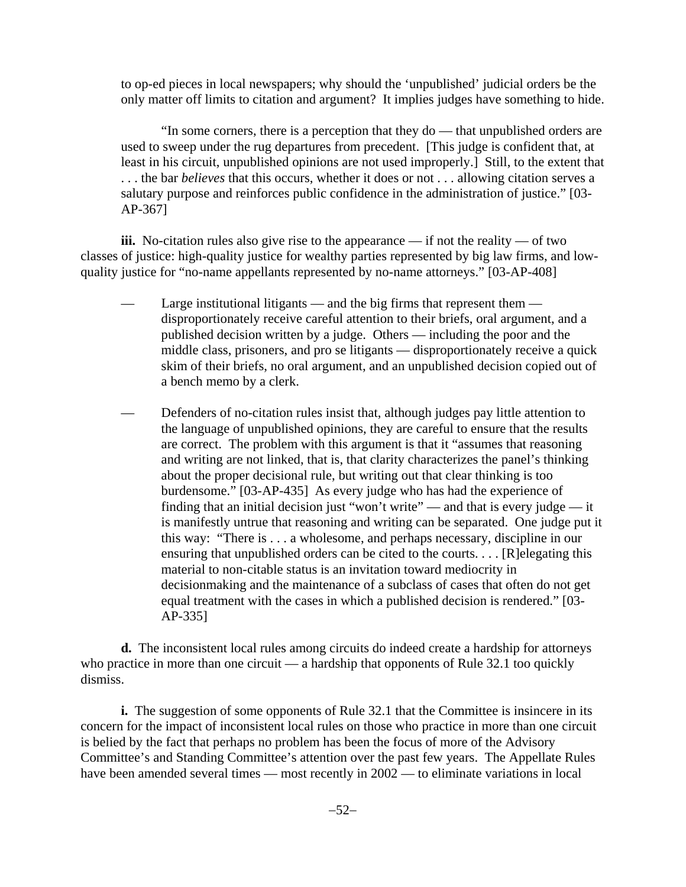to op-ed pieces in local newspapers; why should the 'unpublished' judicial orders be the only matter off limits to citation and argument? It implies judges have something to hide.

"In some corners, there is a perception that they do — that unpublished orders are used to sweep under the rug departures from precedent. [This judge is confident that, at least in his circuit, unpublished opinions are not used improperly.] Still, to the extent that . . . the bar *believes* that this occurs, whether it does or not . . . allowing citation serves a salutary purpose and reinforces public confidence in the administration of justice." [03- AP-367]

**iii.** No-citation rules also give rise to the appearance — if not the reality — of two classes of justice: high-quality justice for wealthy parties represented by big law firms, and lowquality justice for "no-name appellants represented by no-name attorneys." [03-AP-408]

- Large institutional litigants and the big firms that represent them disproportionately receive careful attention to their briefs, oral argument, and a published decision written by a judge. Others — including the poor and the middle class, prisoners, and pro se litigants — disproportionately receive a quick skim of their briefs, no oral argument, and an unpublished decision copied out of a bench memo by a clerk.
- Defenders of no-citation rules insist that, although judges pay little attention to the language of unpublished opinions, they are careful to ensure that the results are correct. The problem with this argument is that it "assumes that reasoning and writing are not linked, that is, that clarity characterizes the panel's thinking about the proper decisional rule, but writing out that clear thinking is too burdensome." [03-AP-435] As every judge who has had the experience of finding that an initial decision just "won't write" — and that is every judge — it is manifestly untrue that reasoning and writing can be separated. One judge put it this way: "There is . . . a wholesome, and perhaps necessary, discipline in our ensuring that unpublished orders can be cited to the courts. . . . [R]elegating this material to non-citable status is an invitation toward mediocrity in decisionmaking and the maintenance of a subclass of cases that often do not get equal treatment with the cases in which a published decision is rendered." [03- AP-335]

**d.** The inconsistent local rules among circuits do indeed create a hardship for attorneys who practice in more than one circuit — a hardship that opponents of Rule 32.1 too quickly dismiss.

**i.** The suggestion of some opponents of Rule 32.1 that the Committee is insincere in its concern for the impact of inconsistent local rules on those who practice in more than one circuit is belied by the fact that perhaps no problem has been the focus of more of the Advisory Committee's and Standing Committee's attention over the past few years. The Appellate Rules have been amended several times — most recently in  $2002$  — to eliminate variations in local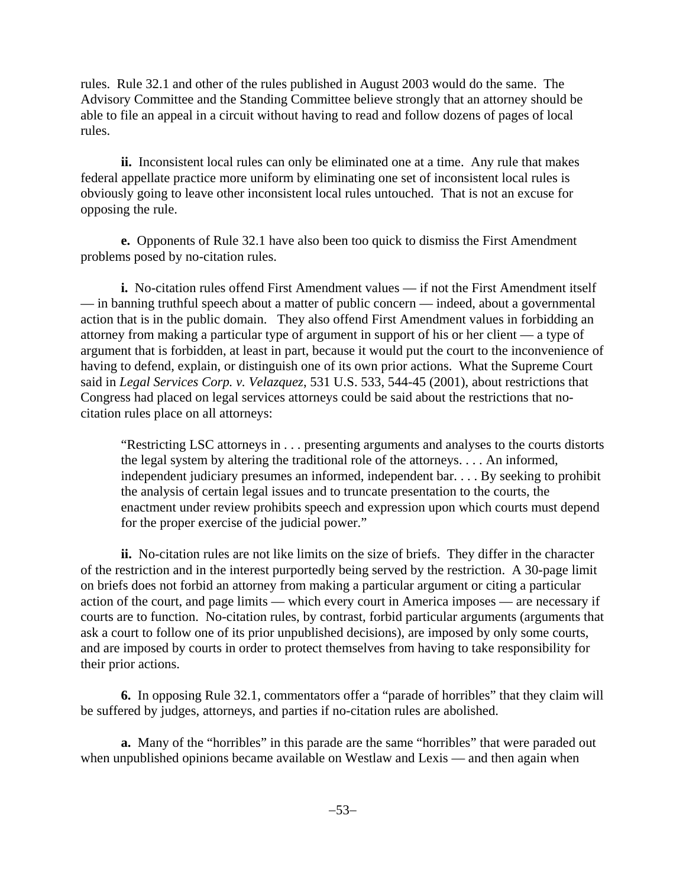rules. Rule 32.1 and other of the rules published in August 2003 would do the same. The Advisory Committee and the Standing Committee believe strongly that an attorney should be able to file an appeal in a circuit without having to read and follow dozens of pages of local rules.

**ii.** Inconsistent local rules can only be eliminated one at a time. Any rule that makes federal appellate practice more uniform by eliminating one set of inconsistent local rules is obviously going to leave other inconsistent local rules untouched. That is not an excuse for opposing the rule.

**e.** Opponents of Rule 32.1 have also been too quick to dismiss the First Amendment problems posed by no-citation rules.

**i.** No-citation rules offend First Amendment values — if not the First Amendment itself — in banning truthful speech about a matter of public concern — indeed, about a governmental action that is in the public domain. They also offend First Amendment values in forbidding an attorney from making a particular type of argument in support of his or her client — a type of argument that is forbidden, at least in part, because it would put the court to the inconvenience of having to defend, explain, or distinguish one of its own prior actions. What the Supreme Court said in *Legal Services Corp. v. Velazquez*, 531 U.S. 533, 544-45 (2001), about restrictions that Congress had placed on legal services attorneys could be said about the restrictions that nocitation rules place on all attorneys:

"Restricting LSC attorneys in . . . presenting arguments and analyses to the courts distorts the legal system by altering the traditional role of the attorneys. . . . An informed, independent judiciary presumes an informed, independent bar. . . . By seeking to prohibit the analysis of certain legal issues and to truncate presentation to the courts, the enactment under review prohibits speech and expression upon which courts must depend for the proper exercise of the judicial power."

**ii.** No-citation rules are not like limits on the size of briefs. They differ in the character of the restriction and in the interest purportedly being served by the restriction. A 30-page limit on briefs does not forbid an attorney from making a particular argument or citing a particular action of the court, and page limits — which every court in America imposes — are necessary if courts are to function. No-citation rules, by contrast, forbid particular arguments (arguments that ask a court to follow one of its prior unpublished decisions), are imposed by only some courts, and are imposed by courts in order to protect themselves from having to take responsibility for their prior actions.

**6.** In opposing Rule 32.1, commentators offer a "parade of horribles" that they claim will be suffered by judges, attorneys, and parties if no-citation rules are abolished.

**a.** Many of the "horribles" in this parade are the same "horribles" that were paraded out when unpublished opinions became available on Westlaw and Lexis — and then again when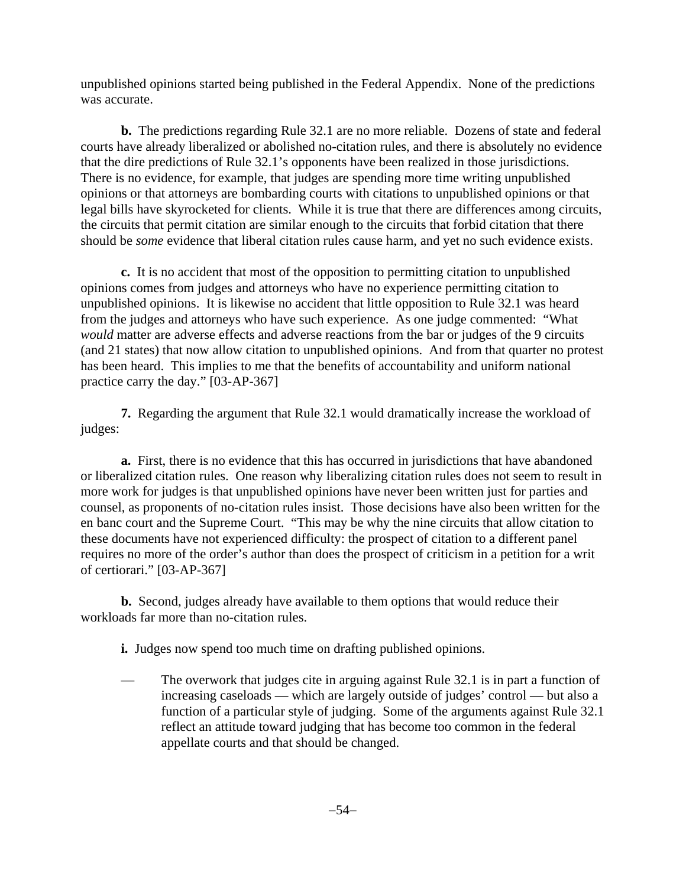unpublished opinions started being published in the Federal Appendix. None of the predictions was accurate.

**b.** The predictions regarding Rule 32.1 are no more reliable. Dozens of state and federal courts have already liberalized or abolished no-citation rules, and there is absolutely no evidence that the dire predictions of Rule 32.1's opponents have been realized in those jurisdictions. There is no evidence, for example, that judges are spending more time writing unpublished opinions or that attorneys are bombarding courts with citations to unpublished opinions or that legal bills have skyrocketed for clients. While it is true that there are differences among circuits, the circuits that permit citation are similar enough to the circuits that forbid citation that there should be *some* evidence that liberal citation rules cause harm, and yet no such evidence exists.

**c.** It is no accident that most of the opposition to permitting citation to unpublished opinions comes from judges and attorneys who have no experience permitting citation to unpublished opinions. It is likewise no accident that little opposition to Rule 32.1 was heard from the judges and attorneys who have such experience. As one judge commented: "What *would* matter are adverse effects and adverse reactions from the bar or judges of the 9 circuits (and 21 states) that now allow citation to unpublished opinions. And from that quarter no protest has been heard. This implies to me that the benefits of accountability and uniform national practice carry the day." [03-AP-367]

**7.** Regarding the argument that Rule 32.1 would dramatically increase the workload of judges:

**a.** First, there is no evidence that this has occurred in jurisdictions that have abandoned or liberalized citation rules. One reason why liberalizing citation rules does not seem to result in more work for judges is that unpublished opinions have never been written just for parties and counsel, as proponents of no-citation rules insist. Those decisions have also been written for the en banc court and the Supreme Court. "This may be why the nine circuits that allow citation to these documents have not experienced difficulty: the prospect of citation to a different panel requires no more of the order's author than does the prospect of criticism in a petition for a writ of certiorari." [03-AP-367]

**b.** Second, judges already have available to them options that would reduce their workloads far more than no-citation rules.

**i.** Judges now spend too much time on drafting published opinions.

— The overwork that judges cite in arguing against Rule 32.1 is in part a function of increasing caseloads — which are largely outside of judges' control — but also a function of a particular style of judging. Some of the arguments against Rule 32.1 reflect an attitude toward judging that has become too common in the federal appellate courts and that should be changed.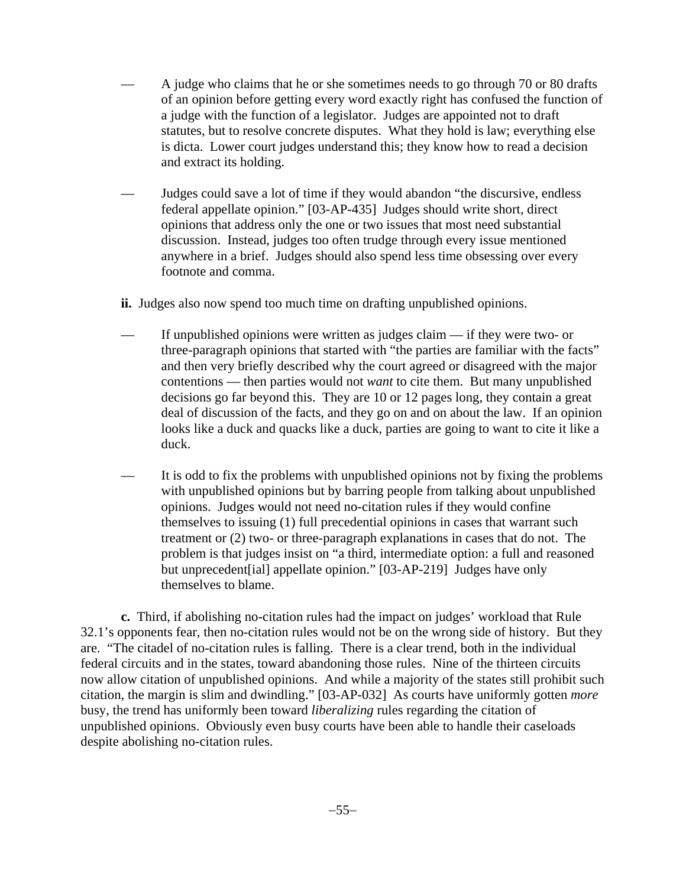- A judge who claims that he or she sometimes needs to go through 70 or 80 drafts of an opinion before getting every word exactly right has confused the function of a judge with the function of a legislator. Judges are appointed not to draft statutes, but to resolve concrete disputes. What they hold is law; everything else is dicta. Lower court judges understand this; they know how to read a decision and extract its holding.
- Judges could save a lot of time if they would abandon "the discursive, endless federal appellate opinion." [03-AP-435] Judges should write short, direct opinions that address only the one or two issues that most need substantial discussion. Instead, judges too often trudge through every issue mentioned anywhere in a brief. Judges should also spend less time obsessing over every footnote and comma.
- **ii.** Judges also now spend too much time on drafting unpublished opinions.
- If unpublished opinions were written as judges claim  $-$  if they were two- or three-paragraph opinions that started with "the parties are familiar with the facts" and then very briefly described why the court agreed or disagreed with the major contentions — then parties would not *want* to cite them. But many unpublished decisions go far beyond this. They are 10 or 12 pages long, they contain a great deal of discussion of the facts, and they go on and on about the law. If an opinion looks like a duck and quacks like a duck, parties are going to want to cite it like a duck.
- It is odd to fix the problems with unpublished opinions not by fixing the problems with unpublished opinions but by barring people from talking about unpublished opinions. Judges would not need no-citation rules if they would confine themselves to issuing (1) full precedential opinions in cases that warrant such treatment or (2) two- or three-paragraph explanations in cases that do not. The problem is that judges insist on "a third, intermediate option: a full and reasoned but unprecedent[ial] appellate opinion." [03-AP-219] Judges have only themselves to blame.

**c.** Third, if abolishing no-citation rules had the impact on judges' workload that Rule 32.1's opponents fear, then no-citation rules would not be on the wrong side of history. But they are. "The citadel of no-citation rules is falling. There is a clear trend, both in the individual federal circuits and in the states, toward abandoning those rules. Nine of the thirteen circuits now allow citation of unpublished opinions. And while a majority of the states still prohibit such citation, the margin is slim and dwindling." [03-AP-032] As courts have uniformly gotten *more* busy, the trend has uniformly been toward *liberalizing* rules regarding the citation of unpublished opinions. Obviously even busy courts have been able to handle their caseloads despite abolishing no-citation rules.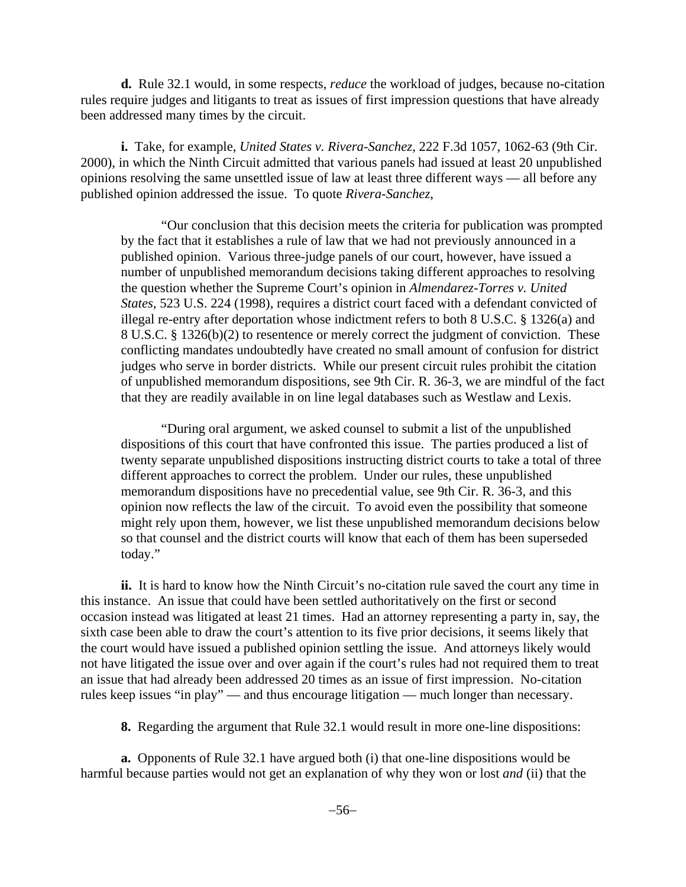**d.** Rule 32.1 would, in some respects, *reduce* the workload of judges, because no-citation rules require judges and litigants to treat as issues of first impression questions that have already been addressed many times by the circuit.

**i.** Take, for example, *United States v. Rivera-Sanchez*, 222 F.3d 1057, 1062-63 (9th Cir. 2000), in which the Ninth Circuit admitted that various panels had issued at least 20 unpublished opinions resolving the same unsettled issue of law at least three different ways — all before any published opinion addressed the issue. To quote *Rivera-Sanchez*,

"Our conclusion that this decision meets the criteria for publication was prompted by the fact that it establishes a rule of law that we had not previously announced in a published opinion. Various three-judge panels of our court, however, have issued a number of unpublished memorandum decisions taking different approaches to resolving the question whether the Supreme Court's opinion in *Almendarez-Torres v. United States*, 523 U.S. 224 (1998), requires a district court faced with a defendant convicted of illegal re-entry after deportation whose indictment refers to both 8 U.S.C. § 1326(a) and 8 U.S.C. § 1326(b)(2) to resentence or merely correct the judgment of conviction. These conflicting mandates undoubtedly have created no small amount of confusion for district judges who serve in border districts. While our present circuit rules prohibit the citation of unpublished memorandum dispositions, see 9th Cir. R. 36-3, we are mindful of the fact that they are readily available in on line legal databases such as Westlaw and Lexis.

"During oral argument, we asked counsel to submit a list of the unpublished dispositions of this court that have confronted this issue. The parties produced a list of twenty separate unpublished dispositions instructing district courts to take a total of three different approaches to correct the problem. Under our rules, these unpublished memorandum dispositions have no precedential value, see 9th Cir. R. 36-3, and this opinion now reflects the law of the circuit. To avoid even the possibility that someone might rely upon them, however, we list these unpublished memorandum decisions below so that counsel and the district courts will know that each of them has been superseded today."

**ii.** It is hard to know how the Ninth Circuit's no-citation rule saved the court any time in this instance. An issue that could have been settled authoritatively on the first or second occasion instead was litigated at least 21 times. Had an attorney representing a party in, say, the sixth case been able to draw the court's attention to its five prior decisions, it seems likely that the court would have issued a published opinion settling the issue. And attorneys likely would not have litigated the issue over and over again if the court's rules had not required them to treat an issue that had already been addressed 20 times as an issue of first impression. No-citation rules keep issues "in play" — and thus encourage litigation — much longer than necessary.

**8.** Regarding the argument that Rule 32.1 would result in more one-line dispositions:

**a.** Opponents of Rule 32.1 have argued both (i) that one-line dispositions would be harmful because parties would not get an explanation of why they won or lost *and* (ii) that the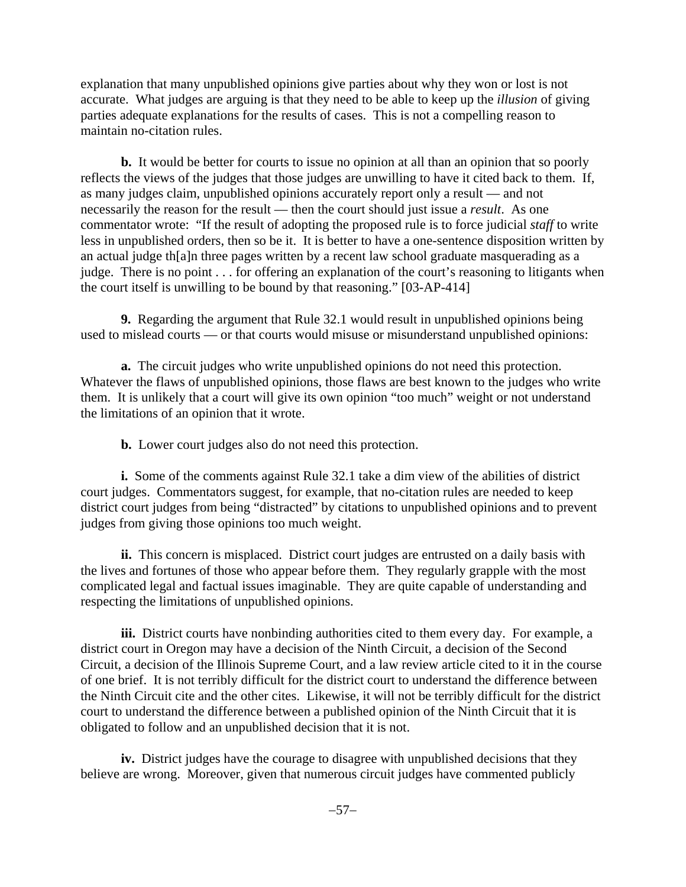explanation that many unpublished opinions give parties about why they won or lost is not accurate. What judges are arguing is that they need to be able to keep up the *illusion* of giving parties adequate explanations for the results of cases. This is not a compelling reason to maintain no-citation rules.

**b.** It would be better for courts to issue no opinion at all than an opinion that so poorly reflects the views of the judges that those judges are unwilling to have it cited back to them. If, as many judges claim, unpublished opinions accurately report only a result — and not necessarily the reason for the result — then the court should just issue a *result*. As one commentator wrote: "If the result of adopting the proposed rule is to force judicial *staff* to write less in unpublished orders, then so be it. It is better to have a one-sentence disposition written by an actual judge th[a]n three pages written by a recent law school graduate masquerading as a judge. There is no point . . . for offering an explanation of the court's reasoning to litigants when the court itself is unwilling to be bound by that reasoning." [03-AP-414]

**9.** Regarding the argument that Rule 32.1 would result in unpublished opinions being used to mislead courts — or that courts would misuse or misunderstand unpublished opinions:

**a.** The circuit judges who write unpublished opinions do not need this protection. Whatever the flaws of unpublished opinions, those flaws are best known to the judges who write them. It is unlikely that a court will give its own opinion "too much" weight or not understand the limitations of an opinion that it wrote.

**b.** Lower court judges also do not need this protection.

**i.** Some of the comments against Rule 32.1 take a dim view of the abilities of district court judges. Commentators suggest, for example, that no-citation rules are needed to keep district court judges from being "distracted" by citations to unpublished opinions and to prevent judges from giving those opinions too much weight.

**ii.** This concern is misplaced. District court judges are entrusted on a daily basis with the lives and fortunes of those who appear before them. They regularly grapple with the most complicated legal and factual issues imaginable. They are quite capable of understanding and respecting the limitations of unpublished opinions.

**iii.** District courts have nonbinding authorities cited to them every day. For example, a district court in Oregon may have a decision of the Ninth Circuit, a decision of the Second Circuit, a decision of the Illinois Supreme Court, and a law review article cited to it in the course of one brief. It is not terribly difficult for the district court to understand the difference between the Ninth Circuit cite and the other cites. Likewise, it will not be terribly difficult for the district court to understand the difference between a published opinion of the Ninth Circuit that it is obligated to follow and an unpublished decision that it is not.

**iv.** District judges have the courage to disagree with unpublished decisions that they believe are wrong. Moreover, given that numerous circuit judges have commented publicly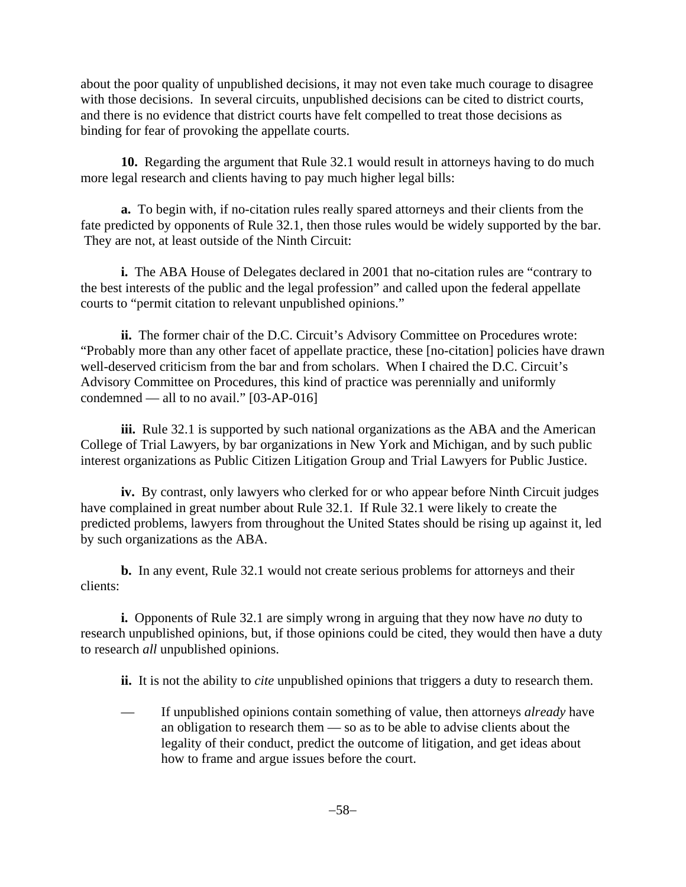about the poor quality of unpublished decisions, it may not even take much courage to disagree with those decisions. In several circuits, unpublished decisions can be cited to district courts, and there is no evidence that district courts have felt compelled to treat those decisions as binding for fear of provoking the appellate courts.

**10.** Regarding the argument that Rule 32.1 would result in attorneys having to do much more legal research and clients having to pay much higher legal bills:

**a.** To begin with, if no-citation rules really spared attorneys and their clients from the fate predicted by opponents of Rule 32.1, then those rules would be widely supported by the bar. They are not, at least outside of the Ninth Circuit:

**i.** The ABA House of Delegates declared in 2001 that no-citation rules are "contrary to the best interests of the public and the legal profession" and called upon the federal appellate courts to "permit citation to relevant unpublished opinions."

**ii.** The former chair of the D.C. Circuit's Advisory Committee on Procedures wrote: "Probably more than any other facet of appellate practice, these [no-citation] policies have drawn well-deserved criticism from the bar and from scholars. When I chaired the D.C. Circuit's Advisory Committee on Procedures, this kind of practice was perennially and uniformly condemned — all to no avail." [03-AP-016]

**iii.** Rule 32.1 is supported by such national organizations as the ABA and the American College of Trial Lawyers, by bar organizations in New York and Michigan, and by such public interest organizations as Public Citizen Litigation Group and Trial Lawyers for Public Justice.

**iv.** By contrast, only lawyers who clerked for or who appear before Ninth Circuit judges have complained in great number about Rule 32.1. If Rule 32.1 were likely to create the predicted problems, lawyers from throughout the United States should be rising up against it, led by such organizations as the ABA.

**b.** In any event, Rule 32.1 would not create serious problems for attorneys and their clients:

**i.** Opponents of Rule 32.1 are simply wrong in arguing that they now have *no* duty to research unpublished opinions, but, if those opinions could be cited, they would then have a duty to research *all* unpublished opinions.

**ii.** It is not the ability to *cite* unpublished opinions that triggers a duty to research them.

— If unpublished opinions contain something of value, then attorneys *already* have an obligation to research them — so as to be able to advise clients about the legality of their conduct, predict the outcome of litigation, and get ideas about how to frame and argue issues before the court.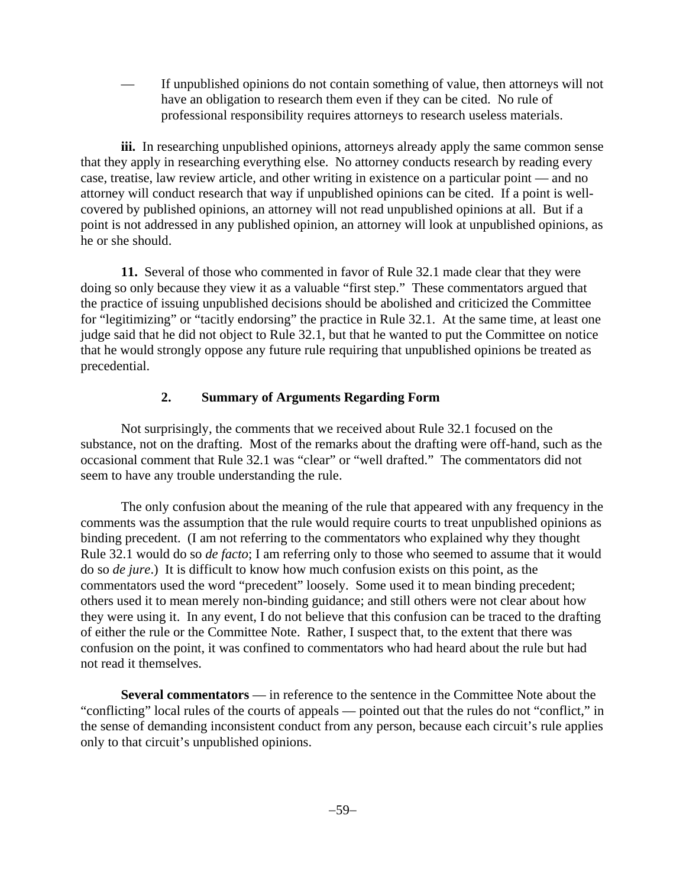— If unpublished opinions do not contain something of value, then attorneys will not have an obligation to research them even if they can be cited. No rule of professional responsibility requires attorneys to research useless materials.

iii. In researching unpublished opinions, attorneys already apply the same common sense that they apply in researching everything else. No attorney conducts research by reading every case, treatise, law review article, and other writing in existence on a particular point — and no attorney will conduct research that way if unpublished opinions can be cited. If a point is wellcovered by published opinions, an attorney will not read unpublished opinions at all. But if a point is not addressed in any published opinion, an attorney will look at unpublished opinions, as he or she should.

**11.** Several of those who commented in favor of Rule 32.1 made clear that they were doing so only because they view it as a valuable "first step." These commentators argued that the practice of issuing unpublished decisions should be abolished and criticized the Committee for "legitimizing" or "tacitly endorsing" the practice in Rule 32.1. At the same time, at least one judge said that he did not object to Rule 32.1, but that he wanted to put the Committee on notice that he would strongly oppose any future rule requiring that unpublished opinions be treated as precedential.

### **2. Summary of Arguments Regarding Form**

Not surprisingly, the comments that we received about Rule 32.1 focused on the substance, not on the drafting. Most of the remarks about the drafting were off-hand, such as the occasional comment that Rule 32.1 was "clear" or "well drafted." The commentators did not seem to have any trouble understanding the rule.

The only confusion about the meaning of the rule that appeared with any frequency in the comments was the assumption that the rule would require courts to treat unpublished opinions as binding precedent. (I am not referring to the commentators who explained why they thought Rule 32.1 would do so *de facto*; I am referring only to those who seemed to assume that it would do so *de jure*.) It is difficult to know how much confusion exists on this point, as the commentators used the word "precedent" loosely. Some used it to mean binding precedent; others used it to mean merely non-binding guidance; and still others were not clear about how they were using it. In any event, I do not believe that this confusion can be traced to the drafting of either the rule or the Committee Note. Rather, I suspect that, to the extent that there was confusion on the point, it was confined to commentators who had heard about the rule but had not read it themselves.

**Several commentators** — in reference to the sentence in the Committee Note about the "conflicting" local rules of the courts of appeals — pointed out that the rules do not "conflict," in the sense of demanding inconsistent conduct from any person, because each circuit's rule applies only to that circuit's unpublished opinions.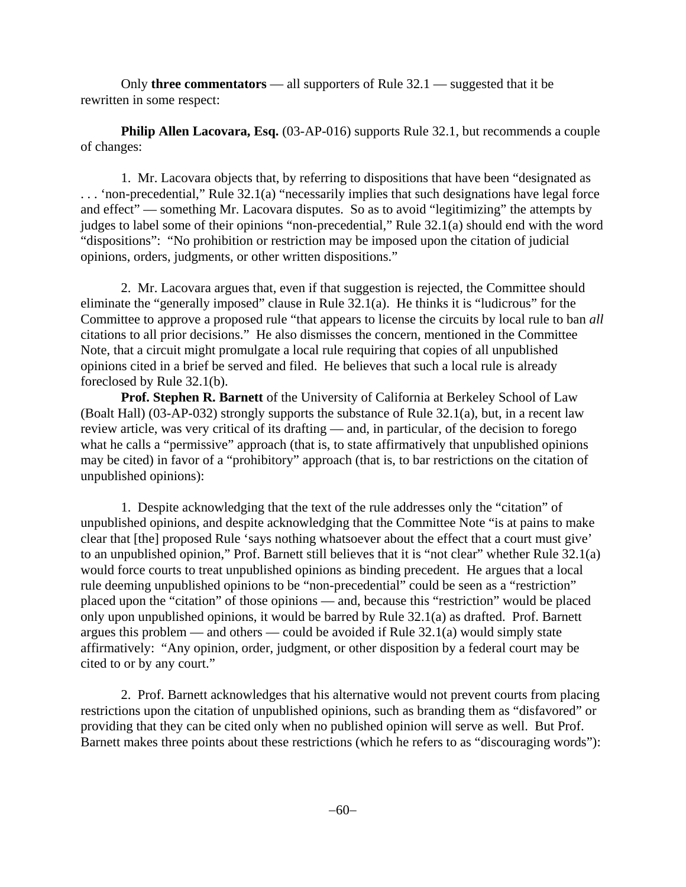Only **three commentators** — all supporters of Rule 32.1 — suggested that it be rewritten in some respect:

**Philip Allen Lacovara, Esq.** (03-AP-016) supports Rule 32.1, but recommends a couple of changes:

1. Mr. Lacovara objects that, by referring to dispositions that have been "designated as . . . 'non-precedential," Rule 32.1(a) "necessarily implies that such designations have legal force and effect" — something Mr. Lacovara disputes. So as to avoid "legitimizing" the attempts by judges to label some of their opinions "non-precedential," Rule 32.1(a) should end with the word "dispositions": "No prohibition or restriction may be imposed upon the citation of judicial opinions, orders, judgments, or other written dispositions."

2. Mr. Lacovara argues that, even if that suggestion is rejected, the Committee should eliminate the "generally imposed" clause in Rule 32.1(a). He thinks it is "ludicrous" for the Committee to approve a proposed rule "that appears to license the circuits by local rule to ban *all* citations to all prior decisions." He also dismisses the concern, mentioned in the Committee Note, that a circuit might promulgate a local rule requiring that copies of all unpublished opinions cited in a brief be served and filed. He believes that such a local rule is already foreclosed by Rule 32.1(b).

**Prof. Stephen R. Barnett** of the University of California at Berkeley School of Law (Boalt Hall) (03-AP-032) strongly supports the substance of Rule 32.1(a), but, in a recent law review article, was very critical of its drafting — and, in particular, of the decision to forego what he calls a "permissive" approach (that is, to state affirmatively that unpublished opinions may be cited) in favor of a "prohibitory" approach (that is, to bar restrictions on the citation of unpublished opinions):

1. Despite acknowledging that the text of the rule addresses only the "citation" of unpublished opinions, and despite acknowledging that the Committee Note "is at pains to make clear that [the] proposed Rule 'says nothing whatsoever about the effect that a court must give' to an unpublished opinion," Prof. Barnett still believes that it is "not clear" whether Rule 32.1(a) would force courts to treat unpublished opinions as binding precedent. He argues that a local rule deeming unpublished opinions to be "non-precedential" could be seen as a "restriction" placed upon the "citation" of those opinions — and, because this "restriction" would be placed only upon unpublished opinions, it would be barred by Rule 32.1(a) as drafted. Prof. Barnett argues this problem — and others — could be avoided if Rule 32.1(a) would simply state affirmatively: "Any opinion, order, judgment, or other disposition by a federal court may be cited to or by any court."

2. Prof. Barnett acknowledges that his alternative would not prevent courts from placing restrictions upon the citation of unpublished opinions, such as branding them as "disfavored" or providing that they can be cited only when no published opinion will serve as well. But Prof. Barnett makes three points about these restrictions (which he refers to as "discouraging words"):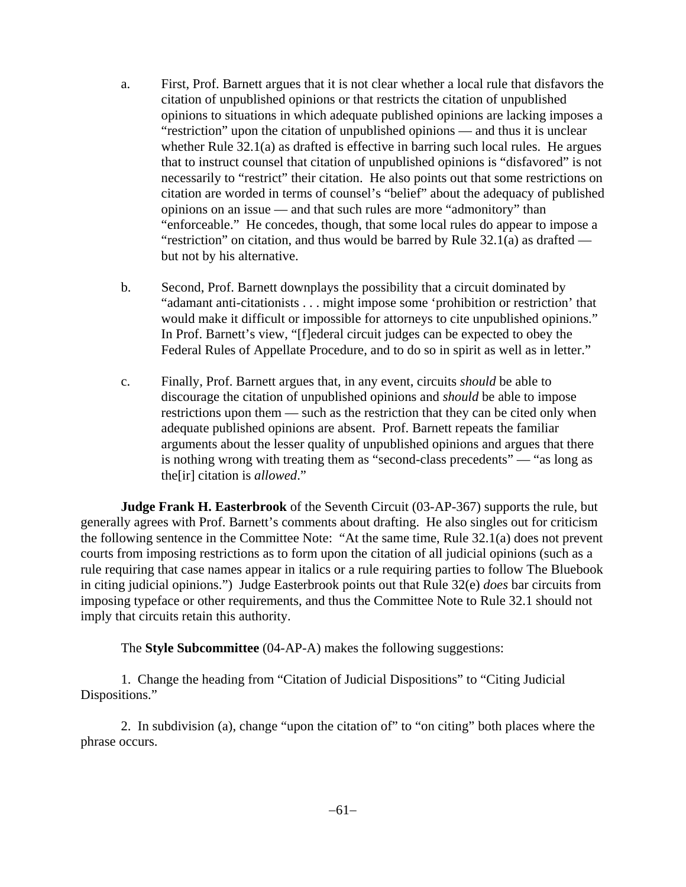- a. First, Prof. Barnett argues that it is not clear whether a local rule that disfavors the citation of unpublished opinions or that restricts the citation of unpublished opinions to situations in which adequate published opinions are lacking imposes a "restriction" upon the citation of unpublished opinions — and thus it is unclear whether Rule 32.1(a) as drafted is effective in barring such local rules. He argues that to instruct counsel that citation of unpublished opinions is "disfavored" is not necessarily to "restrict" their citation. He also points out that some restrictions on citation are worded in terms of counsel's "belief" about the adequacy of published opinions on an issue — and that such rules are more "admonitory" than "enforceable." He concedes, though, that some local rules do appear to impose a "restriction" on citation, and thus would be barred by Rule  $32.1(a)$  as drafted but not by his alternative.
- b. Second, Prof. Barnett downplays the possibility that a circuit dominated by "adamant anti-citationists . . . might impose some 'prohibition or restriction' that would make it difficult or impossible for attorneys to cite unpublished opinions." In Prof. Barnett's view, "[f]ederal circuit judges can be expected to obey the Federal Rules of Appellate Procedure, and to do so in spirit as well as in letter."
- c. Finally, Prof. Barnett argues that, in any event, circuits *should* be able to discourage the citation of unpublished opinions and *should* be able to impose restrictions upon them — such as the restriction that they can be cited only when adequate published opinions are absent. Prof. Barnett repeats the familiar arguments about the lesser quality of unpublished opinions and argues that there is nothing wrong with treating them as "second-class precedents" — "as long as the[ir] citation is *allowed*."

**Judge Frank H. Easterbrook** of the Seventh Circuit (03-AP-367) supports the rule, but generally agrees with Prof. Barnett's comments about drafting. He also singles out for criticism the following sentence in the Committee Note: "At the same time, Rule 32.1(a) does not prevent courts from imposing restrictions as to form upon the citation of all judicial opinions (such as a rule requiring that case names appear in italics or a rule requiring parties to follow The Bluebook in citing judicial opinions.") Judge Easterbrook points out that Rule 32(e) *does* bar circuits from imposing typeface or other requirements, and thus the Committee Note to Rule 32.1 should not imply that circuits retain this authority.

The **Style Subcommittee** (04-AP-A) makes the following suggestions:

1. Change the heading from "Citation of Judicial Dispositions" to "Citing Judicial Dispositions."

2. In subdivision (a), change "upon the citation of" to "on citing" both places where the phrase occurs.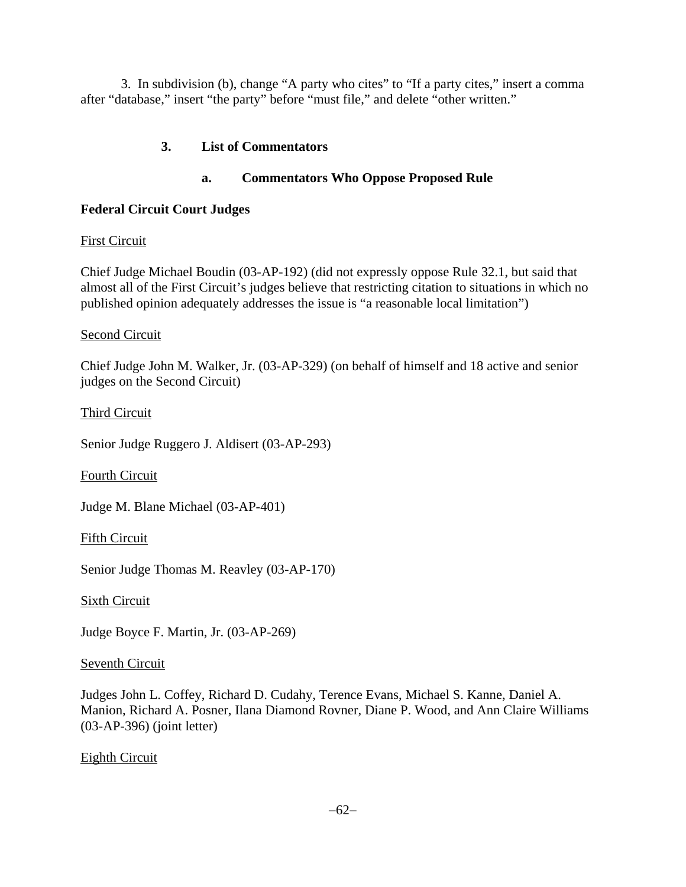3. In subdivision (b), change "A party who cites" to "If a party cites," insert a comma after "database," insert "the party" before "must file," and delete "other written."

### **3. List of Commentators**

### **a. Commentators Who Oppose Proposed Rule**

### **Federal Circuit Court Judges**

### First Circuit

Chief Judge Michael Boudin (03-AP-192) (did not expressly oppose Rule 32.1, but said that almost all of the First Circuit's judges believe that restricting citation to situations in which no published opinion adequately addresses the issue is "a reasonable local limitation")

#### Second Circuit

Chief Judge John M. Walker, Jr. (03-AP-329) (on behalf of himself and 18 active and senior judges on the Second Circuit)

Third Circuit

Senior Judge Ruggero J. Aldisert (03-AP-293)

Fourth Circuit

Judge M. Blane Michael (03-AP-401)

Fifth Circuit

Senior Judge Thomas M. Reavley (03-AP-170)

Sixth Circuit

Judge Boyce F. Martin, Jr. (03-AP-269)

### Seventh Circuit

Judges John L. Coffey, Richard D. Cudahy, Terence Evans, Michael S. Kanne, Daniel A. Manion, Richard A. Posner, Ilana Diamond Rovner, Diane P. Wood, and Ann Claire Williams (03-AP-396) (joint letter)

### Eighth Circuit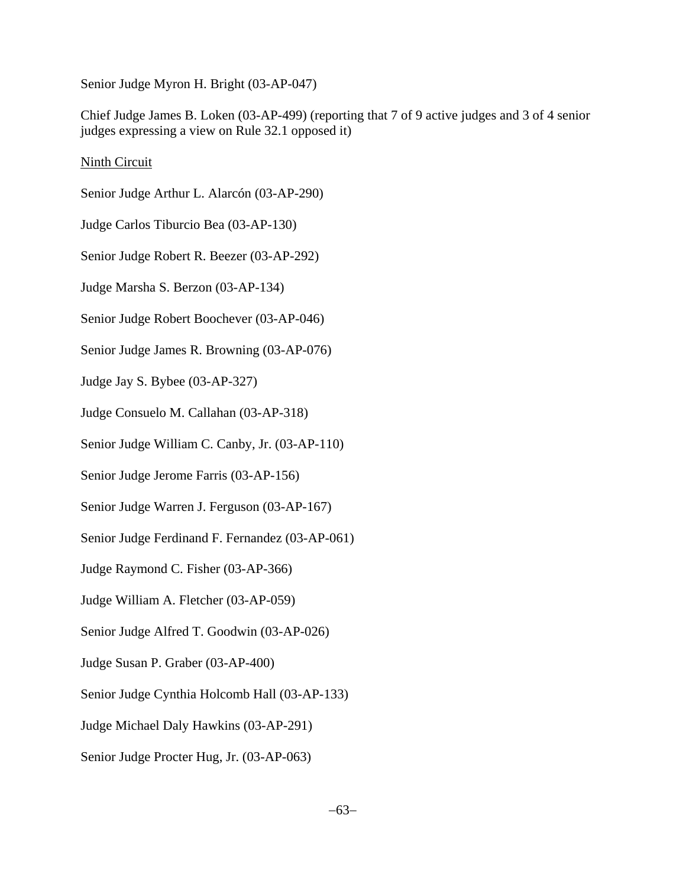Senior Judge Myron H. Bright (03-AP-047)

Chief Judge James B. Loken (03-AP-499) (reporting that 7 of 9 active judges and 3 of 4 senior judges expressing a view on Rule 32.1 opposed it)

### Ninth Circuit

Senior Judge Arthur L. Alarcón (03-AP-290) Judge Carlos Tiburcio Bea (03-AP-130)

Senior Judge Robert R. Beezer (03-AP-292)

Judge Marsha S. Berzon (03-AP-134)

Senior Judge Robert Boochever (03-AP-046)

Senior Judge James R. Browning (03-AP-076)

Judge Jay S. Bybee (03-AP-327)

Judge Consuelo M. Callahan (03-AP-318)

Senior Judge William C. Canby, Jr. (03-AP-110)

Senior Judge Jerome Farris (03-AP-156)

Senior Judge Warren J. Ferguson (03-AP-167)

Senior Judge Ferdinand F. Fernandez (03-AP-061)

Judge Raymond C. Fisher (03-AP-366)

Judge William A. Fletcher (03-AP-059)

Senior Judge Alfred T. Goodwin (03-AP-026)

Judge Susan P. Graber (03-AP-400)

Senior Judge Cynthia Holcomb Hall (03-AP-133)

Judge Michael Daly Hawkins (03-AP-291)

Senior Judge Procter Hug, Jr. (03-AP-063)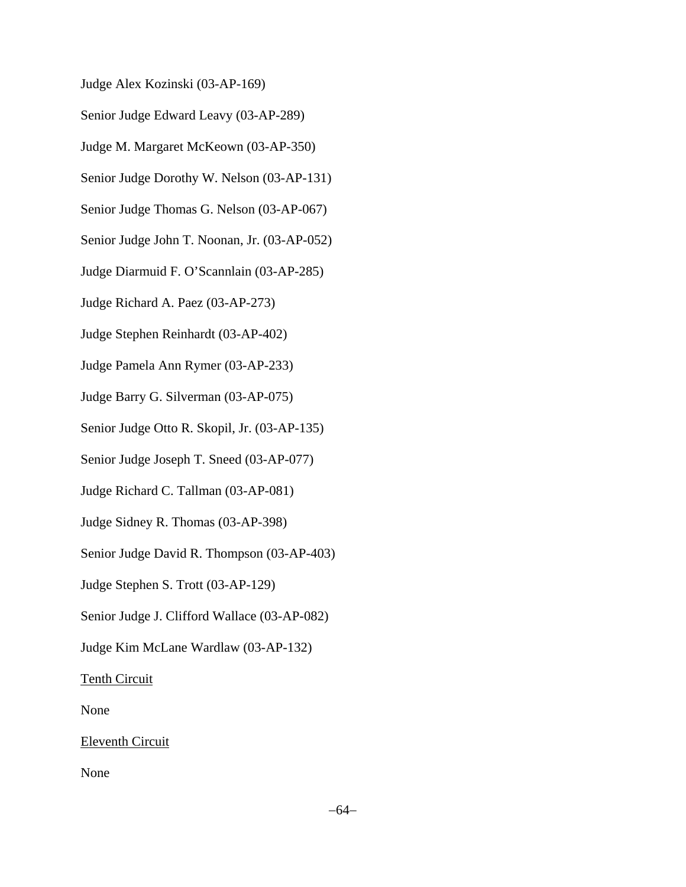Judge Alex Kozinski (03-AP-169)

Senior Judge Edward Leavy (03-AP-289)

Judge M. Margaret McKeown (03-AP-350)

Senior Judge Dorothy W. Nelson (03-AP-131)

Senior Judge Thomas G. Nelson (03-AP-067)

Senior Judge John T. Noonan, Jr. (03-AP-052)

Judge Diarmuid F. O'Scannlain (03-AP-285)

Judge Richard A. Paez (03-AP-273)

Judge Stephen Reinhardt (03-AP-402)

Judge Pamela Ann Rymer (03-AP-233)

Judge Barry G. Silverman (03-AP-075)

Senior Judge Otto R. Skopil, Jr. (03-AP-135)

Senior Judge Joseph T. Sneed (03-AP-077)

Judge Richard C. Tallman (03-AP-081)

Judge Sidney R. Thomas (03-AP-398)

Senior Judge David R. Thompson (03-AP-403)

Judge Stephen S. Trott (03-AP-129)

Senior Judge J. Clifford Wallace (03-AP-082)

Judge Kim McLane Wardlaw (03-AP-132)

Tenth Circuit

None

Eleventh Circuit

None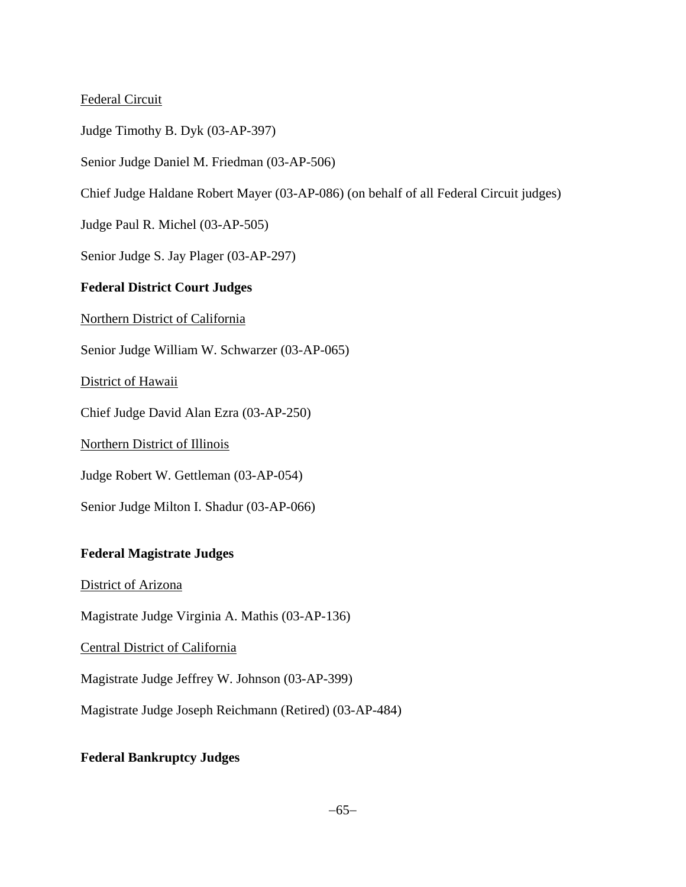### Federal Circuit

Judge Timothy B. Dyk (03-AP-397)

Senior Judge Daniel M. Friedman (03-AP-506)

Chief Judge Haldane Robert Mayer (03-AP-086) (on behalf of all Federal Circuit judges)

Judge Paul R. Michel (03-AP-505)

Senior Judge S. Jay Plager (03-AP-297)

### **Federal District Court Judges**

Northern District of California

Senior Judge William W. Schwarzer (03-AP-065)

District of Hawaii

Chief Judge David Alan Ezra (03-AP-250)

Northern District of Illinois

Judge Robert W. Gettleman (03-AP-054)

Senior Judge Milton I. Shadur (03-AP-066)

### **Federal Magistrate Judges**

District of Arizona

Magistrate Judge Virginia A. Mathis (03-AP-136)

Central District of California

Magistrate Judge Jeffrey W. Johnson (03-AP-399)

Magistrate Judge Joseph Reichmann (Retired) (03-AP-484)

### **Federal Bankruptcy Judges**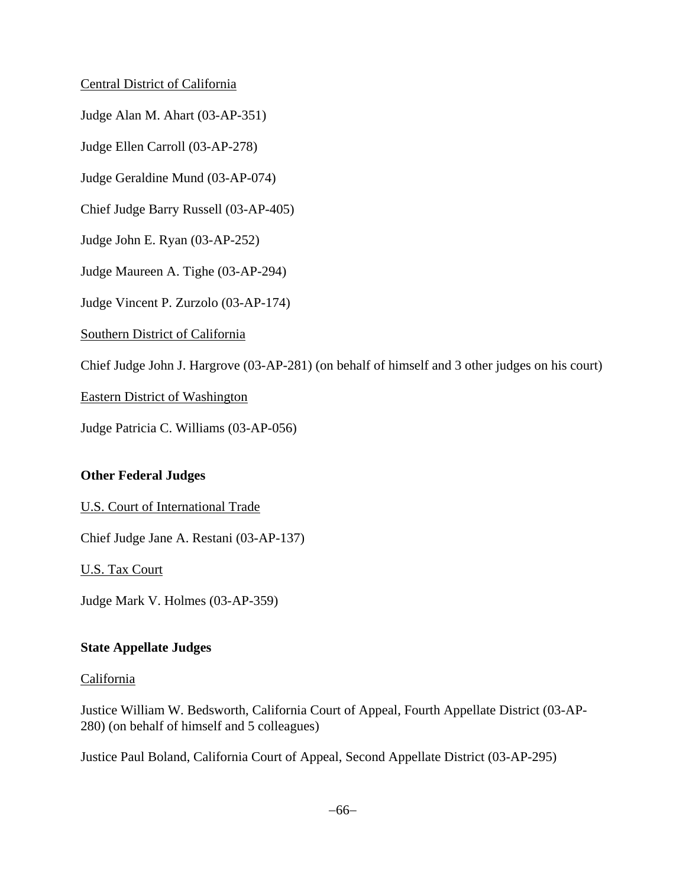### Central District of California

Judge Alan M. Ahart (03-AP-351)

Judge Ellen Carroll (03-AP-278)

Judge Geraldine Mund (03-AP-074)

Chief Judge Barry Russell (03-AP-405)

Judge John E. Ryan (03-AP-252)

Judge Maureen A. Tighe (03-AP-294)

Judge Vincent P. Zurzolo (03-AP-174)

Southern District of California

Chief Judge John J. Hargrove (03-AP-281) (on behalf of himself and 3 other judges on his court)

Eastern District of Washington

Judge Patricia C. Williams (03-AP-056)

# **Other Federal Judges**

### U.S. Court of International Trade

Chief Judge Jane A. Restani (03-AP-137)

U.S. Tax Court

Judge Mark V. Holmes (03-AP-359)

### **State Appellate Judges**

### California

Justice William W. Bedsworth, California Court of Appeal, Fourth Appellate District (03-AP-280) (on behalf of himself and 5 colleagues)

Justice Paul Boland, California Court of Appeal, Second Appellate District (03-AP-295)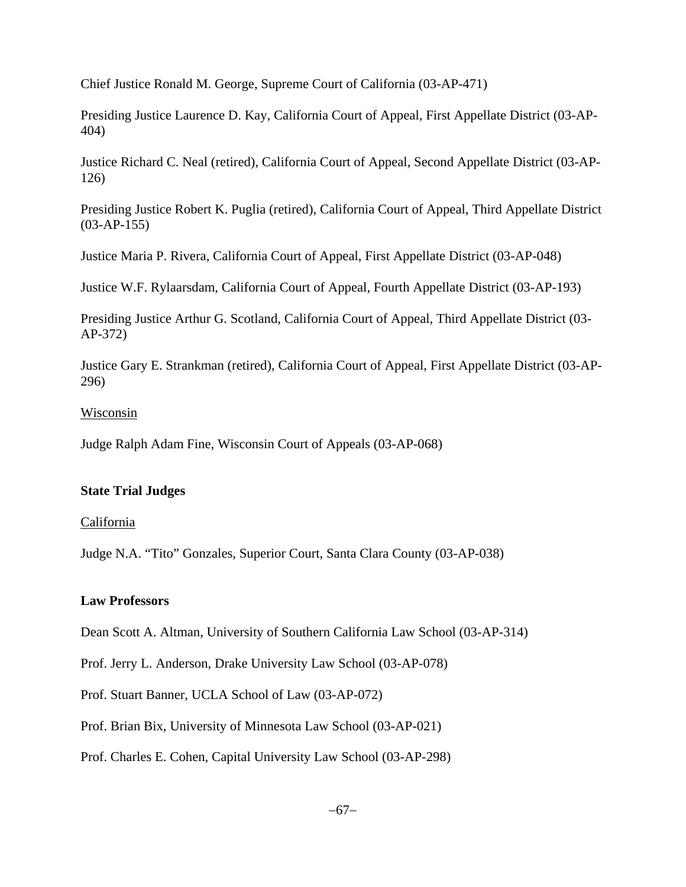Chief Justice Ronald M. George, Supreme Court of California (03-AP-471)

Presiding Justice Laurence D. Kay, California Court of Appeal, First Appellate District (03-AP-404)

Justice Richard C. Neal (retired), California Court of Appeal, Second Appellate District (03-AP-126)

Presiding Justice Robert K. Puglia (retired), California Court of Appeal, Third Appellate District (03-AP-155)

Justice Maria P. Rivera, California Court of Appeal, First Appellate District (03-AP-048)

Justice W.F. Rylaarsdam, California Court of Appeal, Fourth Appellate District (03-AP-193)

Presiding Justice Arthur G. Scotland, California Court of Appeal, Third Appellate District (03- AP-372)

Justice Gary E. Strankman (retired), California Court of Appeal, First Appellate District (03-AP-296)

# Wisconsin

Judge Ralph Adam Fine, Wisconsin Court of Appeals (03-AP-068)

# **State Trial Judges**

# California

Judge N.A. "Tito" Gonzales, Superior Court, Santa Clara County (03-AP-038)

# **Law Professors**

Dean Scott A. Altman, University of Southern California Law School (03-AP-314)

Prof. Jerry L. Anderson, Drake University Law School (03-AP-078)

Prof. Stuart Banner, UCLA School of Law (03-AP-072)

Prof. Brian Bix, University of Minnesota Law School (03-AP-021)

Prof. Charles E. Cohen, Capital University Law School (03-AP-298)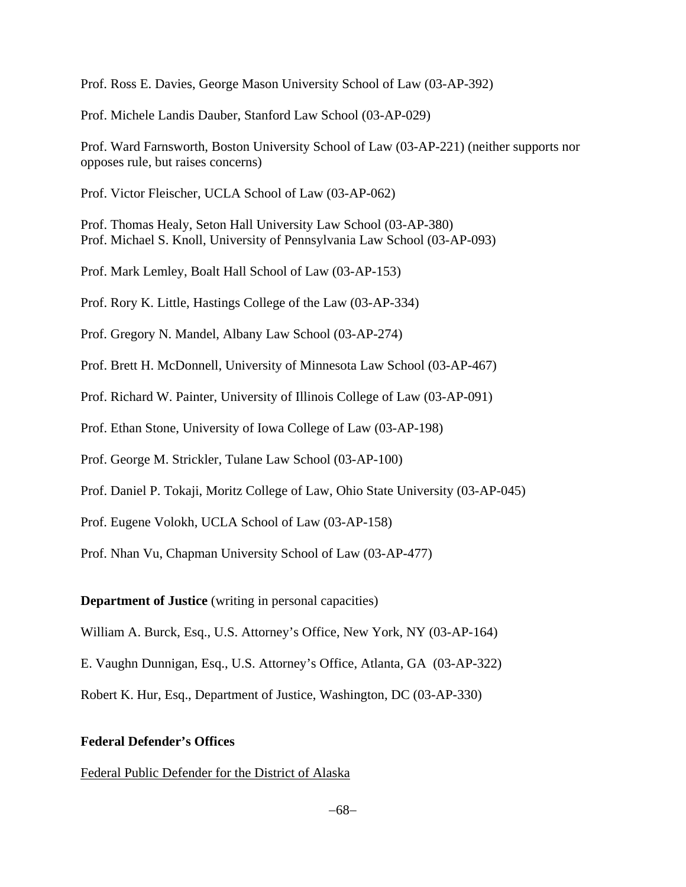Prof. Ross E. Davies, George Mason University School of Law (03-AP-392)

Prof. Michele Landis Dauber, Stanford Law School (03-AP-029)

Prof. Ward Farnsworth, Boston University School of Law (03-AP-221) (neither supports nor opposes rule, but raises concerns)

Prof. Victor Fleischer, UCLA School of Law (03-AP-062)

Prof. Thomas Healy, Seton Hall University Law School (03-AP-380) Prof. Michael S. Knoll, University of Pennsylvania Law School (03-AP-093)

Prof. Mark Lemley, Boalt Hall School of Law (03-AP-153)

Prof. Rory K. Little, Hastings College of the Law (03-AP-334)

Prof. Gregory N. Mandel, Albany Law School (03-AP-274)

Prof. Brett H. McDonnell, University of Minnesota Law School (03-AP-467)

Prof. Richard W. Painter, University of Illinois College of Law (03-AP-091)

Prof. Ethan Stone, University of Iowa College of Law (03-AP-198)

Prof. George M. Strickler, Tulane Law School (03-AP-100)

Prof. Daniel P. Tokaji, Moritz College of Law, Ohio State University (03-AP-045)

Prof. Eugene Volokh, UCLA School of Law (03-AP-158)

Prof. Nhan Vu, Chapman University School of Law (03-AP-477)

**Department of Justice** (writing in personal capacities)

William A. Burck, Esq., U.S. Attorney's Office, New York, NY (03-AP-164)

E. Vaughn Dunnigan, Esq., U.S. Attorney's Office, Atlanta, GA (03-AP-322)

Robert K. Hur, Esq., Department of Justice, Washington, DC (03-AP-330)

#### **Federal Defender's Offices**

Federal Public Defender for the District of Alaska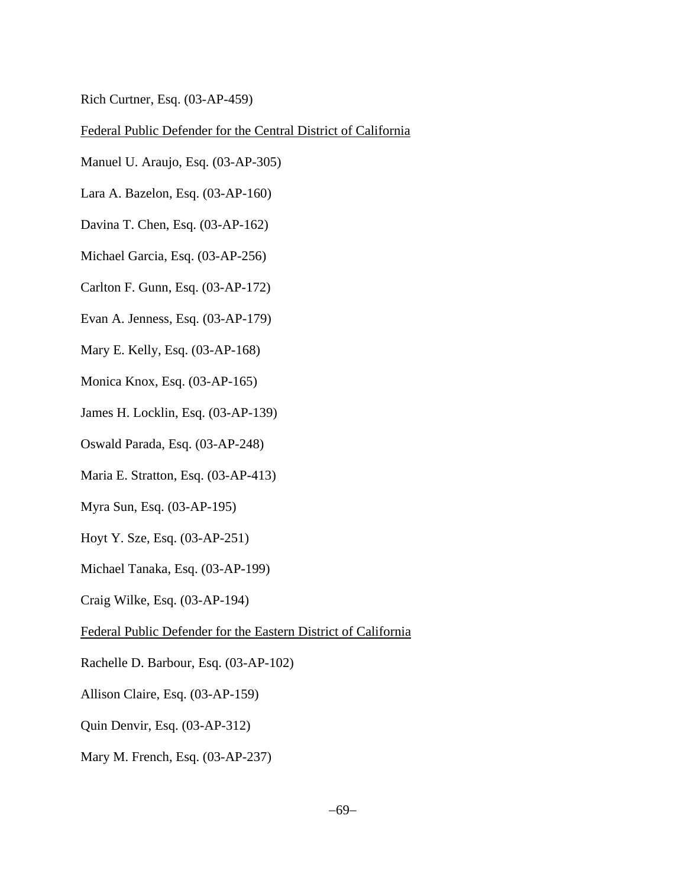Rich Curtner, Esq. (03-AP-459)

### Federal Public Defender for the Central District of California

- Manuel U. Araujo, Esq. (03-AP-305)
- Lara A. Bazelon, Esq. (03-AP-160)
- Davina T. Chen, Esq. (03-AP-162)
- Michael Garcia, Esq. (03-AP-256)
- Carlton F. Gunn, Esq. (03-AP-172)
- Evan A. Jenness, Esq. (03-AP-179)
- Mary E. Kelly, Esq. (03-AP-168)
- Monica Knox, Esq. (03-AP-165)
- James H. Locklin, Esq. (03-AP-139)
- Oswald Parada, Esq. (03-AP-248)
- Maria E. Stratton, Esq. (03-AP-413)
- Myra Sun, Esq. (03-AP-195)
- Hoyt Y. Sze, Esq. (03-AP-251)
- Michael Tanaka, Esq. (03-AP-199)
- Craig Wilke, Esq. (03-AP-194)
- Federal Public Defender for the Eastern District of California
- Rachelle D. Barbour, Esq. (03-AP-102)
- Allison Claire, Esq. (03-AP-159)
- Quin Denvir, Esq. (03-AP-312)
- Mary M. French, Esq. (03-AP-237)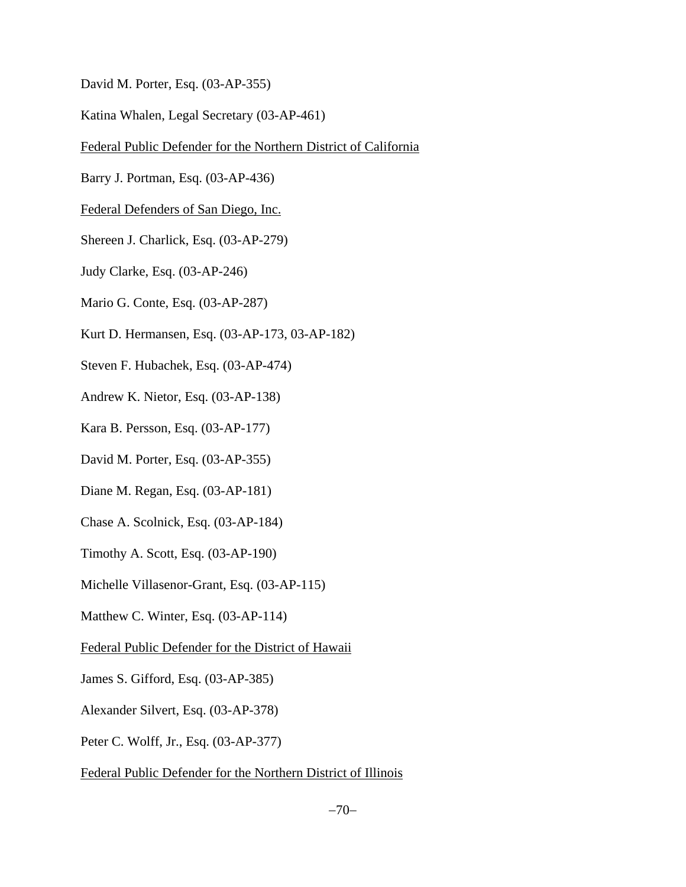- David M. Porter, Esq. (03-AP-355)
- Katina Whalen, Legal Secretary (03-AP-461)
- Federal Public Defender for the Northern District of California
- Barry J. Portman, Esq. (03-AP-436)
- Federal Defenders of San Diego, Inc.
- Shereen J. Charlick, Esq. (03-AP-279)
- Judy Clarke, Esq. (03-AP-246)
- Mario G. Conte, Esq. (03-AP-287)
- Kurt D. Hermansen, Esq. (03-AP-173, 03-AP-182)
- Steven F. Hubachek, Esq. (03-AP-474)
- Andrew K. Nietor, Esq. (03-AP-138)
- Kara B. Persson, Esq. (03-AP-177)
- David M. Porter, Esq. (03-AP-355)
- Diane M. Regan, Esq. (03-AP-181)
- Chase A. Scolnick, Esq. (03-AP-184)
- Timothy A. Scott, Esq. (03-AP-190)
- Michelle Villasenor-Grant, Esq. (03-AP-115)
- Matthew C. Winter, Esq. (03-AP-114)
- Federal Public Defender for the District of Hawaii
- James S. Gifford, Esq. (03-AP-385)
- Alexander Silvert, Esq. (03-AP-378)
- Peter C. Wolff, Jr., Esq. (03-AP-377)
- Federal Public Defender for the Northern District of Illinois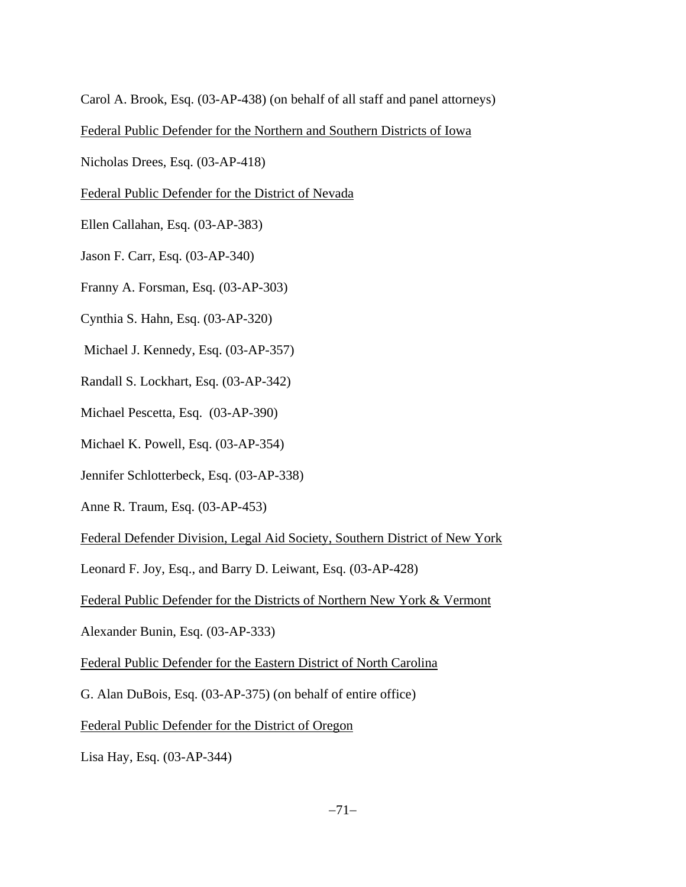Carol A. Brook, Esq. (03-AP-438) (on behalf of all staff and panel attorneys)

Federal Public Defender for the Northern and Southern Districts of Iowa

Nicholas Drees, Esq. (03-AP-418)

Federal Public Defender for the District of Nevada

Ellen Callahan, Esq. (03-AP-383)

Jason F. Carr, Esq. (03-AP-340)

Franny A. Forsman, Esq. (03-AP-303)

Cynthia S. Hahn, Esq. (03-AP-320)

Michael J. Kennedy, Esq. (03-AP-357)

Randall S. Lockhart, Esq. (03-AP-342)

Michael Pescetta, Esq. (03-AP-390)

Michael K. Powell, Esq. (03-AP-354)

Jennifer Schlotterbeck, Esq. (03-AP-338)

Anne R. Traum, Esq. (03-AP-453)

Federal Defender Division, Legal Aid Society, Southern District of New York

Leonard F. Joy, Esq., and Barry D. Leiwant, Esq. (03-AP-428)

Federal Public Defender for the Districts of Northern New York & Vermont

Alexander Bunin, Esq. (03-AP-333)

Federal Public Defender for the Eastern District of North Carolina

G. Alan DuBois, Esq. (03-AP-375) (on behalf of entire office)

Federal Public Defender for the District of Oregon

Lisa Hay, Esq. (03-AP-344)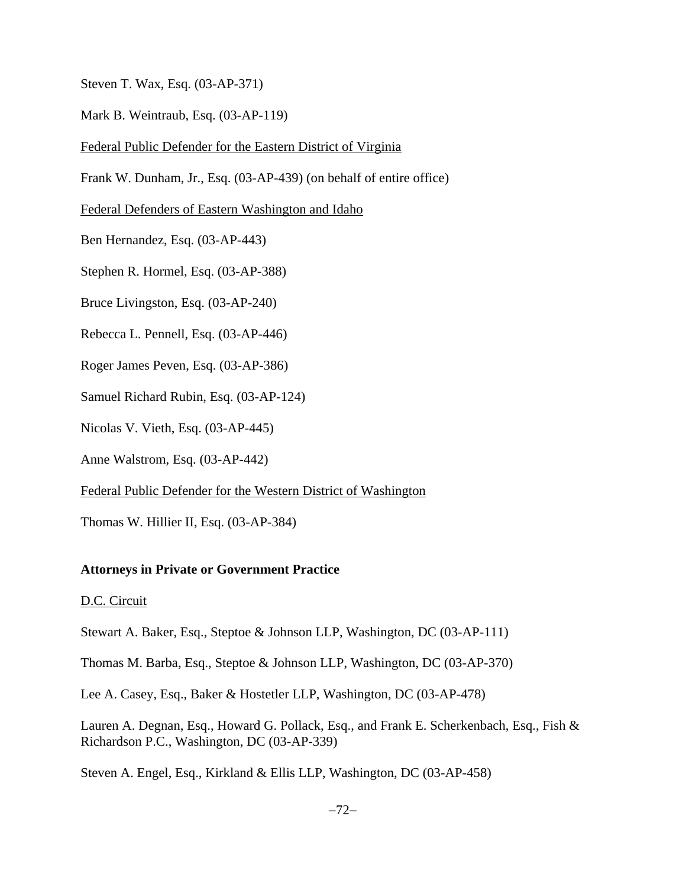Steven T. Wax, Esq. (03-AP-371)

Mark B. Weintraub, Esq. (03-AP-119)

Federal Public Defender for the Eastern District of Virginia

Frank W. Dunham, Jr., Esq. (03-AP-439) (on behalf of entire office)

Federal Defenders of Eastern Washington and Idaho

Ben Hernandez, Esq. (03-AP-443)

Stephen R. Hormel, Esq. (03-AP-388)

Bruce Livingston, Esq. (03-AP-240)

Rebecca L. Pennell, Esq. (03-AP-446)

Roger James Peven, Esq. (03-AP-386)

Samuel Richard Rubin, Esq. (03-AP-124)

Nicolas V. Vieth, Esq. (03-AP-445)

Anne Walstrom, Esq. (03-AP-442)

Federal Public Defender for the Western District of Washington

Thomas W. Hillier II, Esq. (03-AP-384)

# **Attorneys in Private or Government Practice**

#### D.C. Circuit

Stewart A. Baker, Esq., Steptoe & Johnson LLP, Washington, DC (03-AP-111)

Thomas M. Barba, Esq., Steptoe & Johnson LLP, Washington, DC (03-AP-370)

Lee A. Casey, Esq., Baker & Hostetler LLP, Washington, DC (03-AP-478)

Lauren A. Degnan, Esq., Howard G. Pollack, Esq., and Frank E. Scherkenbach, Esq., Fish & Richardson P.C., Washington, DC (03-AP-339)

Steven A. Engel, Esq., Kirkland & Ellis LLP, Washington, DC (03-AP-458)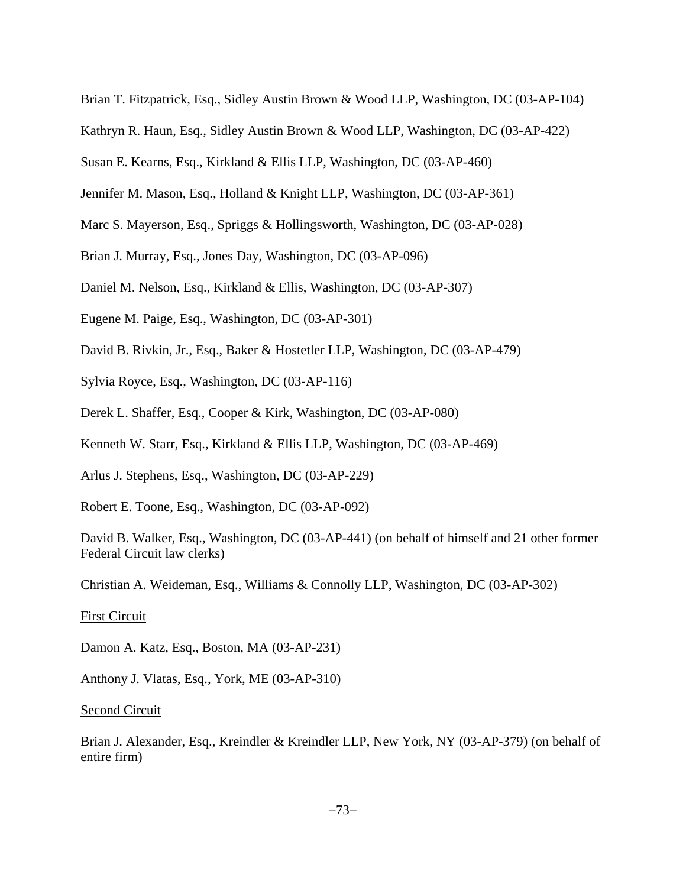- Brian T. Fitzpatrick, Esq., Sidley Austin Brown & Wood LLP, Washington, DC (03-AP-104)
- Kathryn R. Haun, Esq., Sidley Austin Brown & Wood LLP, Washington, DC (03-AP-422)
- Susan E. Kearns, Esq., Kirkland & Ellis LLP, Washington, DC (03-AP-460)
- Jennifer M. Mason, Esq., Holland & Knight LLP, Washington, DC (03-AP-361)
- Marc S. Mayerson, Esq., Spriggs & Hollingsworth, Washington, DC (03-AP-028)
- Brian J. Murray, Esq., Jones Day, Washington, DC (03-AP-096)
- Daniel M. Nelson, Esq., Kirkland & Ellis, Washington, DC (03-AP-307)
- Eugene M. Paige, Esq., Washington, DC (03-AP-301)
- David B. Rivkin, Jr., Esq., Baker & Hostetler LLP, Washington, DC (03-AP-479)
- Sylvia Royce, Esq., Washington, DC (03-AP-116)
- Derek L. Shaffer, Esq., Cooper & Kirk, Washington, DC (03-AP-080)
- Kenneth W. Starr, Esq., Kirkland & Ellis LLP, Washington, DC (03-AP-469)
- Arlus J. Stephens, Esq., Washington, DC (03-AP-229)
- Robert E. Toone, Esq., Washington, DC (03-AP-092)

David B. Walker, Esq., Washington, DC (03-AP-441) (on behalf of himself and 21 other former Federal Circuit law clerks)

Christian A. Weideman, Esq., Williams & Connolly LLP, Washington, DC (03-AP-302)

#### First Circuit

Damon A. Katz, Esq., Boston, MA (03-AP-231)

Anthony J. Vlatas, Esq., York, ME (03-AP-310)

#### Second Circuit

Brian J. Alexander, Esq., Kreindler & Kreindler LLP, New York, NY (03-AP-379) (on behalf of entire firm)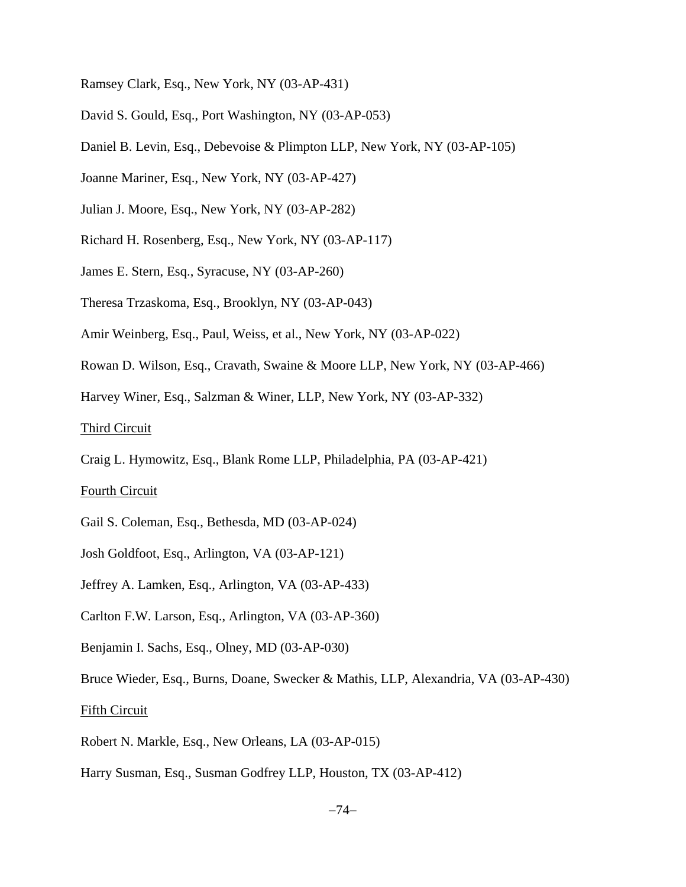- Ramsey Clark, Esq., New York, NY (03-AP-431)
- David S. Gould, Esq., Port Washington, NY (03-AP-053)
- Daniel B. Levin, Esq., Debevoise & Plimpton LLP, New York, NY (03-AP-105)
- Joanne Mariner, Esq., New York, NY (03-AP-427)
- Julian J. Moore, Esq., New York, NY (03-AP-282)
- Richard H. Rosenberg, Esq., New York, NY (03-AP-117)
- James E. Stern, Esq., Syracuse, NY (03-AP-260)
- Theresa Trzaskoma, Esq., Brooklyn, NY (03-AP-043)
- Amir Weinberg, Esq., Paul, Weiss, et al., New York, NY (03-AP-022)
- Rowan D. Wilson, Esq., Cravath, Swaine & Moore LLP, New York, NY (03-AP-466)
- Harvey Winer, Esq., Salzman & Winer, LLP, New York, NY (03-AP-332)

#### Third Circuit

Craig L. Hymowitz, Esq., Blank Rome LLP, Philadelphia, PA (03-AP-421)

#### Fourth Circuit

- Gail S. Coleman, Esq., Bethesda, MD (03-AP-024)
- Josh Goldfoot, Esq., Arlington, VA (03-AP-121)
- Jeffrey A. Lamken, Esq., Arlington, VA (03-AP-433)
- Carlton F.W. Larson, Esq., Arlington, VA (03-AP-360)
- Benjamin I. Sachs, Esq., Olney, MD (03-AP-030)

Bruce Wieder, Esq., Burns, Doane, Swecker & Mathis, LLP, Alexandria, VA (03-AP-430)

## Fifth Circuit

- Robert N. Markle, Esq., New Orleans, LA (03-AP-015)
- Harry Susman, Esq., Susman Godfrey LLP, Houston, TX (03-AP-412)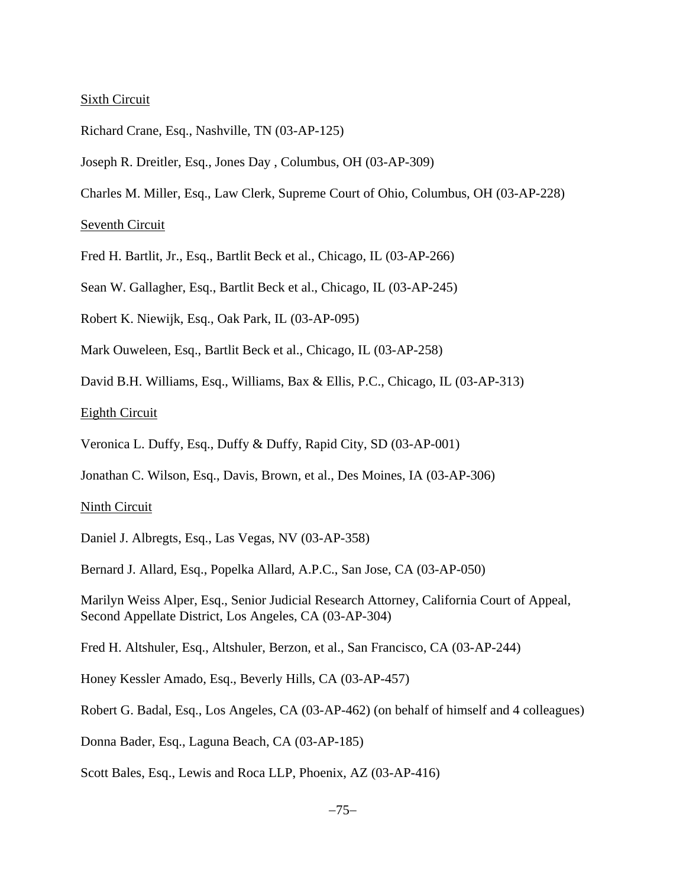#### Sixth Circuit

- Richard Crane, Esq., Nashville, TN (03-AP-125)
- Joseph R. Dreitler, Esq., Jones Day , Columbus, OH (03-AP-309)
- Charles M. Miller, Esq., Law Clerk, Supreme Court of Ohio, Columbus, OH (03-AP-228)

Seventh Circuit

Fred H. Bartlit, Jr., Esq., Bartlit Beck et al., Chicago, IL (03-AP-266)

Sean W. Gallagher, Esq., Bartlit Beck et al., Chicago, IL (03-AP-245)

- Robert K. Niewijk, Esq., Oak Park, IL (03-AP-095)
- Mark Ouweleen, Esq., Bartlit Beck et al., Chicago, IL (03-AP-258)
- David B.H. Williams, Esq., Williams, Bax & Ellis, P.C., Chicago, IL (03-AP-313)

Eighth Circuit

- Veronica L. Duffy, Esq., Duffy & Duffy, Rapid City, SD (03-AP-001)
- Jonathan C. Wilson, Esq., Davis, Brown, et al., Des Moines, IA (03-AP-306)

#### Ninth Circuit

Daniel J. Albregts, Esq., Las Vegas, NV (03-AP-358)

Bernard J. Allard, Esq., Popelka Allard, A.P.C., San Jose, CA (03-AP-050)

Marilyn Weiss Alper, Esq., Senior Judicial Research Attorney, California Court of Appeal, Second Appellate District, Los Angeles, CA (03-AP-304)

Fred H. Altshuler, Esq., Altshuler, Berzon, et al., San Francisco, CA (03-AP-244)

Honey Kessler Amado, Esq., Beverly Hills, CA (03-AP-457)

Robert G. Badal, Esq., Los Angeles, CA (03-AP-462) (on behalf of himself and 4 colleagues)

Donna Bader, Esq., Laguna Beach, CA (03-AP-185)

Scott Bales, Esq., Lewis and Roca LLP, Phoenix, AZ (03-AP-416)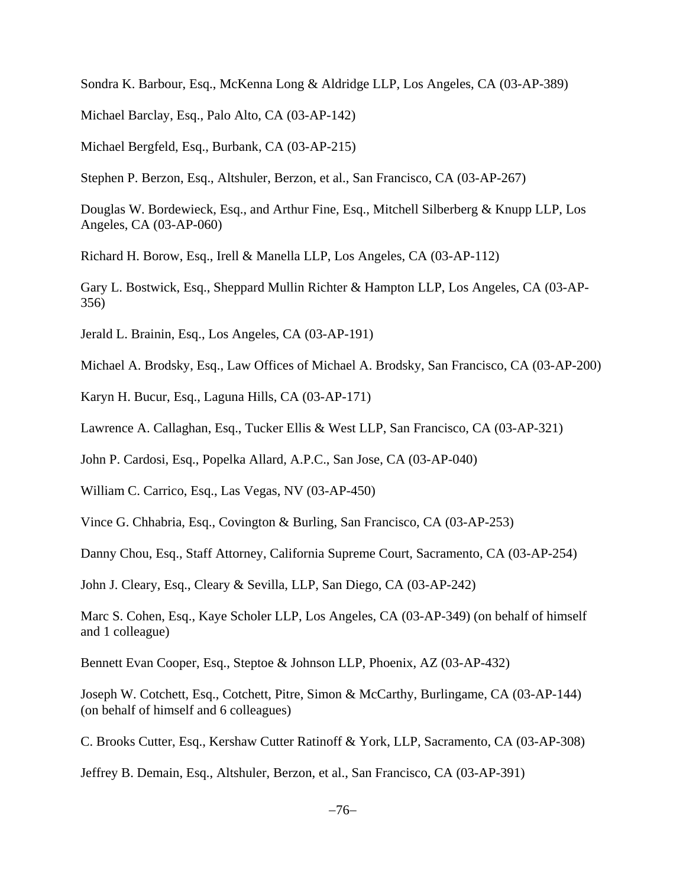Sondra K. Barbour, Esq., McKenna Long & Aldridge LLP, Los Angeles, CA (03-AP-389)

Michael Barclay, Esq., Palo Alto, CA (03-AP-142)

Michael Bergfeld, Esq., Burbank, CA (03-AP-215)

Stephen P. Berzon, Esq., Altshuler, Berzon, et al., San Francisco, CA (03-AP-267)

Douglas W. Bordewieck, Esq., and Arthur Fine, Esq., Mitchell Silberberg & Knupp LLP, Los Angeles, CA (03-AP-060)

Richard H. Borow, Esq., Irell & Manella LLP, Los Angeles, CA (03-AP-112)

Gary L. Bostwick, Esq., Sheppard Mullin Richter & Hampton LLP, Los Angeles, CA (03-AP-356)

Jerald L. Brainin, Esq., Los Angeles, CA (03-AP-191)

Michael A. Brodsky, Esq., Law Offices of Michael A. Brodsky, San Francisco, CA (03-AP-200)

Karyn H. Bucur, Esq., Laguna Hills, CA (03-AP-171)

Lawrence A. Callaghan, Esq., Tucker Ellis & West LLP, San Francisco, CA (03-AP-321)

John P. Cardosi, Esq., Popelka Allard, A.P.C., San Jose, CA (03-AP-040)

William C. Carrico, Esq., Las Vegas, NV (03-AP-450)

Vince G. Chhabria, Esq., Covington & Burling, San Francisco, CA (03-AP-253)

Danny Chou, Esq., Staff Attorney, California Supreme Court, Sacramento, CA (03-AP-254)

John J. Cleary, Esq., Cleary & Sevilla, LLP, San Diego, CA (03-AP-242)

Marc S. Cohen, Esq., Kaye Scholer LLP, Los Angeles, CA (03-AP-349) (on behalf of himself and 1 colleague)

Bennett Evan Cooper, Esq., Steptoe & Johnson LLP, Phoenix, AZ (03-AP-432)

Joseph W. Cotchett, Esq., Cotchett, Pitre, Simon & McCarthy, Burlingame, CA (03-AP-144) (on behalf of himself and 6 colleagues)

C. Brooks Cutter, Esq., Kershaw Cutter Ratinoff & York, LLP, Sacramento, CA (03-AP-308)

Jeffrey B. Demain, Esq., Altshuler, Berzon, et al., San Francisco, CA (03-AP-391)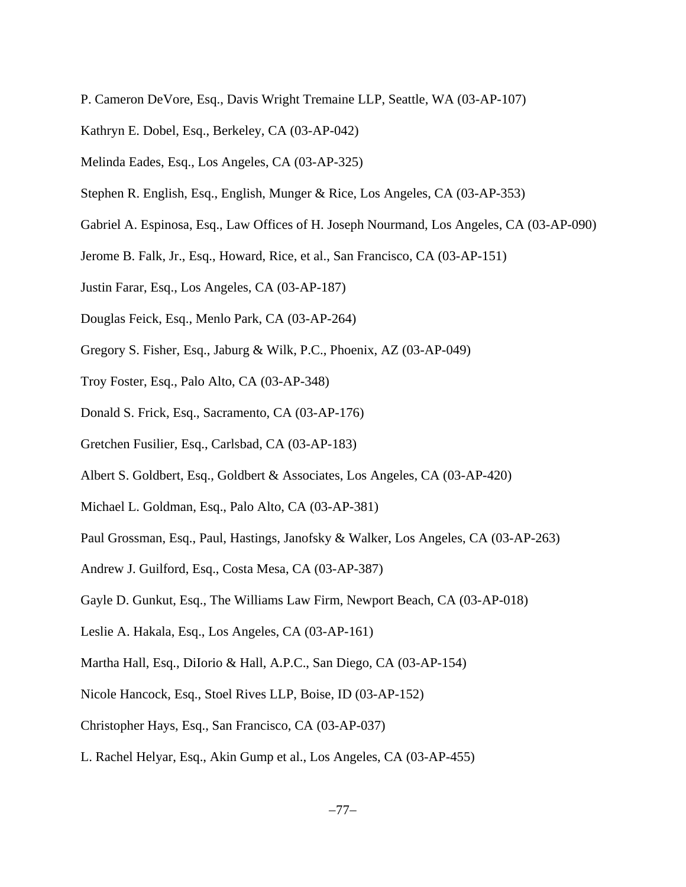- P. Cameron DeVore, Esq., Davis Wright Tremaine LLP, Seattle, WA (03-AP-107)
- Kathryn E. Dobel, Esq., Berkeley, CA (03-AP-042)
- Melinda Eades, Esq., Los Angeles, CA (03-AP-325)
- Stephen R. English, Esq., English, Munger & Rice, Los Angeles, CA (03-AP-353)
- Gabriel A. Espinosa, Esq., Law Offices of H. Joseph Nourmand, Los Angeles, CA (03-AP-090)
- Jerome B. Falk, Jr., Esq., Howard, Rice, et al., San Francisco, CA (03-AP-151)
- Justin Farar, Esq., Los Angeles, CA (03-AP-187)
- Douglas Feick, Esq., Menlo Park, CA (03-AP-264)
- Gregory S. Fisher, Esq., Jaburg & Wilk, P.C., Phoenix, AZ (03-AP-049)
- Troy Foster, Esq., Palo Alto, CA (03-AP-348)
- Donald S. Frick, Esq., Sacramento, CA (03-AP-176)
- Gretchen Fusilier, Esq., Carlsbad, CA (03-AP-183)
- Albert S. Goldbert, Esq., Goldbert & Associates, Los Angeles, CA (03-AP-420)
- Michael L. Goldman, Esq., Palo Alto, CA (03-AP-381)
- Paul Grossman, Esq., Paul, Hastings, Janofsky & Walker, Los Angeles, CA (03-AP-263)
- Andrew J. Guilford, Esq., Costa Mesa, CA (03-AP-387)
- Gayle D. Gunkut, Esq., The Williams Law Firm, Newport Beach, CA (03-AP-018)
- Leslie A. Hakala, Esq., Los Angeles, CA (03-AP-161)
- Martha Hall, Esq., DiIorio & Hall, A.P.C., San Diego, CA (03-AP-154)
- Nicole Hancock, Esq., Stoel Rives LLP, Boise, ID (03-AP-152)
- Christopher Hays, Esq., San Francisco, CA (03-AP-037)
- L. Rachel Helyar, Esq., Akin Gump et al., Los Angeles, CA (03-AP-455)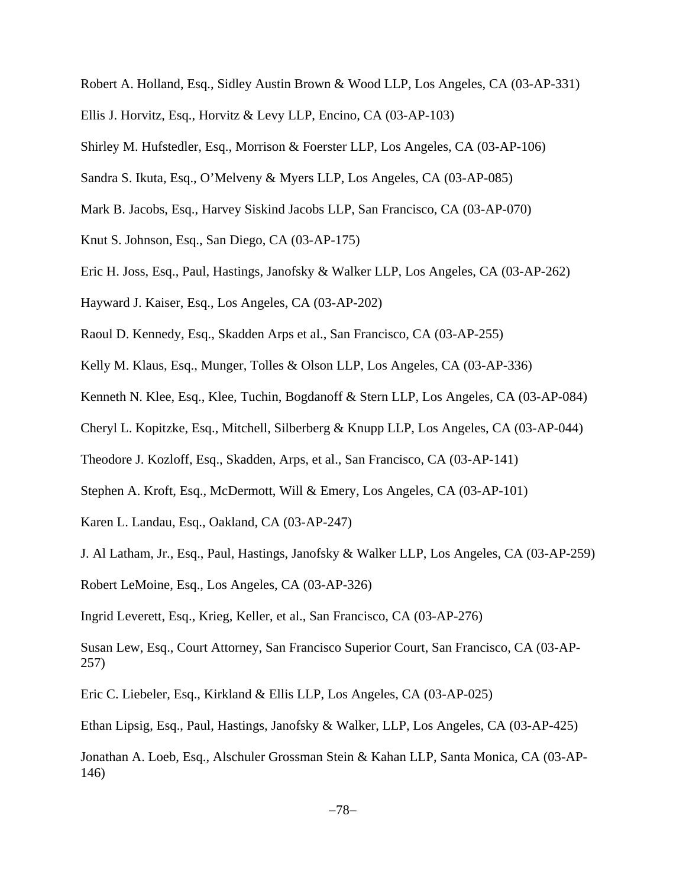- Robert A. Holland, Esq., Sidley Austin Brown & Wood LLP, Los Angeles, CA (03-AP-331)
- Ellis J. Horvitz, Esq., Horvitz & Levy LLP, Encino, CA (03-AP-103)
- Shirley M. Hufstedler, Esq., Morrison & Foerster LLP, Los Angeles, CA (03-AP-106)
- Sandra S. Ikuta, Esq., O'Melveny & Myers LLP, Los Angeles, CA (03-AP-085)
- Mark B. Jacobs, Esq., Harvey Siskind Jacobs LLP, San Francisco, CA (03-AP-070)
- Knut S. Johnson, Esq., San Diego, CA (03-AP-175)
- Eric H. Joss, Esq., Paul, Hastings, Janofsky & Walker LLP, Los Angeles, CA (03-AP-262)
- Hayward J. Kaiser, Esq., Los Angeles, CA (03-AP-202)
- Raoul D. Kennedy, Esq., Skadden Arps et al., San Francisco, CA (03-AP-255)
- Kelly M. Klaus, Esq., Munger, Tolles & Olson LLP, Los Angeles, CA (03-AP-336)
- Kenneth N. Klee, Esq., Klee, Tuchin, Bogdanoff & Stern LLP, Los Angeles, CA (03-AP-084)
- Cheryl L. Kopitzke, Esq., Mitchell, Silberberg & Knupp LLP, Los Angeles, CA (03-AP-044)
- Theodore J. Kozloff, Esq., Skadden, Arps, et al., San Francisco, CA (03-AP-141)
- Stephen A. Kroft, Esq., McDermott, Will & Emery, Los Angeles, CA (03-AP-101)
- Karen L. Landau, Esq., Oakland, CA (03-AP-247)
- J. Al Latham, Jr., Esq., Paul, Hastings, Janofsky & Walker LLP, Los Angeles, CA (03-AP-259)
- Robert LeMoine, Esq., Los Angeles, CA (03-AP-326)

Ingrid Leverett, Esq., Krieg, Keller, et al., San Francisco, CA (03-AP-276)

Susan Lew, Esq., Court Attorney, San Francisco Superior Court, San Francisco, CA (03-AP-257)

Eric C. Liebeler, Esq., Kirkland & Ellis LLP, Los Angeles, CA (03-AP-025)

Ethan Lipsig, Esq., Paul, Hastings, Janofsky & Walker, LLP, Los Angeles, CA (03-AP-425)

Jonathan A. Loeb, Esq., Alschuler Grossman Stein & Kahan LLP, Santa Monica, CA (03-AP-146)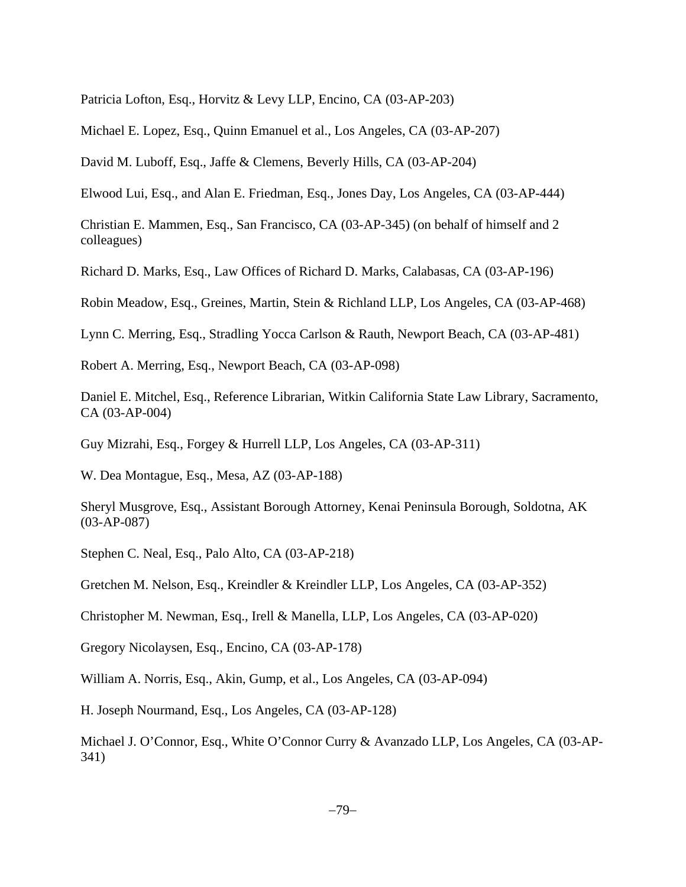Patricia Lofton, Esq., Horvitz & Levy LLP, Encino, CA (03-AP-203)

Michael E. Lopez, Esq., Quinn Emanuel et al., Los Angeles, CA (03-AP-207)

David M. Luboff, Esq., Jaffe & Clemens, Beverly Hills, CA (03-AP-204)

Elwood Lui, Esq., and Alan E. Friedman, Esq., Jones Day, Los Angeles, CA (03-AP-444)

Christian E. Mammen, Esq., San Francisco, CA (03-AP-345) (on behalf of himself and 2 colleagues)

Richard D. Marks, Esq., Law Offices of Richard D. Marks, Calabasas, CA (03-AP-196)

Robin Meadow, Esq., Greines, Martin, Stein & Richland LLP, Los Angeles, CA (03-AP-468)

Lynn C. Merring, Esq., Stradling Yocca Carlson & Rauth, Newport Beach, CA (03-AP-481)

Robert A. Merring, Esq., Newport Beach, CA (03-AP-098)

Daniel E. Mitchel, Esq., Reference Librarian, Witkin California State Law Library, Sacramento, CA (03-AP-004)

Guy Mizrahi, Esq., Forgey & Hurrell LLP, Los Angeles, CA (03-AP-311)

W. Dea Montague, Esq., Mesa, AZ (03-AP-188)

Sheryl Musgrove, Esq., Assistant Borough Attorney, Kenai Peninsula Borough, Soldotna, AK (03-AP-087)

Stephen C. Neal, Esq., Palo Alto, CA (03-AP-218)

Gretchen M. Nelson, Esq., Kreindler & Kreindler LLP, Los Angeles, CA (03-AP-352)

Christopher M. Newman, Esq., Irell & Manella, LLP, Los Angeles, CA (03-AP-020)

Gregory Nicolaysen, Esq., Encino, CA (03-AP-178)

William A. Norris, Esq., Akin, Gump, et al., Los Angeles, CA (03-AP-094)

H. Joseph Nourmand, Esq., Los Angeles, CA (03-AP-128)

Michael J. O'Connor, Esq., White O'Connor Curry & Avanzado LLP, Los Angeles, CA (03-AP-341)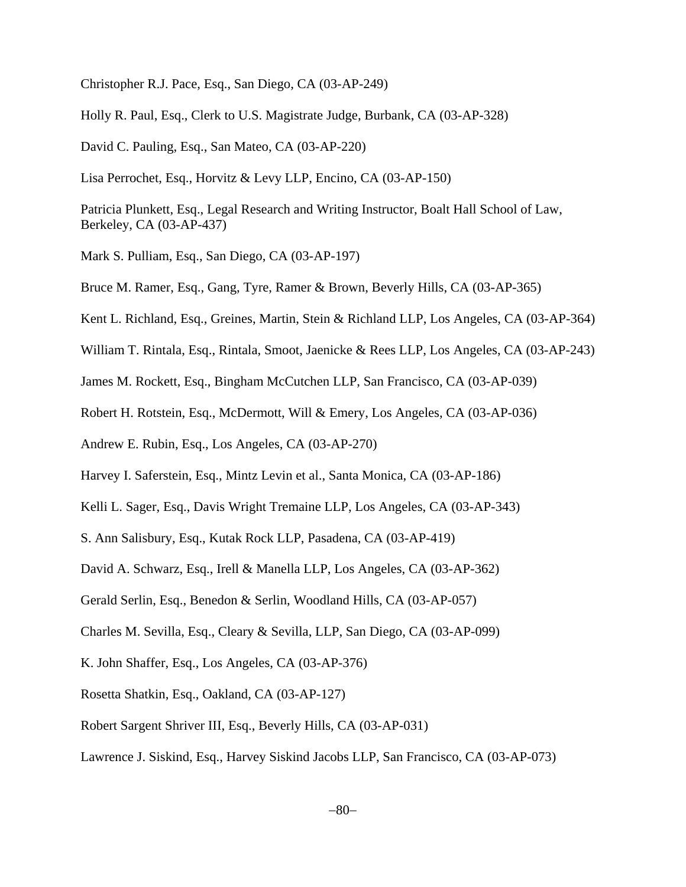Christopher R.J. Pace, Esq., San Diego, CA (03-AP-249)

Holly R. Paul, Esq., Clerk to U.S. Magistrate Judge, Burbank, CA (03-AP-328)

David C. Pauling, Esq., San Mateo, CA (03-AP-220)

Lisa Perrochet, Esq., Horvitz & Levy LLP, Encino, CA (03-AP-150)

Patricia Plunkett, Esq., Legal Research and Writing Instructor, Boalt Hall School of Law, Berkeley, CA (03-AP-437)

Mark S. Pulliam, Esq., San Diego, CA (03-AP-197)

Bruce M. Ramer, Esq., Gang, Tyre, Ramer & Brown, Beverly Hills, CA (03-AP-365)

Kent L. Richland, Esq., Greines, Martin, Stein & Richland LLP, Los Angeles, CA (03-AP-364)

William T. Rintala, Esq., Rintala, Smoot, Jaenicke & Rees LLP, Los Angeles, CA (03-AP-243)

James M. Rockett, Esq., Bingham McCutchen LLP, San Francisco, CA (03-AP-039)

Robert H. Rotstein, Esq., McDermott, Will & Emery, Los Angeles, CA (03-AP-036)

Andrew E. Rubin, Esq., Los Angeles, CA (03-AP-270)

Harvey I. Saferstein, Esq., Mintz Levin et al., Santa Monica, CA (03-AP-186)

Kelli L. Sager, Esq., Davis Wright Tremaine LLP, Los Angeles, CA (03-AP-343)

S. Ann Salisbury, Esq., Kutak Rock LLP, Pasadena, CA (03-AP-419)

David A. Schwarz, Esq., Irell & Manella LLP, Los Angeles, CA (03-AP-362)

Gerald Serlin, Esq., Benedon & Serlin, Woodland Hills, CA (03-AP-057)

Charles M. Sevilla, Esq., Cleary & Sevilla, LLP, San Diego, CA (03-AP-099)

K. John Shaffer, Esq., Los Angeles, CA (03-AP-376)

Rosetta Shatkin, Esq., Oakland, CA (03-AP-127)

Robert Sargent Shriver III, Esq., Beverly Hills, CA (03-AP-031)

Lawrence J. Siskind, Esq., Harvey Siskind Jacobs LLP, San Francisco, CA (03-AP-073)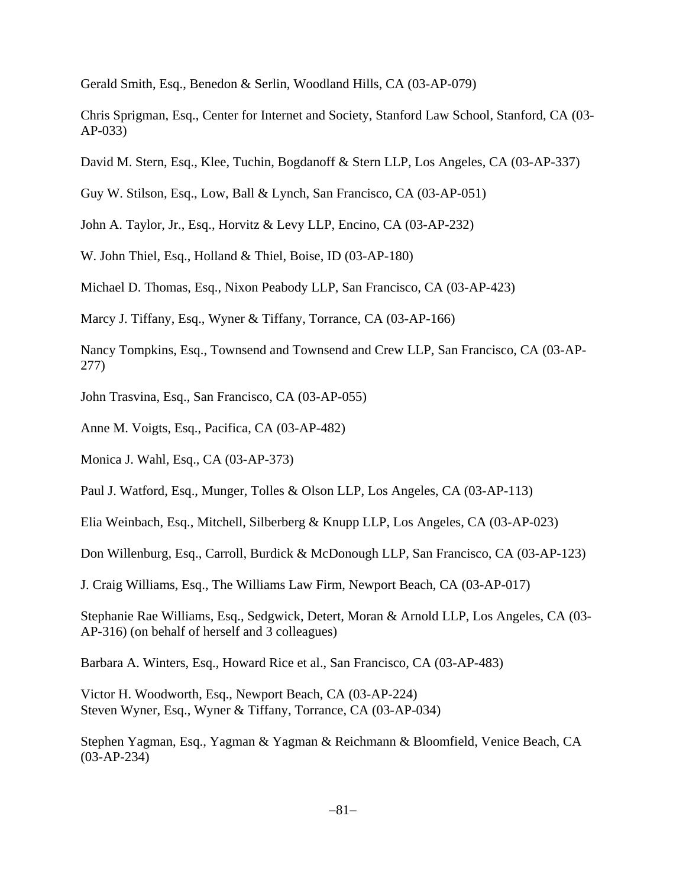Gerald Smith, Esq., Benedon & Serlin, Woodland Hills, CA (03-AP-079)

Chris Sprigman, Esq., Center for Internet and Society, Stanford Law School, Stanford, CA (03- AP-033)

David M. Stern, Esq., Klee, Tuchin, Bogdanoff & Stern LLP, Los Angeles, CA (03-AP-337)

Guy W. Stilson, Esq., Low, Ball & Lynch, San Francisco, CA (03-AP-051)

John A. Taylor, Jr., Esq., Horvitz & Levy LLP, Encino, CA (03-AP-232)

W. John Thiel, Esq., Holland & Thiel, Boise, ID (03-AP-180)

Michael D. Thomas, Esq., Nixon Peabody LLP, San Francisco, CA (03-AP-423)

Marcy J. Tiffany, Esq., Wyner & Tiffany, Torrance, CA (03-AP-166)

Nancy Tompkins, Esq., Townsend and Townsend and Crew LLP, San Francisco, CA (03-AP-277)

John Trasvina, Esq., San Francisco, CA (03-AP-055)

Anne M. Voigts, Esq., Pacifica, CA (03-AP-482)

Monica J. Wahl, Esq., CA (03-AP-373)

Paul J. Watford, Esq., Munger, Tolles & Olson LLP, Los Angeles, CA (03-AP-113)

Elia Weinbach, Esq., Mitchell, Silberberg & Knupp LLP, Los Angeles, CA (03-AP-023)

Don Willenburg, Esq., Carroll, Burdick & McDonough LLP, San Francisco, CA (03-AP-123)

J. Craig Williams, Esq., The Williams Law Firm, Newport Beach, CA (03-AP-017)

Stephanie Rae Williams, Esq., Sedgwick, Detert, Moran & Arnold LLP, Los Angeles, CA (03- AP-316) (on behalf of herself and 3 colleagues)

Barbara A. Winters, Esq., Howard Rice et al., San Francisco, CA (03-AP-483)

Victor H. Woodworth, Esq., Newport Beach, CA (03-AP-224) Steven Wyner, Esq., Wyner & Tiffany, Torrance, CA (03-AP-034)

Stephen Yagman, Esq., Yagman & Yagman & Reichmann & Bloomfield, Venice Beach, CA (03-AP-234)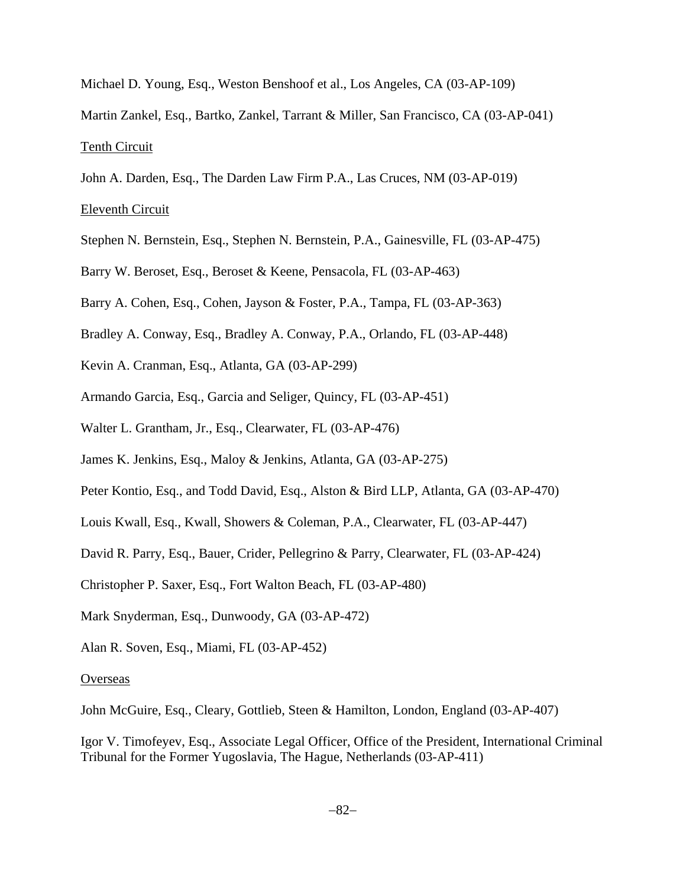- Michael D. Young, Esq., Weston Benshoof et al., Los Angeles, CA (03-AP-109)
- Martin Zankel, Esq., Bartko, Zankel, Tarrant & Miller, San Francisco, CA (03-AP-041) Tenth Circuit
- John A. Darden, Esq., The Darden Law Firm P.A., Las Cruces, NM (03-AP-019)

### Eleventh Circuit

- Stephen N. Bernstein, Esq., Stephen N. Bernstein, P.A., Gainesville, FL (03-AP-475)
- Barry W. Beroset, Esq., Beroset & Keene, Pensacola, FL (03-AP-463)
- Barry A. Cohen, Esq., Cohen, Jayson & Foster, P.A., Tampa, FL (03-AP-363)
- Bradley A. Conway, Esq., Bradley A. Conway, P.A., Orlando, FL (03-AP-448)
- Kevin A. Cranman, Esq., Atlanta, GA (03-AP-299)
- Armando Garcia, Esq., Garcia and Seliger, Quincy, FL (03-AP-451)
- Walter L. Grantham, Jr., Esq., Clearwater, FL (03-AP-476)
- James K. Jenkins, Esq., Maloy & Jenkins, Atlanta, GA (03-AP-275)
- Peter Kontio, Esq., and Todd David, Esq., Alston & Bird LLP, Atlanta, GA (03-AP-470)
- Louis Kwall, Esq., Kwall, Showers & Coleman, P.A., Clearwater, FL (03-AP-447)
- David R. Parry, Esq., Bauer, Crider, Pellegrino & Parry, Clearwater, FL (03-AP-424)
- Christopher P. Saxer, Esq., Fort Walton Beach, FL (03-AP-480)
- Mark Snyderman, Esq., Dunwoody, GA (03-AP-472)
- Alan R. Soven, Esq., Miami, FL (03-AP-452)

#### **Overseas**

John McGuire, Esq., Cleary, Gottlieb, Steen & Hamilton, London, England (03-AP-407)

Igor V. Timofeyev, Esq., Associate Legal Officer, Office of the President, International Criminal Tribunal for the Former Yugoslavia, The Hague, Netherlands (03-AP-411)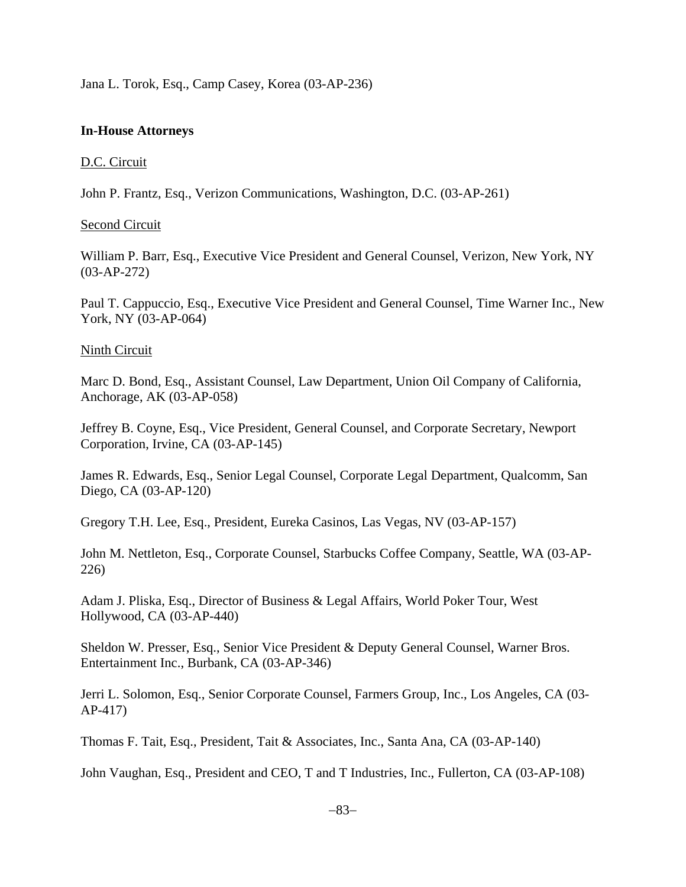Jana L. Torok, Esq., Camp Casey, Korea (03-AP-236)

## **In-House Attorneys**

### D.C. Circuit

John P. Frantz, Esq., Verizon Communications, Washington, D.C. (03-AP-261)

## Second Circuit

William P. Barr, Esq., Executive Vice President and General Counsel, Verizon, New York, NY (03-AP-272)

Paul T. Cappuccio, Esq., Executive Vice President and General Counsel, Time Warner Inc., New York, NY (03-AP-064)

## Ninth Circuit

Marc D. Bond, Esq., Assistant Counsel, Law Department, Union Oil Company of California, Anchorage, AK (03-AP-058)

Jeffrey B. Coyne, Esq., Vice President, General Counsel, and Corporate Secretary, Newport Corporation, Irvine, CA (03-AP-145)

James R. Edwards, Esq., Senior Legal Counsel, Corporate Legal Department, Qualcomm, San Diego, CA (03-AP-120)

Gregory T.H. Lee, Esq., President, Eureka Casinos, Las Vegas, NV (03-AP-157)

John M. Nettleton, Esq., Corporate Counsel, Starbucks Coffee Company, Seattle, WA (03-AP-226)

Adam J. Pliska, Esq., Director of Business & Legal Affairs, World Poker Tour, West Hollywood, CA (03-AP-440)

Sheldon W. Presser, Esq., Senior Vice President & Deputy General Counsel, Warner Bros. Entertainment Inc., Burbank, CA (03-AP-346)

Jerri L. Solomon, Esq., Senior Corporate Counsel, Farmers Group, Inc., Los Angeles, CA (03- AP-417)

Thomas F. Tait, Esq., President, Tait & Associates, Inc., Santa Ana, CA (03-AP-140)

John Vaughan, Esq., President and CEO, T and T Industries, Inc., Fullerton, CA (03-AP-108)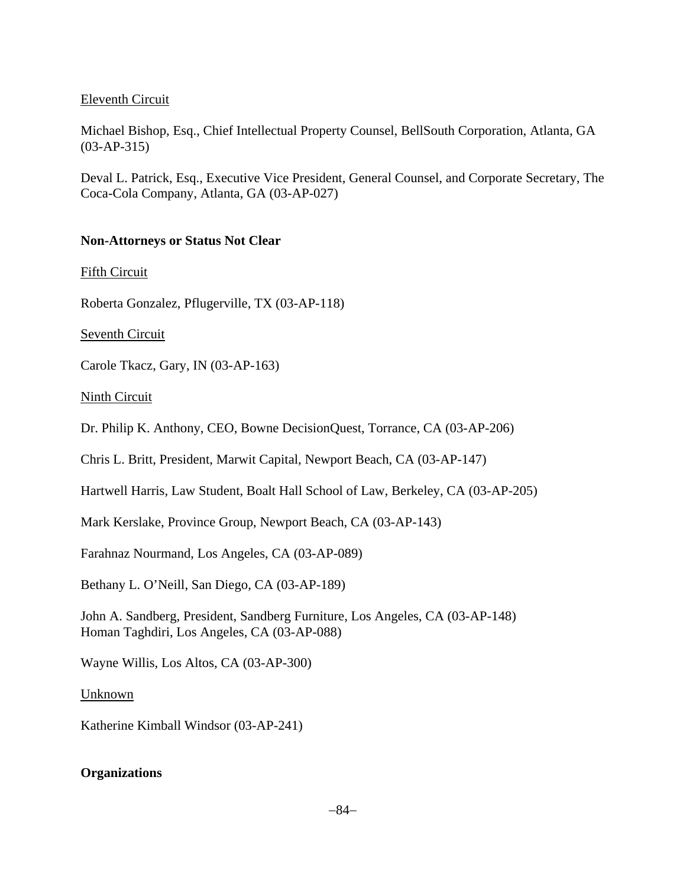# Eleventh Circuit

Michael Bishop, Esq., Chief Intellectual Property Counsel, BellSouth Corporation, Atlanta, GA (03-AP-315)

Deval L. Patrick, Esq., Executive Vice President, General Counsel, and Corporate Secretary, The Coca-Cola Company, Atlanta, GA (03-AP-027)

# **Non-Attorneys or Status Not Clear**

Fifth Circuit

Roberta Gonzalez, Pflugerville, TX (03-AP-118)

Seventh Circuit

Carole Tkacz, Gary, IN (03-AP-163)

Ninth Circuit

Dr. Philip K. Anthony, CEO, Bowne DecisionQuest, Torrance, CA (03-AP-206)

Chris L. Britt, President, Marwit Capital, Newport Beach, CA (03-AP-147)

Hartwell Harris, Law Student, Boalt Hall School of Law, Berkeley, CA (03-AP-205)

Mark Kerslake, Province Group, Newport Beach, CA (03-AP-143)

Farahnaz Nourmand, Los Angeles, CA (03-AP-089)

Bethany L. O'Neill, San Diego, CA (03-AP-189)

John A. Sandberg, President, Sandberg Furniture, Los Angeles, CA (03-AP-148) Homan Taghdiri, Los Angeles, CA (03-AP-088)

Wayne Willis, Los Altos, CA (03-AP-300)

Unknown

Katherine Kimball Windsor (03-AP-241)

# **Organizations**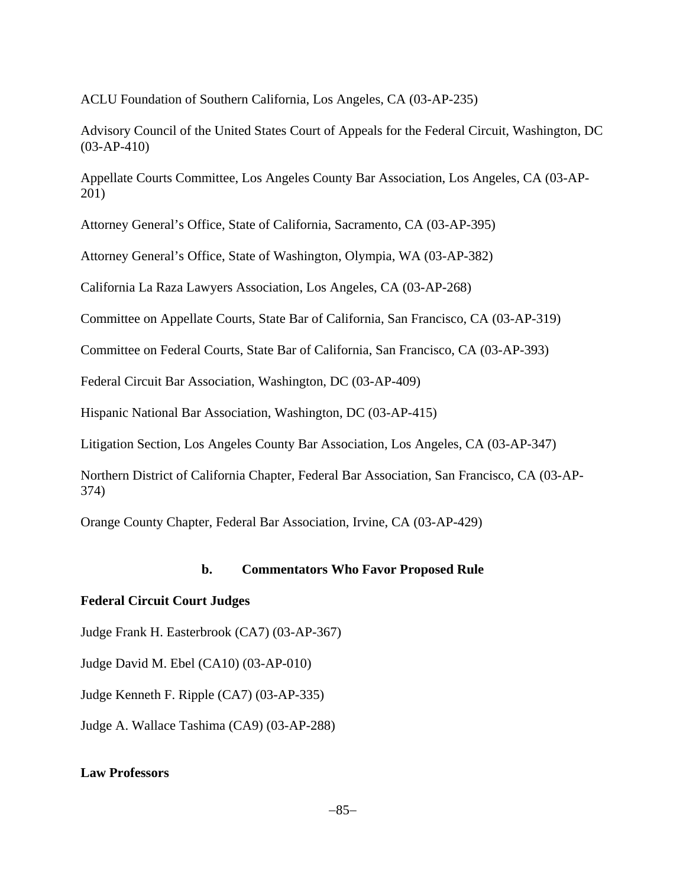ACLU Foundation of Southern California, Los Angeles, CA (03-AP-235)

Advisory Council of the United States Court of Appeals for the Federal Circuit, Washington, DC (03-AP-410)

Appellate Courts Committee, Los Angeles County Bar Association, Los Angeles, CA (03-AP-201)

Attorney General's Office, State of California, Sacramento, CA (03-AP-395)

Attorney General's Office, State of Washington, Olympia, WA (03-AP-382)

California La Raza Lawyers Association, Los Angeles, CA (03-AP-268)

Committee on Appellate Courts, State Bar of California, San Francisco, CA (03-AP-319)

Committee on Federal Courts, State Bar of California, San Francisco, CA (03-AP-393)

Federal Circuit Bar Association, Washington, DC (03-AP-409)

Hispanic National Bar Association, Washington, DC (03-AP-415)

Litigation Section, Los Angeles County Bar Association, Los Angeles, CA (03-AP-347)

Northern District of California Chapter, Federal Bar Association, San Francisco, CA (03-AP-374)

Orange County Chapter, Federal Bar Association, Irvine, CA (03-AP-429)

#### **b. Commentators Who Favor Proposed Rule**

#### **Federal Circuit Court Judges**

Judge Frank H. Easterbrook (CA7) (03-AP-367)

Judge David M. Ebel (CA10) (03-AP-010)

Judge Kenneth F. Ripple (CA7) (03-AP-335)

Judge A. Wallace Tashima (CA9) (03-AP-288)

## **Law Professors**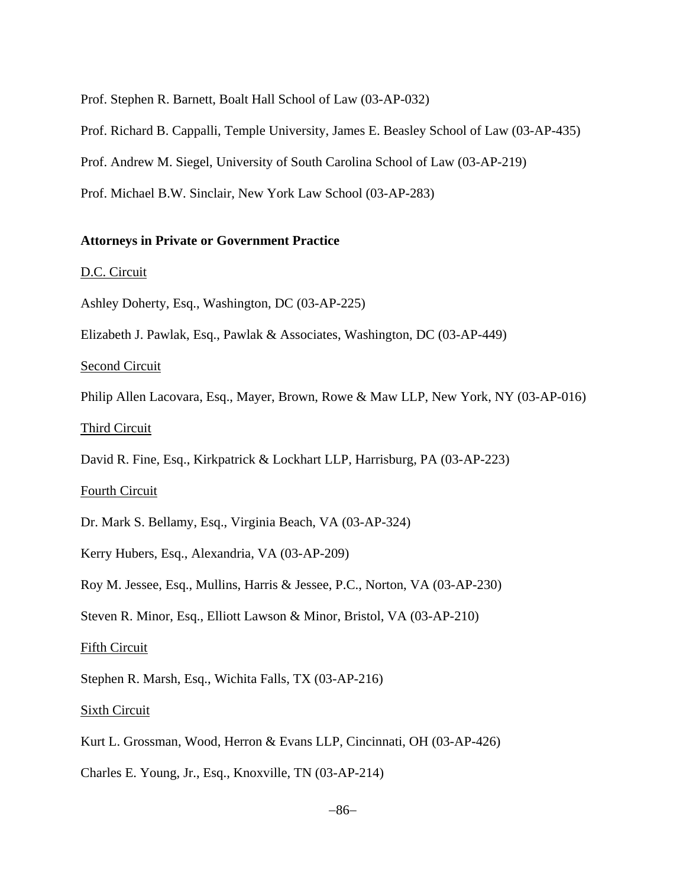Prof. Stephen R. Barnett, Boalt Hall School of Law (03-AP-032)

Prof. Richard B. Cappalli, Temple University, James E. Beasley School of Law (03-AP-435)

Prof. Andrew M. Siegel, University of South Carolina School of Law (03-AP-219)

Prof. Michael B.W. Sinclair, New York Law School (03-AP-283)

## **Attorneys in Private or Government Practice**

#### D.C. Circuit

Ashley Doherty, Esq., Washington, DC (03-AP-225)

Elizabeth J. Pawlak, Esq., Pawlak & Associates, Washington, DC (03-AP-449)

Second Circuit

Philip Allen Lacovara, Esq., Mayer, Brown, Rowe & Maw LLP, New York, NY (03-AP-016)

#### Third Circuit

David R. Fine, Esq., Kirkpatrick & Lockhart LLP, Harrisburg, PA (03-AP-223)

#### Fourth Circuit

Dr. Mark S. Bellamy, Esq., Virginia Beach, VA (03-AP-324)

Kerry Hubers, Esq., Alexandria, VA (03-AP-209)

Roy M. Jessee, Esq., Mullins, Harris & Jessee, P.C., Norton, VA (03-AP-230)

Steven R. Minor, Esq., Elliott Lawson & Minor, Bristol, VA (03-AP-210)

#### Fifth Circuit

Stephen R. Marsh, Esq., Wichita Falls, TX (03-AP-216)

Sixth Circuit

Kurt L. Grossman, Wood, Herron & Evans LLP, Cincinnati, OH (03-AP-426)

Charles E. Young, Jr., Esq., Knoxville, TN (03-AP-214)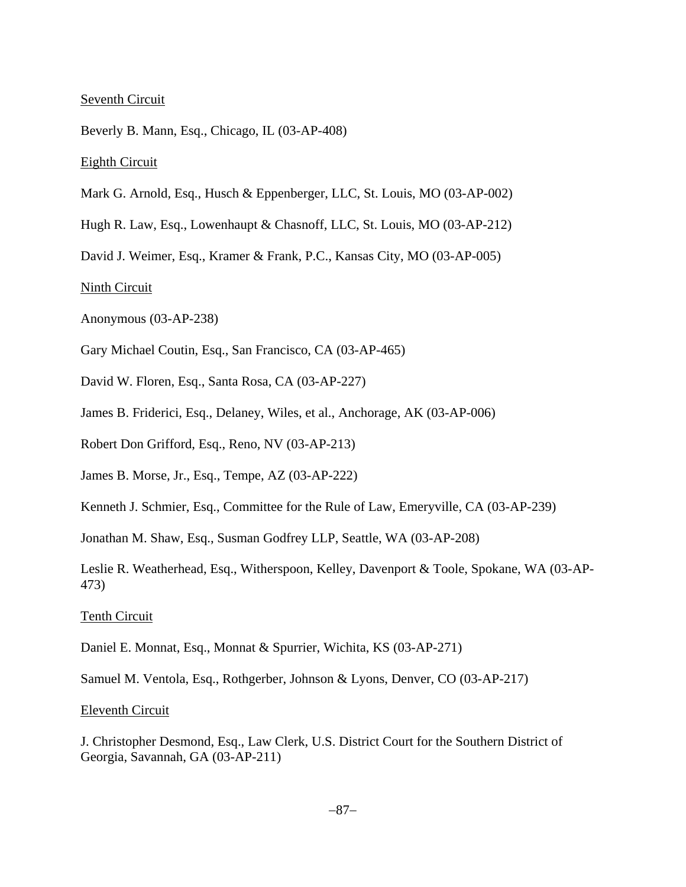### Seventh Circuit

Beverly B. Mann, Esq., Chicago, IL (03-AP-408)

#### Eighth Circuit

- Mark G. Arnold, Esq., Husch & Eppenberger, LLC, St. Louis, MO (03-AP-002)
- Hugh R. Law, Esq., Lowenhaupt & Chasnoff, LLC, St. Louis, MO (03-AP-212)

David J. Weimer, Esq., Kramer & Frank, P.C., Kansas City, MO (03-AP-005)

#### Ninth Circuit

Anonymous (03-AP-238)

- Gary Michael Coutin, Esq., San Francisco, CA (03-AP-465)
- David W. Floren, Esq., Santa Rosa, CA (03-AP-227)
- James B. Friderici, Esq., Delaney, Wiles, et al., Anchorage, AK (03-AP-006)
- Robert Don Grifford, Esq., Reno, NV (03-AP-213)
- James B. Morse, Jr., Esq., Tempe, AZ (03-AP-222)
- Kenneth J. Schmier, Esq., Committee for the Rule of Law, Emeryville, CA (03-AP-239)

Jonathan M. Shaw, Esq., Susman Godfrey LLP, Seattle, WA (03-AP-208)

Leslie R. Weatherhead, Esq., Witherspoon, Kelley, Davenport & Toole, Spokane, WA (03-AP-473)

#### Tenth Circuit

Daniel E. Monnat, Esq., Monnat & Spurrier, Wichita, KS (03-AP-271)

Samuel M. Ventola, Esq., Rothgerber, Johnson & Lyons, Denver, CO (03-AP-217)

#### Eleventh Circuit

J. Christopher Desmond, Esq., Law Clerk, U.S. District Court for the Southern District of Georgia, Savannah, GA (03-AP-211)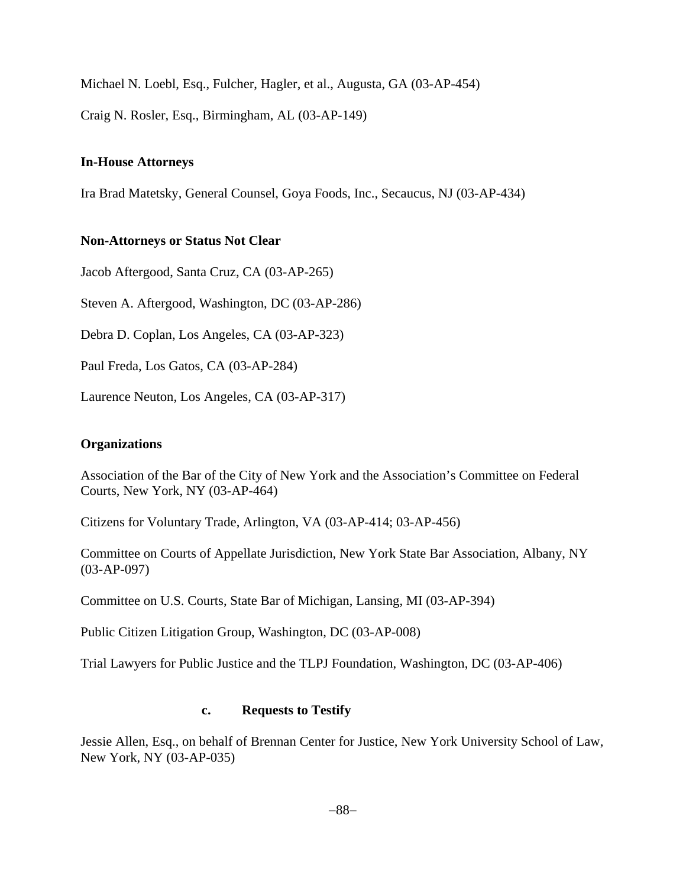Michael N. Loebl, Esq., Fulcher, Hagler, et al., Augusta, GA (03-AP-454)

Craig N. Rosler, Esq., Birmingham, AL (03-AP-149)

## **In-House Attorneys**

Ira Brad Matetsky, General Counsel, Goya Foods, Inc., Secaucus, NJ (03-AP-434)

# **Non-Attorneys or Status Not Clear**

Jacob Aftergood, Santa Cruz, CA (03-AP-265)

Steven A. Aftergood, Washington, DC (03-AP-286)

Debra D. Coplan, Los Angeles, CA (03-AP-323)

Paul Freda, Los Gatos, CA (03-AP-284)

Laurence Neuton, Los Angeles, CA (03-AP-317)

#### **Organizations**

Association of the Bar of the City of New York and the Association's Committee on Federal Courts, New York, NY (03-AP-464)

Citizens for Voluntary Trade, Arlington, VA (03-AP-414; 03-AP-456)

Committee on Courts of Appellate Jurisdiction, New York State Bar Association, Albany, NY (03-AP-097)

Committee on U.S. Courts, State Bar of Michigan, Lansing, MI (03-AP-394)

Public Citizen Litigation Group, Washington, DC (03-AP-008)

Trial Lawyers for Public Justice and the TLPJ Foundation, Washington, DC (03-AP-406)

#### **c. Requests to Testify**

Jessie Allen, Esq., on behalf of Brennan Center for Justice, New York University School of Law, New York, NY (03-AP-035)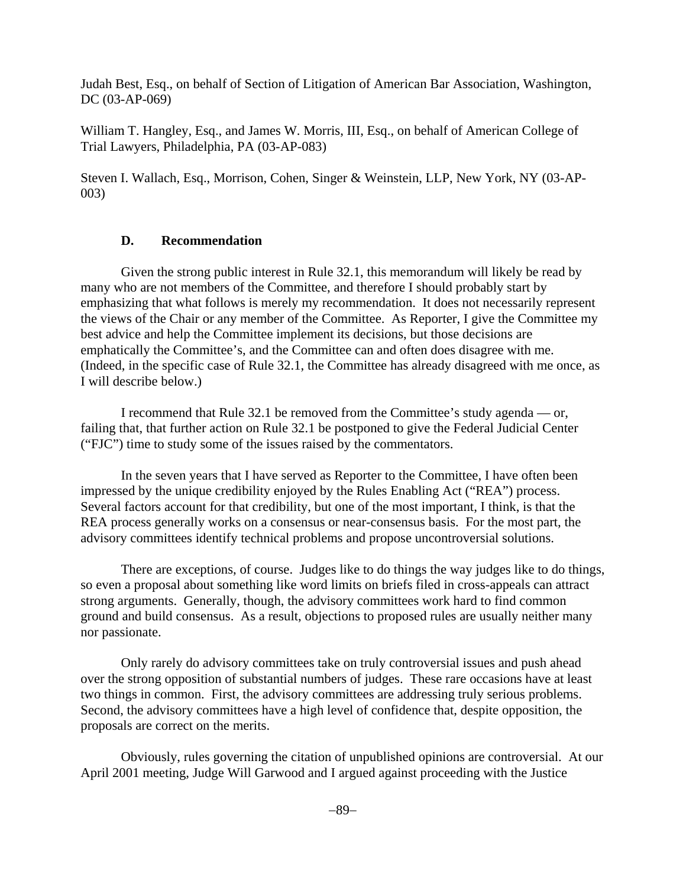Judah Best, Esq., on behalf of Section of Litigation of American Bar Association, Washington, DC (03-AP-069)

William T. Hangley, Esq., and James W. Morris, III, Esq., on behalf of American College of Trial Lawyers, Philadelphia, PA (03-AP-083)

Steven I. Wallach, Esq., Morrison, Cohen, Singer & Weinstein, LLP, New York, NY (03-AP-003)

## **D. Recommendation**

Given the strong public interest in Rule 32.1, this memorandum will likely be read by many who are not members of the Committee, and therefore I should probably start by emphasizing that what follows is merely my recommendation. It does not necessarily represent the views of the Chair or any member of the Committee. As Reporter, I give the Committee my best advice and help the Committee implement its decisions, but those decisions are emphatically the Committee's, and the Committee can and often does disagree with me. (Indeed, in the specific case of Rule 32.1, the Committee has already disagreed with me once, as I will describe below.)

I recommend that Rule 32.1 be removed from the Committee's study agenda — or, failing that, that further action on Rule 32.1 be postponed to give the Federal Judicial Center ("FJC") time to study some of the issues raised by the commentators.

In the seven years that I have served as Reporter to the Committee, I have often been impressed by the unique credibility enjoyed by the Rules Enabling Act ("REA") process. Several factors account for that credibility, but one of the most important, I think, is that the REA process generally works on a consensus or near-consensus basis. For the most part, the advisory committees identify technical problems and propose uncontroversial solutions.

There are exceptions, of course. Judges like to do things the way judges like to do things, so even a proposal about something like word limits on briefs filed in cross-appeals can attract strong arguments. Generally, though, the advisory committees work hard to find common ground and build consensus. As a result, objections to proposed rules are usually neither many nor passionate.

Only rarely do advisory committees take on truly controversial issues and push ahead over the strong opposition of substantial numbers of judges. These rare occasions have at least two things in common. First, the advisory committees are addressing truly serious problems. Second, the advisory committees have a high level of confidence that, despite opposition, the proposals are correct on the merits.

Obviously, rules governing the citation of unpublished opinions are controversial. At our April 2001 meeting, Judge Will Garwood and I argued against proceeding with the Justice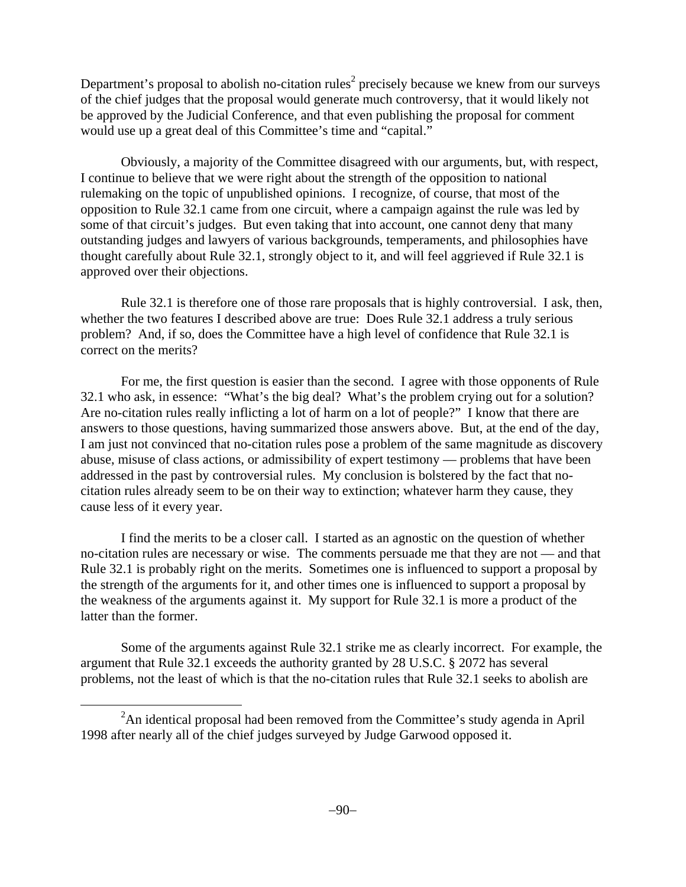Department's proposal to abolish no-citation rules<sup>2</sup> precisely because we knew from our surveys of the chief judges that the proposal would generate much controversy, that it would likely not be approved by the Judicial Conference, and that even publishing the proposal for comment would use up a great deal of this Committee's time and "capital."

Obviously, a majority of the Committee disagreed with our arguments, but, with respect, I continue to believe that we were right about the strength of the opposition to national rulemaking on the topic of unpublished opinions. I recognize, of course, that most of the opposition to Rule 32.1 came from one circuit, where a campaign against the rule was led by some of that circuit's judges. But even taking that into account, one cannot deny that many outstanding judges and lawyers of various backgrounds, temperaments, and philosophies have thought carefully about Rule 32.1, strongly object to it, and will feel aggrieved if Rule 32.1 is approved over their objections.

Rule 32.1 is therefore one of those rare proposals that is highly controversial. I ask, then, whether the two features I described above are true: Does Rule 32.1 address a truly serious problem? And, if so, does the Committee have a high level of confidence that Rule 32.1 is correct on the merits?

For me, the first question is easier than the second. I agree with those opponents of Rule 32.1 who ask, in essence: "What's the big deal? What's the problem crying out for a solution? Are no-citation rules really inflicting a lot of harm on a lot of people?" I know that there are answers to those questions, having summarized those answers above. But, at the end of the day, I am just not convinced that no-citation rules pose a problem of the same magnitude as discovery abuse, misuse of class actions, or admissibility of expert testimony — problems that have been addressed in the past by controversial rules. My conclusion is bolstered by the fact that nocitation rules already seem to be on their way to extinction; whatever harm they cause, they cause less of it every year.

I find the merits to be a closer call. I started as an agnostic on the question of whether no-citation rules are necessary or wise. The comments persuade me that they are not — and that Rule 32.1 is probably right on the merits. Sometimes one is influenced to support a proposal by the strength of the arguments for it, and other times one is influenced to support a proposal by the weakness of the arguments against it. My support for Rule 32.1 is more a product of the latter than the former.

Some of the arguments against Rule 32.1 strike me as clearly incorrect. For example, the argument that Rule 32.1 exceeds the authority granted by 28 U.S.C. § 2072 has several problems, not the least of which is that the no-citation rules that Rule 32.1 seeks to abolish are

 <sup>2</sup>  $2^2$ An identical proposal had been removed from the Committee's study agenda in April 1998 after nearly all of the chief judges surveyed by Judge Garwood opposed it.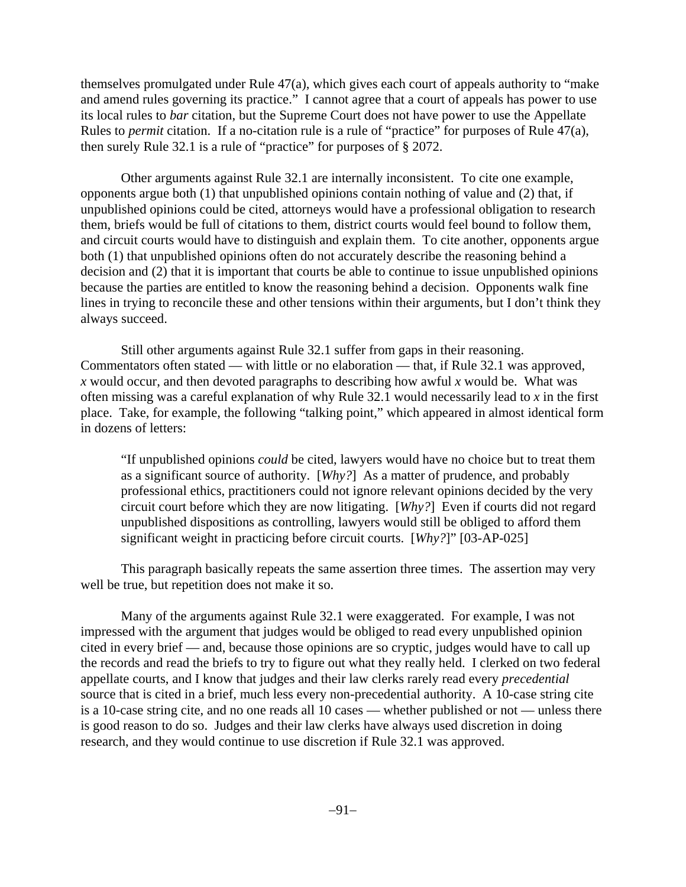themselves promulgated under Rule 47(a), which gives each court of appeals authority to "make and amend rules governing its practice." I cannot agree that a court of appeals has power to use its local rules to *bar* citation, but the Supreme Court does not have power to use the Appellate Rules to *permit* citation. If a no-citation rule is a rule of "practice" for purposes of Rule 47(a), then surely Rule 32.1 is a rule of "practice" for purposes of § 2072.

Other arguments against Rule 32.1 are internally inconsistent. To cite one example, opponents argue both (1) that unpublished opinions contain nothing of value and (2) that, if unpublished opinions could be cited, attorneys would have a professional obligation to research them, briefs would be full of citations to them, district courts would feel bound to follow them, and circuit courts would have to distinguish and explain them. To cite another, opponents argue both (1) that unpublished opinions often do not accurately describe the reasoning behind a decision and (2) that it is important that courts be able to continue to issue unpublished opinions because the parties are entitled to know the reasoning behind a decision. Opponents walk fine lines in trying to reconcile these and other tensions within their arguments, but I don't think they always succeed.

Still other arguments against Rule 32.1 suffer from gaps in their reasoning. Commentators often stated — with little or no elaboration — that, if Rule 32.1 was approved, *x* would occur, and then devoted paragraphs to describing how awful *x* would be. What was often missing was a careful explanation of why Rule 32.1 would necessarily lead to *x* in the first place. Take, for example, the following "talking point," which appeared in almost identical form in dozens of letters:

"If unpublished opinions *could* be cited, lawyers would have no choice but to treat them as a significant source of authority. [*Why?*] As a matter of prudence, and probably professional ethics, practitioners could not ignore relevant opinions decided by the very circuit court before which they are now litigating. [*Why?*] Even if courts did not regard unpublished dispositions as controlling, lawyers would still be obliged to afford them significant weight in practicing before circuit courts. [*Why?*]" [03-AP-025]

This paragraph basically repeats the same assertion three times. The assertion may very well be true, but repetition does not make it so.

Many of the arguments against Rule 32.1 were exaggerated. For example, I was not impressed with the argument that judges would be obliged to read every unpublished opinion cited in every brief — and, because those opinions are so cryptic, judges would have to call up the records and read the briefs to try to figure out what they really held. I clerked on two federal appellate courts, and I know that judges and their law clerks rarely read every *precedential* source that is cited in a brief, much less every non-precedential authority. A 10-case string cite is a 10-case string cite, and no one reads all 10 cases — whether published or not — unless there is good reason to do so. Judges and their law clerks have always used discretion in doing research, and they would continue to use discretion if Rule 32.1 was approved.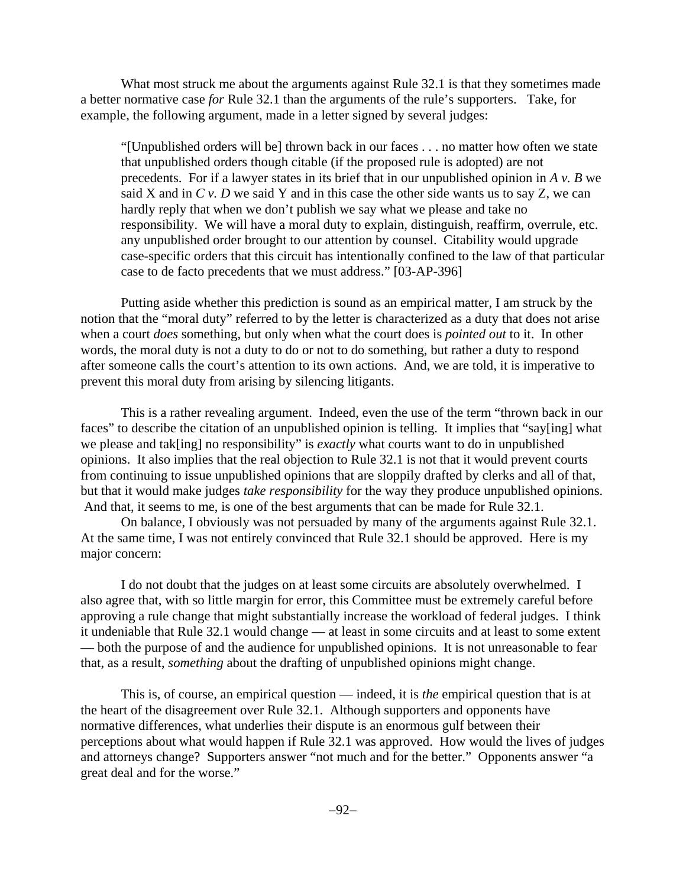What most struck me about the arguments against Rule 32.1 is that they sometimes made a better normative case *for* Rule 32.1 than the arguments of the rule's supporters. Take, for example, the following argument, made in a letter signed by several judges:

"[Unpublished orders will be] thrown back in our faces . . . no matter how often we state that unpublished orders though citable (if the proposed rule is adopted) are not precedents. For if a lawyer states in its brief that in our unpublished opinion in *A v. B* we said X and in *C v. D* we said Y and in this case the other side wants us to say Z, we can hardly reply that when we don't publish we say what we please and take no responsibility. We will have a moral duty to explain, distinguish, reaffirm, overrule, etc. any unpublished order brought to our attention by counsel. Citability would upgrade case-specific orders that this circuit has intentionally confined to the law of that particular case to de facto precedents that we must address." [03-AP-396]

Putting aside whether this prediction is sound as an empirical matter, I am struck by the notion that the "moral duty" referred to by the letter is characterized as a duty that does not arise when a court *does* something, but only when what the court does is *pointed out* to it. In other words, the moral duty is not a duty to do or not to do something, but rather a duty to respond after someone calls the court's attention to its own actions. And, we are told, it is imperative to prevent this moral duty from arising by silencing litigants.

This is a rather revealing argument. Indeed, even the use of the term "thrown back in our faces" to describe the citation of an unpublished opinion is telling. It implies that "say[ing] what we please and tak[ing] no responsibility" is *exactly* what courts want to do in unpublished opinions. It also implies that the real objection to Rule 32.1 is not that it would prevent courts from continuing to issue unpublished opinions that are sloppily drafted by clerks and all of that, but that it would make judges *take responsibility* for the way they produce unpublished opinions. And that, it seems to me, is one of the best arguments that can be made for Rule 32.1.

On balance, I obviously was not persuaded by many of the arguments against Rule 32.1. At the same time, I was not entirely convinced that Rule 32.1 should be approved. Here is my major concern:

I do not doubt that the judges on at least some circuits are absolutely overwhelmed. I also agree that, with so little margin for error, this Committee must be extremely careful before approving a rule change that might substantially increase the workload of federal judges. I think it undeniable that Rule 32.1 would change — at least in some circuits and at least to some extent — both the purpose of and the audience for unpublished opinions. It is not unreasonable to fear that, as a result, *something* about the drafting of unpublished opinions might change.

This is, of course, an empirical question — indeed, it is *the* empirical question that is at the heart of the disagreement over Rule 32.1. Although supporters and opponents have normative differences, what underlies their dispute is an enormous gulf between their perceptions about what would happen if Rule 32.1 was approved. How would the lives of judges and attorneys change? Supporters answer "not much and for the better." Opponents answer "a great deal and for the worse."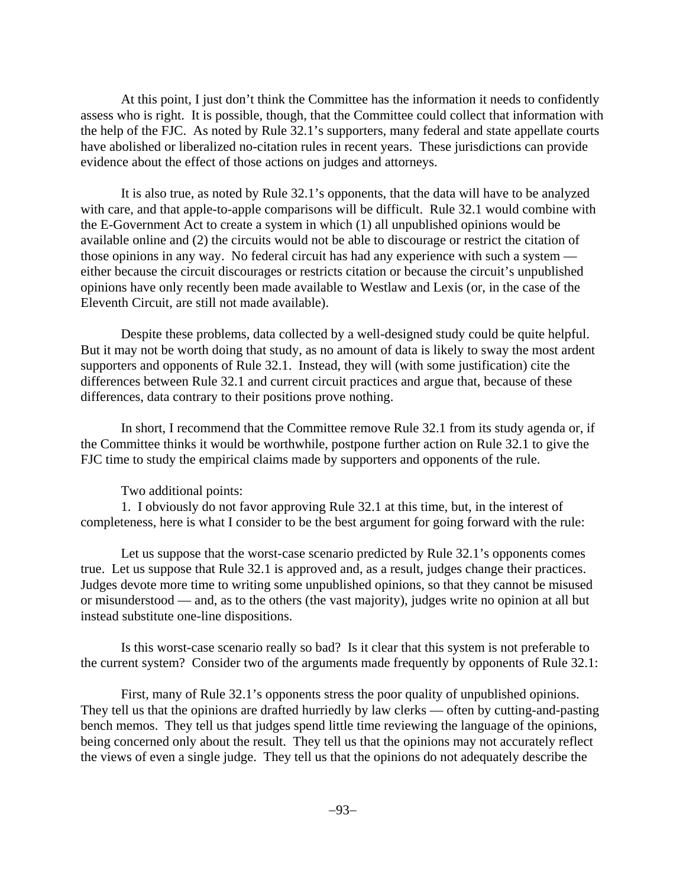At this point, I just don't think the Committee has the information it needs to confidently assess who is right. It is possible, though, that the Committee could collect that information with the help of the FJC. As noted by Rule 32.1's supporters, many federal and state appellate courts have abolished or liberalized no-citation rules in recent years. These jurisdictions can provide evidence about the effect of those actions on judges and attorneys.

It is also true, as noted by Rule 32.1's opponents, that the data will have to be analyzed with care, and that apple-to-apple comparisons will be difficult. Rule 32.1 would combine with the E-Government Act to create a system in which (1) all unpublished opinions would be available online and (2) the circuits would not be able to discourage or restrict the citation of those opinions in any way. No federal circuit has had any experience with such a system either because the circuit discourages or restricts citation or because the circuit's unpublished opinions have only recently been made available to Westlaw and Lexis (or, in the case of the Eleventh Circuit, are still not made available).

Despite these problems, data collected by a well-designed study could be quite helpful. But it may not be worth doing that study, as no amount of data is likely to sway the most ardent supporters and opponents of Rule 32.1. Instead, they will (with some justification) cite the differences between Rule 32.1 and current circuit practices and argue that, because of these differences, data contrary to their positions prove nothing.

In short, I recommend that the Committee remove Rule 32.1 from its study agenda or, if the Committee thinks it would be worthwhile, postpone further action on Rule 32.1 to give the FJC time to study the empirical claims made by supporters and opponents of the rule.

Two additional points:

1. I obviously do not favor approving Rule 32.1 at this time, but, in the interest of completeness, here is what I consider to be the best argument for going forward with the rule:

Let us suppose that the worst-case scenario predicted by Rule 32.1's opponents comes true. Let us suppose that Rule 32.1 is approved and, as a result, judges change their practices. Judges devote more time to writing some unpublished opinions, so that they cannot be misused or misunderstood — and, as to the others (the vast majority), judges write no opinion at all but instead substitute one-line dispositions.

Is this worst-case scenario really so bad? Is it clear that this system is not preferable to the current system? Consider two of the arguments made frequently by opponents of Rule 32.1:

First, many of Rule 32.1's opponents stress the poor quality of unpublished opinions. They tell us that the opinions are drafted hurriedly by law clerks — often by cutting-and-pasting bench memos. They tell us that judges spend little time reviewing the language of the opinions, being concerned only about the result. They tell us that the opinions may not accurately reflect the views of even a single judge. They tell us that the opinions do not adequately describe the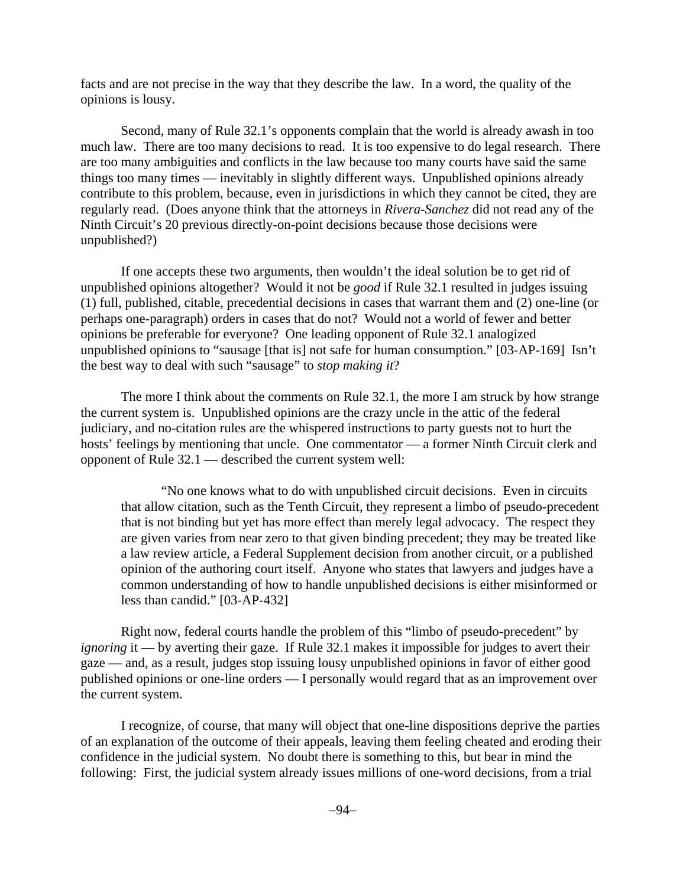facts and are not precise in the way that they describe the law. In a word, the quality of the opinions is lousy.

Second, many of Rule 32.1's opponents complain that the world is already awash in too much law. There are too many decisions to read. It is too expensive to do legal research. There are too many ambiguities and conflicts in the law because too many courts have said the same things too many times — inevitably in slightly different ways. Unpublished opinions already contribute to this problem, because, even in jurisdictions in which they cannot be cited, they are regularly read. (Does anyone think that the attorneys in *Rivera-Sanchez* did not read any of the Ninth Circuit's 20 previous directly-on-point decisions because those decisions were unpublished?)

If one accepts these two arguments, then wouldn't the ideal solution be to get rid of unpublished opinions altogether? Would it not be *good* if Rule 32.1 resulted in judges issuing (1) full, published, citable, precedential decisions in cases that warrant them and (2) one-line (or perhaps one-paragraph) orders in cases that do not? Would not a world of fewer and better opinions be preferable for everyone? One leading opponent of Rule 32.1 analogized unpublished opinions to "sausage [that is] not safe for human consumption." [03-AP-169] Isn't the best way to deal with such "sausage" to *stop making it*?

The more I think about the comments on Rule 32.1, the more I am struck by how strange the current system is. Unpublished opinions are the crazy uncle in the attic of the federal judiciary, and no-citation rules are the whispered instructions to party guests not to hurt the hosts' feelings by mentioning that uncle. One commentator — a former Ninth Circuit clerk and opponent of Rule 32.1 — described the current system well:

"No one knows what to do with unpublished circuit decisions. Even in circuits that allow citation, such as the Tenth Circuit, they represent a limbo of pseudo-precedent that is not binding but yet has more effect than merely legal advocacy. The respect they are given varies from near zero to that given binding precedent; they may be treated like a law review article, a Federal Supplement decision from another circuit, or a published opinion of the authoring court itself. Anyone who states that lawyers and judges have a common understanding of how to handle unpublished decisions is either misinformed or less than candid." [03-AP-432]

Right now, federal courts handle the problem of this "limbo of pseudo-precedent" by *ignoring* it — by averting their gaze. If Rule 32.1 makes it impossible for judges to avert their gaze — and, as a result, judges stop issuing lousy unpublished opinions in favor of either good published opinions or one-line orders — I personally would regard that as an improvement over the current system.

I recognize, of course, that many will object that one-line dispositions deprive the parties of an explanation of the outcome of their appeals, leaving them feeling cheated and eroding their confidence in the judicial system. No doubt there is something to this, but bear in mind the following: First, the judicial system already issues millions of one-word decisions, from a trial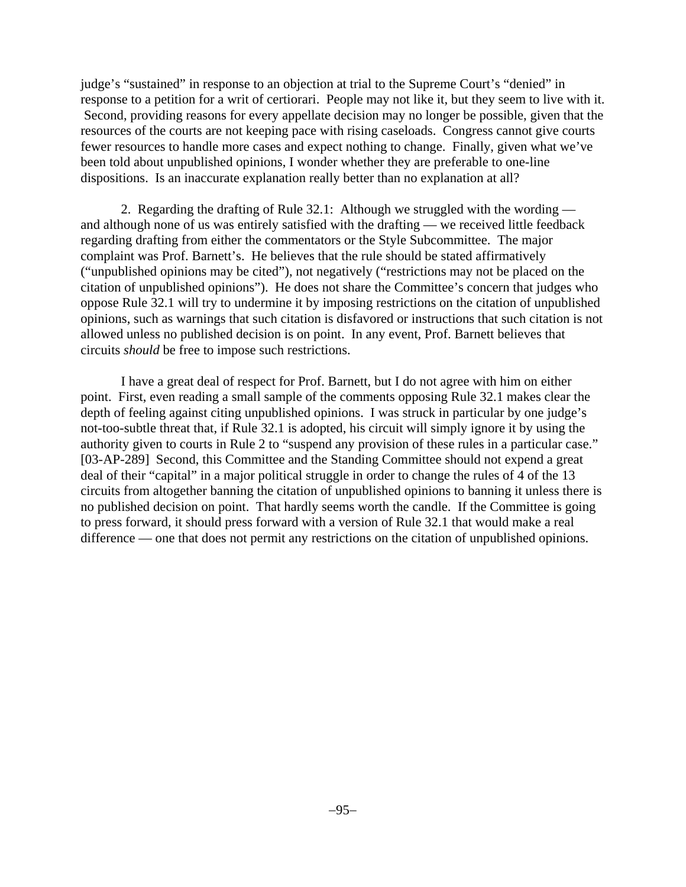judge's "sustained" in response to an objection at trial to the Supreme Court's "denied" in response to a petition for a writ of certiorari. People may not like it, but they seem to live with it. Second, providing reasons for every appellate decision may no longer be possible, given that the resources of the courts are not keeping pace with rising caseloads. Congress cannot give courts fewer resources to handle more cases and expect nothing to change. Finally, given what we've been told about unpublished opinions, I wonder whether they are preferable to one-line dispositions. Is an inaccurate explanation really better than no explanation at all?

2. Regarding the drafting of Rule 32.1: Although we struggled with the wording and although none of us was entirely satisfied with the drafting — we received little feedback regarding drafting from either the commentators or the Style Subcommittee. The major complaint was Prof. Barnett's. He believes that the rule should be stated affirmatively ("unpublished opinions may be cited"), not negatively ("restrictions may not be placed on the citation of unpublished opinions"). He does not share the Committee's concern that judges who oppose Rule 32.1 will try to undermine it by imposing restrictions on the citation of unpublished opinions, such as warnings that such citation is disfavored or instructions that such citation is not allowed unless no published decision is on point. In any event, Prof. Barnett believes that circuits *should* be free to impose such restrictions.

I have a great deal of respect for Prof. Barnett, but I do not agree with him on either point. First, even reading a small sample of the comments opposing Rule 32.1 makes clear the depth of feeling against citing unpublished opinions. I was struck in particular by one judge's not-too-subtle threat that, if Rule 32.1 is adopted, his circuit will simply ignore it by using the authority given to courts in Rule 2 to "suspend any provision of these rules in a particular case." [03-AP-289] Second, this Committee and the Standing Committee should not expend a great deal of their "capital" in a major political struggle in order to change the rules of 4 of the 13 circuits from altogether banning the citation of unpublished opinions to banning it unless there is no published decision on point. That hardly seems worth the candle. If the Committee is going to press forward, it should press forward with a version of Rule 32.1 that would make a real difference — one that does not permit any restrictions on the citation of unpublished opinions.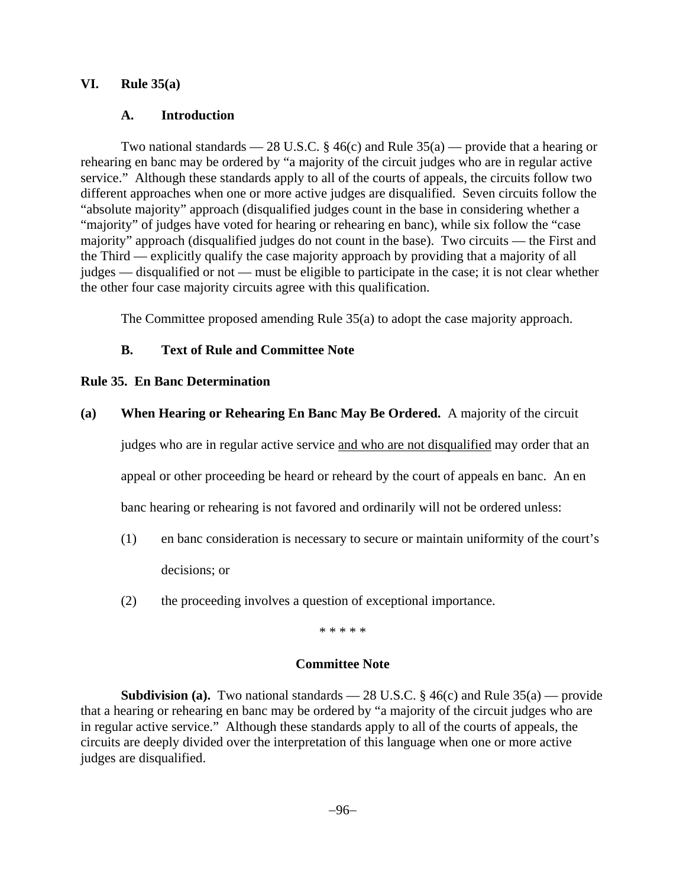# **VI. Rule 35(a)**

# **A. Introduction**

Two national standards — 28 U.S.C. § 46(c) and Rule  $35(a)$  — provide that a hearing or rehearing en banc may be ordered by "a majority of the circuit judges who are in regular active service." Although these standards apply to all of the courts of appeals, the circuits follow two different approaches when one or more active judges are disqualified. Seven circuits follow the "absolute majority" approach (disqualified judges count in the base in considering whether a "majority" of judges have voted for hearing or rehearing en banc), while six follow the "case majority" approach (disqualified judges do not count in the base). Two circuits — the First and the Third — explicitly qualify the case majority approach by providing that a majority of all judges — disqualified or not — must be eligible to participate in the case; it is not clear whether the other four case majority circuits agree with this qualification.

The Committee proposed amending Rule 35(a) to adopt the case majority approach.

# **B. Text of Rule and Committee Note**

# **Rule 35. En Banc Determination**

# **(a) When Hearing or Rehearing En Banc May Be Ordered.** A majority of the circuit

judges who are in regular active service and who are not disqualified may order that an appeal or other proceeding be heard or reheard by the court of appeals en banc. An en banc hearing or rehearing is not favored and ordinarily will not be ordered unless:

- (1) en banc consideration is necessary to secure or maintain uniformity of the court's decisions; or
- (2) the proceeding involves a question of exceptional importance.

\* \* \* \* \*

# **Committee Note**

**Subdivision (a).** Two national standards  $-28$  U.S.C. § 46(c) and Rule 35(a) — provide that a hearing or rehearing en banc may be ordered by "a majority of the circuit judges who are in regular active service." Although these standards apply to all of the courts of appeals, the circuits are deeply divided over the interpretation of this language when one or more active judges are disqualified.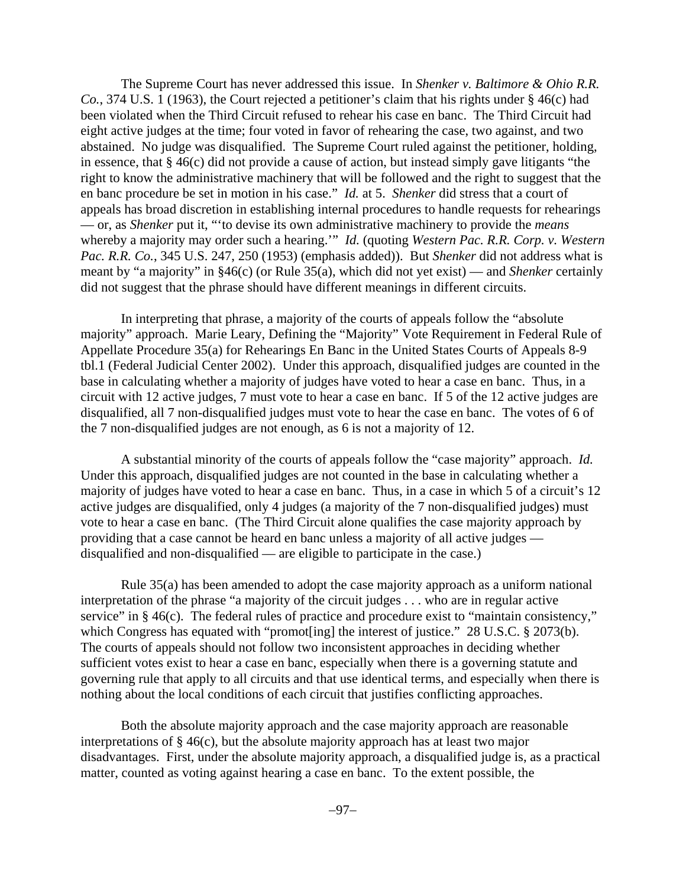The Supreme Court has never addressed this issue. In *Shenker v. Baltimore & Ohio R.R. Co.*, 374 U.S. 1 (1963), the Court rejected a petitioner's claim that his rights under § 46(c) had been violated when the Third Circuit refused to rehear his case en banc. The Third Circuit had eight active judges at the time; four voted in favor of rehearing the case, two against, and two abstained. No judge was disqualified. The Supreme Court ruled against the petitioner, holding, in essence, that § 46(c) did not provide a cause of action, but instead simply gave litigants "the right to know the administrative machinery that will be followed and the right to suggest that the en banc procedure be set in motion in his case." *Id.* at 5. *Shenker* did stress that a court of appeals has broad discretion in establishing internal procedures to handle requests for rehearings — or, as *Shenker* put it, "'to devise its own administrative machinery to provide the *means* whereby a majority may order such a hearing.'" *Id.* (quoting *Western Pac. R.R. Corp. v. Western Pac. R.R. Co.*, 345 U.S. 247, 250 (1953) (emphasis added)). But *Shenker* did not address what is meant by "a majority" in §46(c) (or Rule 35(a), which did not yet exist) — and *Shenker* certainly did not suggest that the phrase should have different meanings in different circuits.

In interpreting that phrase, a majority of the courts of appeals follow the "absolute majority" approach. Marie Leary, Defining the "Majority" Vote Requirement in Federal Rule of Appellate Procedure 35(a) for Rehearings En Banc in the United States Courts of Appeals 8-9 tbl.1 (Federal Judicial Center 2002). Under this approach, disqualified judges are counted in the base in calculating whether a majority of judges have voted to hear a case en banc. Thus, in a circuit with 12 active judges, 7 must vote to hear a case en banc. If 5 of the 12 active judges are disqualified, all 7 non-disqualified judges must vote to hear the case en banc. The votes of 6 of the 7 non-disqualified judges are not enough, as 6 is not a majority of 12.

A substantial minority of the courts of appeals follow the "case majority" approach. *Id.* Under this approach, disqualified judges are not counted in the base in calculating whether a majority of judges have voted to hear a case en banc. Thus, in a case in which 5 of a circuit's 12 active judges are disqualified, only 4 judges (a majority of the 7 non-disqualified judges) must vote to hear a case en banc. (The Third Circuit alone qualifies the case majority approach by providing that a case cannot be heard en banc unless a majority of all active judges disqualified and non-disqualified — are eligible to participate in the case.)

Rule 35(a) has been amended to adopt the case majority approach as a uniform national interpretation of the phrase "a majority of the circuit judges . . . who are in regular active service" in § 46(c). The federal rules of practice and procedure exist to "maintain consistency," which Congress has equated with "promot [ing] the interest of justice." 28 U.S.C. § 2073(b). The courts of appeals should not follow two inconsistent approaches in deciding whether sufficient votes exist to hear a case en banc, especially when there is a governing statute and governing rule that apply to all circuits and that use identical terms, and especially when there is nothing about the local conditions of each circuit that justifies conflicting approaches.

Both the absolute majority approach and the case majority approach are reasonable interpretations of § 46(c), but the absolute majority approach has at least two major disadvantages. First, under the absolute majority approach, a disqualified judge is, as a practical matter, counted as voting against hearing a case en banc. To the extent possible, the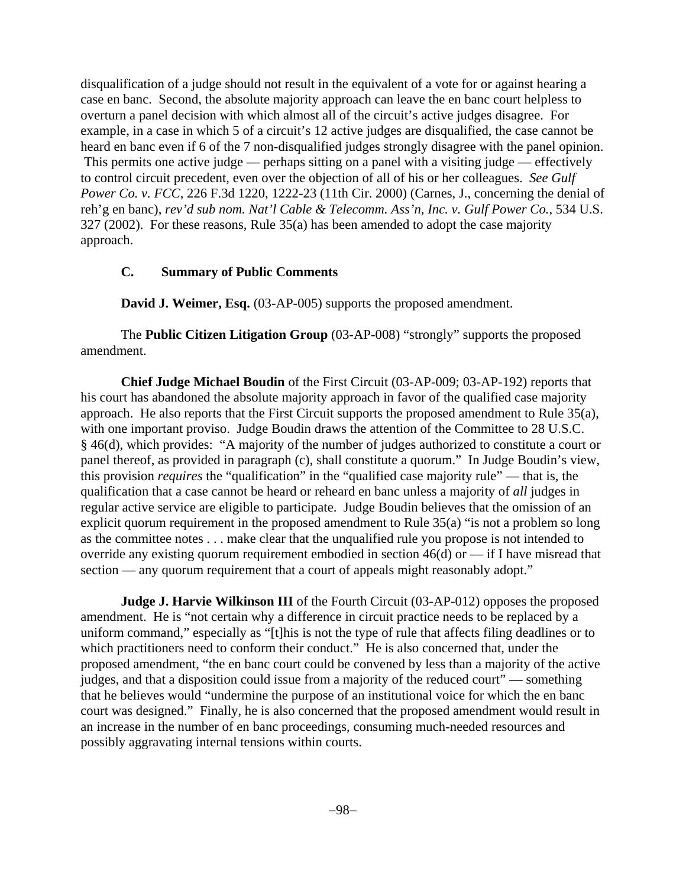disqualification of a judge should not result in the equivalent of a vote for or against hearing a case en banc. Second, the absolute majority approach can leave the en banc court helpless to overturn a panel decision with which almost all of the circuit's active judges disagree. For example, in a case in which 5 of a circuit's 12 active judges are disqualified, the case cannot be heard en banc even if 6 of the 7 non-disqualified judges strongly disagree with the panel opinion. This permits one active judge — perhaps sitting on a panel with a visiting judge — effectively to control circuit precedent, even over the objection of all of his or her colleagues. *See Gulf Power Co. v. FCC*, 226 F.3d 1220, 1222-23 (11th Cir. 2000) (Carnes, J., concerning the denial of reh'g en banc), *rev'd sub nom. Nat'l Cable & Telecomm. Ass'n, Inc. v. Gulf Power Co.*, 534 U.S. 327 (2002). For these reasons, Rule 35(a) has been amended to adopt the case majority approach.

# **C. Summary of Public Comments**

**David J. Weimer, Esq.** (03-AP-005) supports the proposed amendment.

The **Public Citizen Litigation Group** (03-AP-008) "strongly" supports the proposed amendment.

**Chief Judge Michael Boudin** of the First Circuit (03-AP-009; 03-AP-192) reports that his court has abandoned the absolute majority approach in favor of the qualified case majority approach. He also reports that the First Circuit supports the proposed amendment to Rule 35(a), with one important proviso. Judge Boudin draws the attention of the Committee to 28 U.S.C. § 46(d), which provides: "A majority of the number of judges authorized to constitute a court or panel thereof, as provided in paragraph (c), shall constitute a quorum." In Judge Boudin's view, this provision *requires* the "qualification" in the "qualified case majority rule" — that is, the qualification that a case cannot be heard or reheard en banc unless a majority of *all* judges in regular active service are eligible to participate. Judge Boudin believes that the omission of an explicit quorum requirement in the proposed amendment to Rule 35(a) "is not a problem so long as the committee notes . . . make clear that the unqualified rule you propose is not intended to override any existing quorum requirement embodied in section 46(d) or — if I have misread that section — any quorum requirement that a court of appeals might reasonably adopt."

**Judge J. Harvie Wilkinson III** of the Fourth Circuit (03-AP-012) opposes the proposed amendment. He is "not certain why a difference in circuit practice needs to be replaced by a uniform command," especially as "[t]his is not the type of rule that affects filing deadlines or to which practitioners need to conform their conduct." He is also concerned that, under the proposed amendment, "the en banc court could be convened by less than a majority of the active judges, and that a disposition could issue from a majority of the reduced court" — something that he believes would "undermine the purpose of an institutional voice for which the en banc court was designed." Finally, he is also concerned that the proposed amendment would result in an increase in the number of en banc proceedings, consuming much-needed resources and possibly aggravating internal tensions within courts.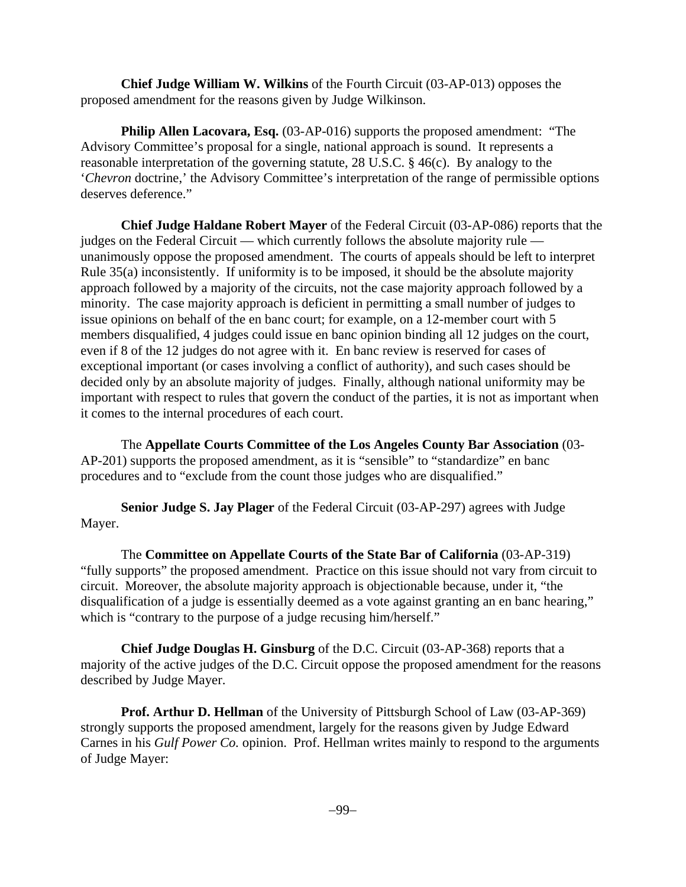**Chief Judge William W. Wilkins** of the Fourth Circuit (03-AP-013) opposes the proposed amendment for the reasons given by Judge Wilkinson.

**Philip Allen Lacovara, Esq.** (03-AP-016) supports the proposed amendment: "The Advisory Committee's proposal for a single, national approach is sound. It represents a reasonable interpretation of the governing statute, 28 U.S.C. § 46(c). By analogy to the '*Chevron* doctrine,' the Advisory Committee's interpretation of the range of permissible options deserves deference."

**Chief Judge Haldane Robert Mayer** of the Federal Circuit (03-AP-086) reports that the judges on the Federal Circuit — which currently follows the absolute majority rule unanimously oppose the proposed amendment. The courts of appeals should be left to interpret Rule 35(a) inconsistently. If uniformity is to be imposed, it should be the absolute majority approach followed by a majority of the circuits, not the case majority approach followed by a minority. The case majority approach is deficient in permitting a small number of judges to issue opinions on behalf of the en banc court; for example, on a 12-member court with 5 members disqualified, 4 judges could issue en banc opinion binding all 12 judges on the court, even if 8 of the 12 judges do not agree with it. En banc review is reserved for cases of exceptional important (or cases involving a conflict of authority), and such cases should be decided only by an absolute majority of judges. Finally, although national uniformity may be important with respect to rules that govern the conduct of the parties, it is not as important when it comes to the internal procedures of each court.

The **Appellate Courts Committee of the Los Angeles County Bar Association** (03- AP-201) supports the proposed amendment, as it is "sensible" to "standardize" en banc procedures and to "exclude from the count those judges who are disqualified."

**Senior Judge S. Jay Plager** of the Federal Circuit (03-AP-297) agrees with Judge Mayer.

The **Committee on Appellate Courts of the State Bar of California** (03-AP-319) "fully supports" the proposed amendment. Practice on this issue should not vary from circuit to circuit. Moreover, the absolute majority approach is objectionable because, under it, "the disqualification of a judge is essentially deemed as a vote against granting an en banc hearing," which is "contrary to the purpose of a judge recusing him/herself."

**Chief Judge Douglas H. Ginsburg** of the D.C. Circuit (03-AP-368) reports that a majority of the active judges of the D.C. Circuit oppose the proposed amendment for the reasons described by Judge Mayer.

**Prof. Arthur D. Hellman** of the University of Pittsburgh School of Law (03-AP-369) strongly supports the proposed amendment, largely for the reasons given by Judge Edward Carnes in his *Gulf Power Co.* opinion. Prof. Hellman writes mainly to respond to the arguments of Judge Mayer: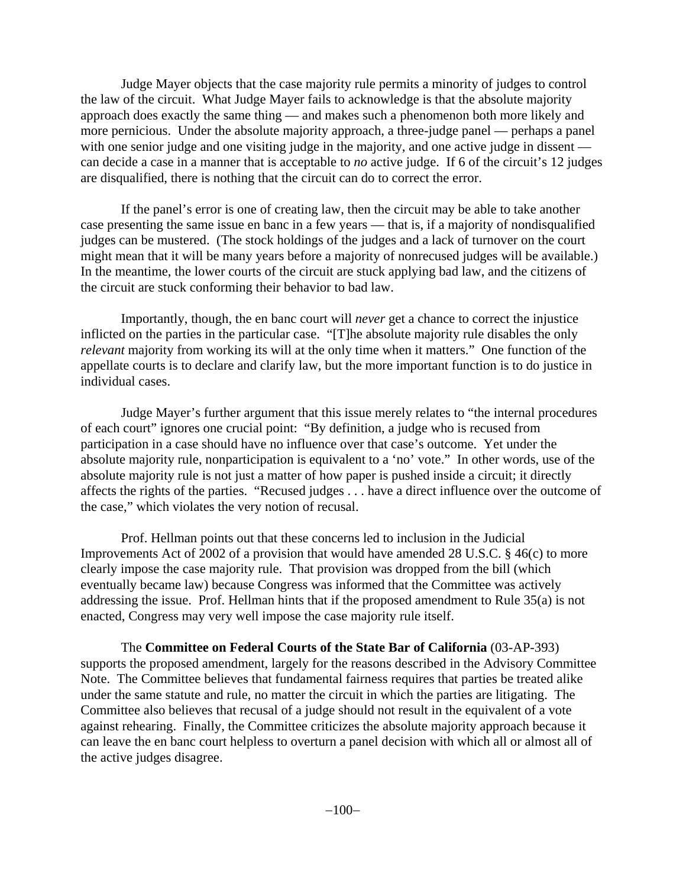Judge Mayer objects that the case majority rule permits a minority of judges to control the law of the circuit. What Judge Mayer fails to acknowledge is that the absolute majority approach does exactly the same thing — and makes such a phenomenon both more likely and more pernicious. Under the absolute majority approach, a three-judge panel — perhaps a panel with one senior judge and one visiting judge in the majority, and one active judge in dissent can decide a case in a manner that is acceptable to *no* active judge. If 6 of the circuit's 12 judges are disqualified, there is nothing that the circuit can do to correct the error.

If the panel's error is one of creating law, then the circuit may be able to take another case presenting the same issue en banc in a few years — that is, if a majority of nondisqualified judges can be mustered. (The stock holdings of the judges and a lack of turnover on the court might mean that it will be many years before a majority of nonrecused judges will be available.) In the meantime, the lower courts of the circuit are stuck applying bad law, and the citizens of the circuit are stuck conforming their behavior to bad law.

Importantly, though, the en banc court will *never* get a chance to correct the injustice inflicted on the parties in the particular case. "[T]he absolute majority rule disables the only *relevant* majority from working its will at the only time when it matters." One function of the appellate courts is to declare and clarify law, but the more important function is to do justice in individual cases.

Judge Mayer's further argument that this issue merely relates to "the internal procedures of each court" ignores one crucial point: "By definition, a judge who is recused from participation in a case should have no influence over that case's outcome. Yet under the absolute majority rule, nonparticipation is equivalent to a 'no' vote." In other words, use of the absolute majority rule is not just a matter of how paper is pushed inside a circuit; it directly affects the rights of the parties. "Recused judges . . . have a direct influence over the outcome of the case," which violates the very notion of recusal.

Prof. Hellman points out that these concerns led to inclusion in the Judicial Improvements Act of 2002 of a provision that would have amended 28 U.S.C. § 46(c) to more clearly impose the case majority rule. That provision was dropped from the bill (which eventually became law) because Congress was informed that the Committee was actively addressing the issue. Prof. Hellman hints that if the proposed amendment to Rule 35(a) is not enacted, Congress may very well impose the case majority rule itself.

The **Committee on Federal Courts of the State Bar of California** (03-AP-393) supports the proposed amendment, largely for the reasons described in the Advisory Committee Note. The Committee believes that fundamental fairness requires that parties be treated alike under the same statute and rule, no matter the circuit in which the parties are litigating. The Committee also believes that recusal of a judge should not result in the equivalent of a vote against rehearing. Finally, the Committee criticizes the absolute majority approach because it can leave the en banc court helpless to overturn a panel decision with which all or almost all of the active judges disagree.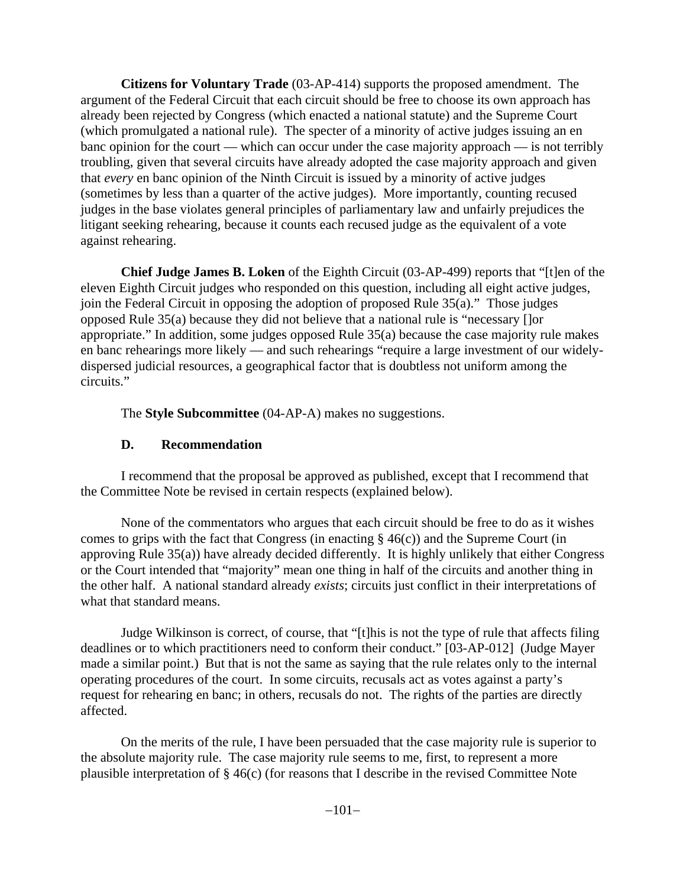**Citizens for Voluntary Trade** (03-AP-414) supports the proposed amendment. The argument of the Federal Circuit that each circuit should be free to choose its own approach has already been rejected by Congress (which enacted a national statute) and the Supreme Court (which promulgated a national rule). The specter of a minority of active judges issuing an en banc opinion for the court — which can occur under the case majority approach — is not terribly troubling, given that several circuits have already adopted the case majority approach and given that *every* en banc opinion of the Ninth Circuit is issued by a minority of active judges (sometimes by less than a quarter of the active judges). More importantly, counting recused judges in the base violates general principles of parliamentary law and unfairly prejudices the litigant seeking rehearing, because it counts each recused judge as the equivalent of a vote against rehearing.

**Chief Judge James B. Loken** of the Eighth Circuit (03-AP-499) reports that "[t]en of the eleven Eighth Circuit judges who responded on this question, including all eight active judges, join the Federal Circuit in opposing the adoption of proposed Rule 35(a)." Those judges opposed Rule 35(a) because they did not believe that a national rule is "necessary []or appropriate." In addition, some judges opposed Rule 35(a) because the case majority rule makes en banc rehearings more likely — and such rehearings "require a large investment of our widelydispersed judicial resources, a geographical factor that is doubtless not uniform among the circuits."

The **Style Subcommittee** (04-AP-A) makes no suggestions.

# **D. Recommendation**

I recommend that the proposal be approved as published, except that I recommend that the Committee Note be revised in certain respects (explained below).

None of the commentators who argues that each circuit should be free to do as it wishes comes to grips with the fact that Congress (in enacting  $\S$  46(c)) and the Supreme Court (in approving Rule 35(a)) have already decided differently. It is highly unlikely that either Congress or the Court intended that "majority" mean one thing in half of the circuits and another thing in the other half. A national standard already *exists*; circuits just conflict in their interpretations of what that standard means.

Judge Wilkinson is correct, of course, that "[t]his is not the type of rule that affects filing deadlines or to which practitioners need to conform their conduct." [03-AP-012] (Judge Mayer made a similar point.) But that is not the same as saying that the rule relates only to the internal operating procedures of the court. In some circuits, recusals act as votes against a party's request for rehearing en banc; in others, recusals do not. The rights of the parties are directly affected.

On the merits of the rule, I have been persuaded that the case majority rule is superior to the absolute majority rule. The case majority rule seems to me, first, to represent a more plausible interpretation of § 46(c) (for reasons that I describe in the revised Committee Note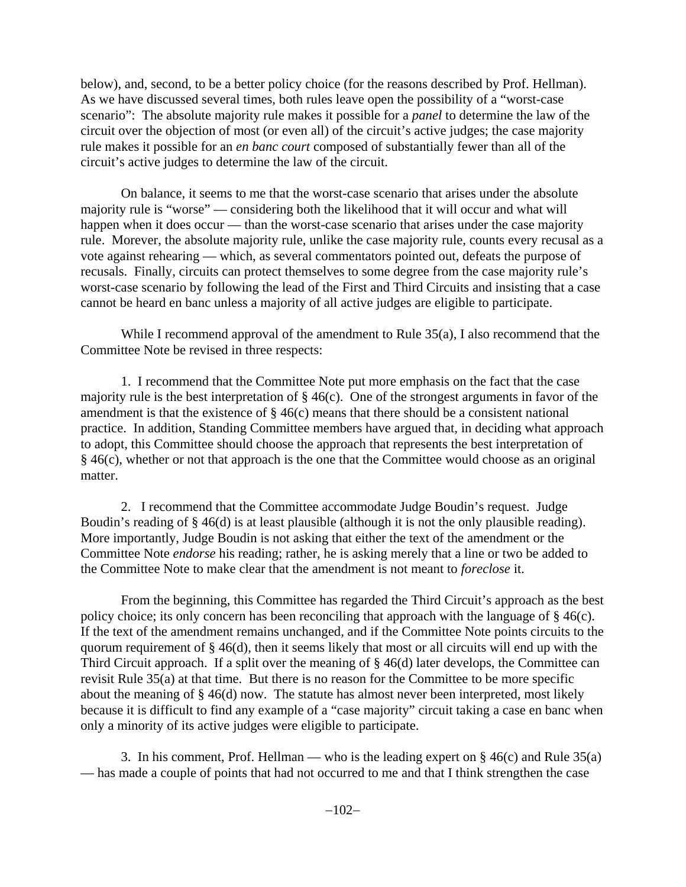below), and, second, to be a better policy choice (for the reasons described by Prof. Hellman). As we have discussed several times, both rules leave open the possibility of a "worst-case scenario": The absolute majority rule makes it possible for a *panel* to determine the law of the circuit over the objection of most (or even all) of the circuit's active judges; the case majority rule makes it possible for an *en banc court* composed of substantially fewer than all of the circuit's active judges to determine the law of the circuit.

On balance, it seems to me that the worst-case scenario that arises under the absolute majority rule is "worse" — considering both the likelihood that it will occur and what will happen when it does occur — than the worst-case scenario that arises under the case majority rule. Morever, the absolute majority rule, unlike the case majority rule, counts every recusal as a vote against rehearing — which, as several commentators pointed out, defeats the purpose of recusals. Finally, circuits can protect themselves to some degree from the case majority rule's worst-case scenario by following the lead of the First and Third Circuits and insisting that a case cannot be heard en banc unless a majority of all active judges are eligible to participate.

While I recommend approval of the amendment to Rule 35(a), I also recommend that the Committee Note be revised in three respects:

1. I recommend that the Committee Note put more emphasis on the fact that the case majority rule is the best interpretation of  $\S$  46(c). One of the strongest arguments in favor of the amendment is that the existence of  $\S 46(c)$  means that there should be a consistent national practice. In addition, Standing Committee members have argued that, in deciding what approach to adopt, this Committee should choose the approach that represents the best interpretation of § 46(c), whether or not that approach is the one that the Committee would choose as an original matter.

2. I recommend that the Committee accommodate Judge Boudin's request. Judge Boudin's reading of § 46(d) is at least plausible (although it is not the only plausible reading). More importantly, Judge Boudin is not asking that either the text of the amendment or the Committee Note *endorse* his reading; rather, he is asking merely that a line or two be added to the Committee Note to make clear that the amendment is not meant to *foreclose* it.

From the beginning, this Committee has regarded the Third Circuit's approach as the best policy choice; its only concern has been reconciling that approach with the language of § 46(c). If the text of the amendment remains unchanged, and if the Committee Note points circuits to the quorum requirement of  $\S 46(d)$ , then it seems likely that most or all circuits will end up with the Third Circuit approach. If a split over the meaning of § 46(d) later develops, the Committee can revisit Rule 35(a) at that time. But there is no reason for the Committee to be more specific about the meaning of § 46(d) now. The statute has almost never been interpreted, most likely because it is difficult to find any example of a "case majority" circuit taking a case en banc when only a minority of its active judges were eligible to participate.

3. In his comment, Prof. Hellman — who is the leading expert on  $\S$  46(c) and Rule 35(a) — has made a couple of points that had not occurred to me and that I think strengthen the case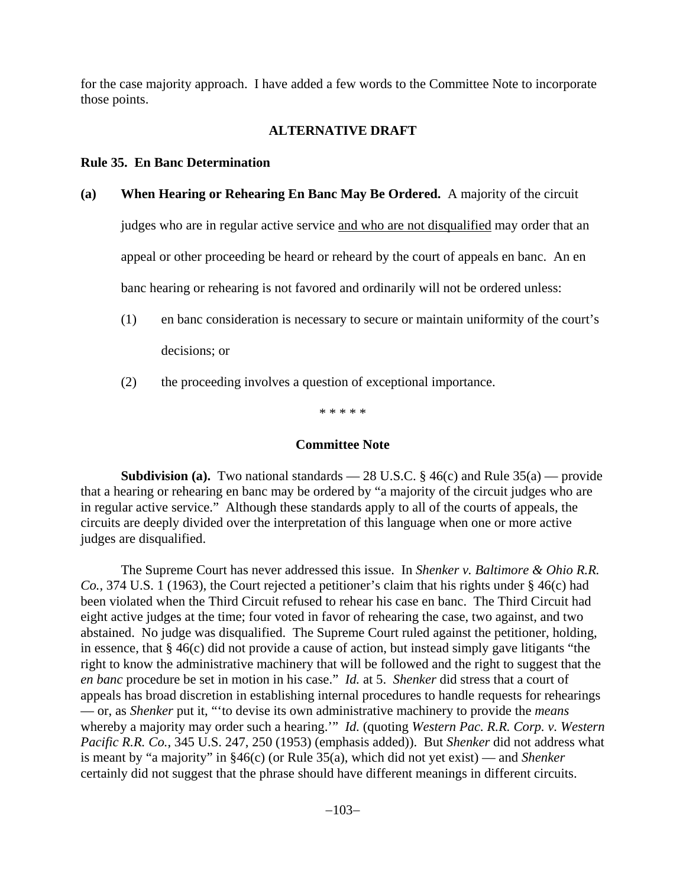for the case majority approach. I have added a few words to the Committee Note to incorporate those points.

## **ALTERNATIVE DRAFT**

## **Rule 35. En Banc Determination**

**(a) When Hearing or Rehearing En Banc May Be Ordered.** A majority of the circuit

judges who are in regular active service and who are not disqualified may order that an appeal or other proceeding be heard or reheard by the court of appeals en banc. An en banc hearing or rehearing is not favored and ordinarily will not be ordered unless:

- (1) en banc consideration is necessary to secure or maintain uniformity of the court's decisions; or
- (2) the proceeding involves a question of exceptional importance.

\* \* \* \* \*

## **Committee Note**

**Subdivision (a).** Two national standards  $-28$  U.S.C. § 46(c) and Rule 35(a) — provide that a hearing or rehearing en banc may be ordered by "a majority of the circuit judges who are in regular active service." Although these standards apply to all of the courts of appeals, the circuits are deeply divided over the interpretation of this language when one or more active judges are disqualified.

The Supreme Court has never addressed this issue. In *Shenker v. Baltimore & Ohio R.R. Co.*, 374 U.S. 1 (1963), the Court rejected a petitioner's claim that his rights under § 46(c) had been violated when the Third Circuit refused to rehear his case en banc. The Third Circuit had eight active judges at the time; four voted in favor of rehearing the case, two against, and two abstained. No judge was disqualified. The Supreme Court ruled against the petitioner, holding, in essence, that § 46(c) did not provide a cause of action, but instead simply gave litigants "the right to know the administrative machinery that will be followed and the right to suggest that the *en banc* procedure be set in motion in his case." *Id.* at 5. *Shenker* did stress that a court of appeals has broad discretion in establishing internal procedures to handle requests for rehearings — or, as *Shenker* put it, "'to devise its own administrative machinery to provide the *means* whereby a majority may order such a hearing.'" *Id.* (quoting *Western Pac. R.R. Corp. v. Western Pacific R.R. Co.*, 345 U.S. 247, 250 (1953) (emphasis added)). But *Shenker* did not address what is meant by "a majority" in §46(c) (or Rule 35(a), which did not yet exist) — and *Shenker* certainly did not suggest that the phrase should have different meanings in different circuits.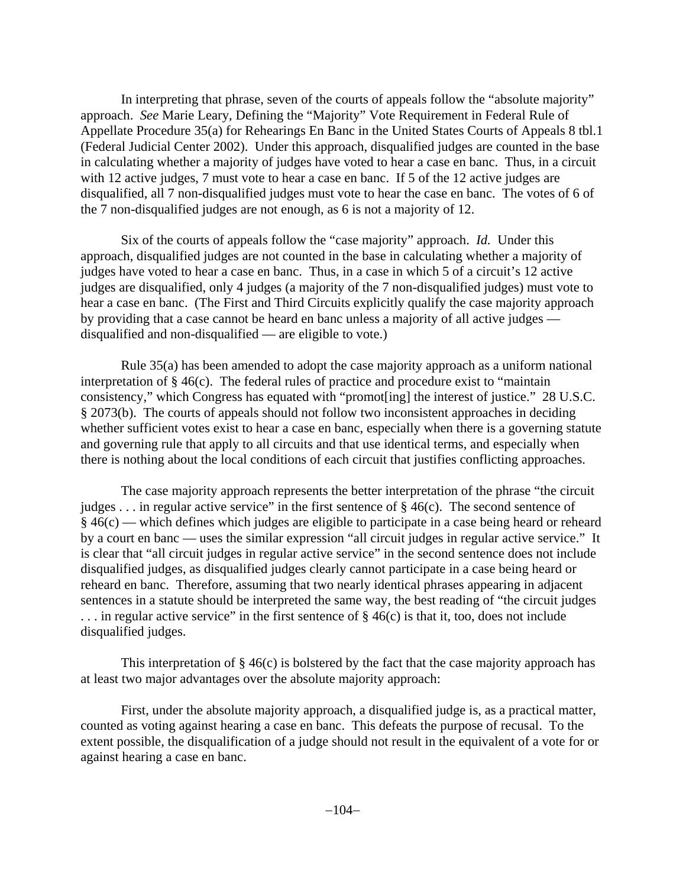In interpreting that phrase, seven of the courts of appeals follow the "absolute majority" approach. *See* Marie Leary, Defining the "Majority" Vote Requirement in Federal Rule of Appellate Procedure 35(a) for Rehearings En Banc in the United States Courts of Appeals 8 tbl.1 (Federal Judicial Center 2002). Under this approach, disqualified judges are counted in the base in calculating whether a majority of judges have voted to hear a case en banc. Thus, in a circuit with 12 active judges, 7 must vote to hear a case en banc. If 5 of the 12 active judges are disqualified, all 7 non-disqualified judges must vote to hear the case en banc. The votes of 6 of the 7 non-disqualified judges are not enough, as 6 is not a majority of 12.

Six of the courts of appeals follow the "case majority" approach. *Id.* Under this approach, disqualified judges are not counted in the base in calculating whether a majority of judges have voted to hear a case en banc. Thus, in a case in which 5 of a circuit's 12 active judges are disqualified, only 4 judges (a majority of the 7 non-disqualified judges) must vote to hear a case en banc. (The First and Third Circuits explicitly qualify the case majority approach by providing that a case cannot be heard en banc unless a majority of all active judges disqualified and non-disqualified — are eligible to vote.)

Rule 35(a) has been amended to adopt the case majority approach as a uniform national interpretation of § 46(c). The federal rules of practice and procedure exist to "maintain consistency," which Congress has equated with "promot[ing] the interest of justice." 28 U.S.C. § 2073(b). The courts of appeals should not follow two inconsistent approaches in deciding whether sufficient votes exist to hear a case en banc, especially when there is a governing statute and governing rule that apply to all circuits and that use identical terms, and especially when there is nothing about the local conditions of each circuit that justifies conflicting approaches.

The case majority approach represents the better interpretation of the phrase "the circuit judges . . . in regular active service" in the first sentence of  $\S 46(c)$ . The second sentence of § 46(c) — which defines which judges are eligible to participate in a case being heard or reheard by a court en banc — uses the similar expression "all circuit judges in regular active service." It is clear that "all circuit judges in regular active service" in the second sentence does not include disqualified judges, as disqualified judges clearly cannot participate in a case being heard or reheard en banc. Therefore, assuming that two nearly identical phrases appearing in adjacent sentences in a statute should be interpreted the same way, the best reading of "the circuit judges . . . in regular active service" in the first sentence of § 46(c) is that it, too, does not include disqualified judges.

This interpretation of  $\S 46(c)$  is bolstered by the fact that the case majority approach has at least two major advantages over the absolute majority approach:

First, under the absolute majority approach, a disqualified judge is, as a practical matter, counted as voting against hearing a case en banc. This defeats the purpose of recusal. To the extent possible, the disqualification of a judge should not result in the equivalent of a vote for or against hearing a case en banc.